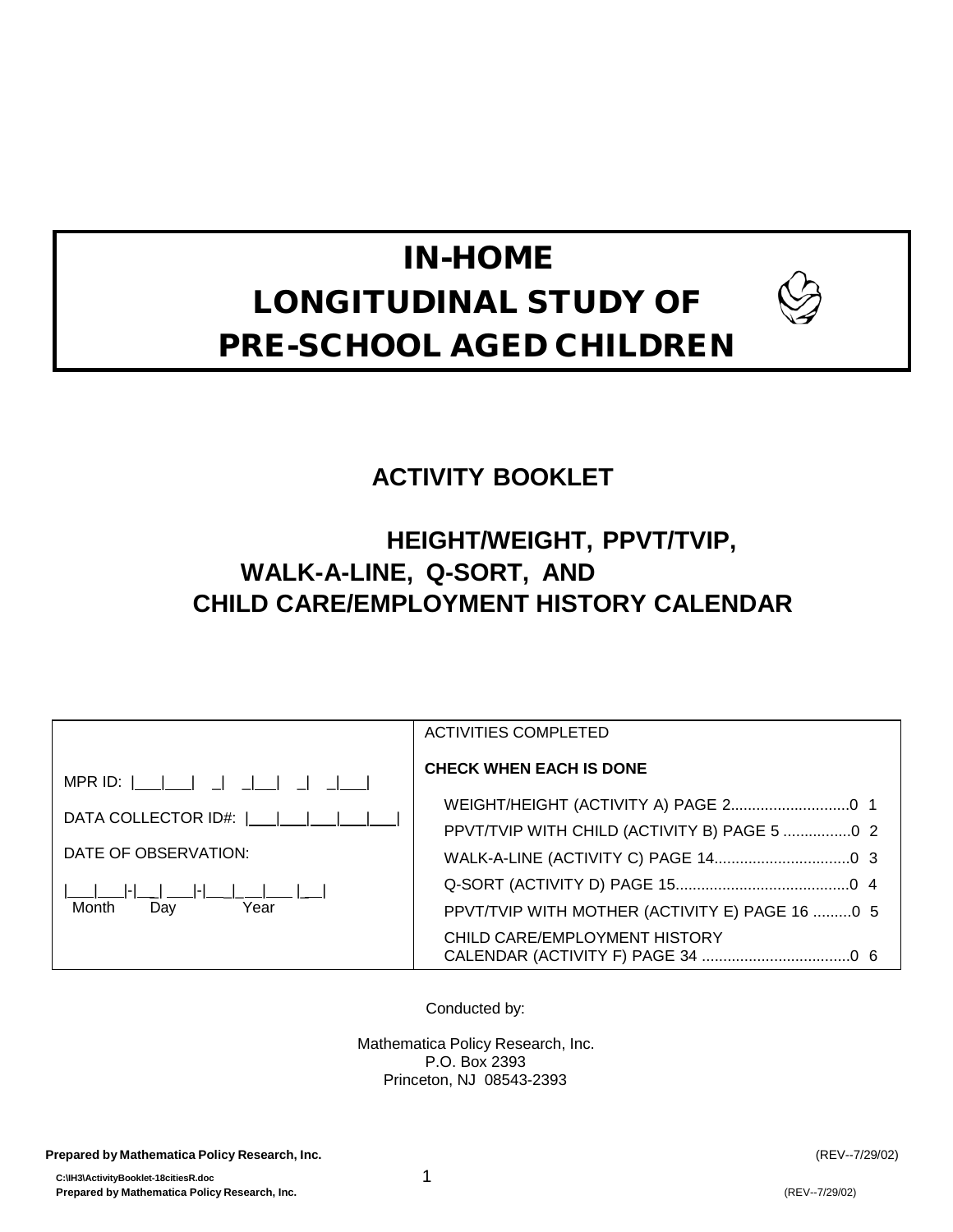# IN-HOME LONGITUDINAL STUDY OF PRE-SCHOOL AGED CHILDREN



## **ACTIVITY BOOKLET**

## **HEIGHT/WEIGHT, PPVT/TVIP, WALK-A-LINE, Q-SORT, AND CHILD CARE/EMPLOYMENT HISTORY CALENDAR**

|                      | <b>ACTIVITIES COMPLETED</b>                    |
|----------------------|------------------------------------------------|
|                      | <b>CHECK WHEN EACH IS DONE</b>                 |
| DATA COLLECTOR ID#:  |                                                |
|                      | PPVT/TVIP WITH CHILD (ACTIVITY B) PAGE 5  2    |
| DATE OF OBSERVATION: |                                                |
|                      |                                                |
| Month<br>Day<br>Year | PPVT/TVIP WITH MOTHER (ACTIVITY E) PAGE 16 0 5 |
|                      | CHILD CARE/EMPLOYMENT HISTORY                  |

Conducted by:

Mathematica Policy Research, Inc. P.O. Box 2393 Princeton, NJ 08543-2393

**Prepared by Mathematica Policy Research, Inc.** (REV--7/29/02)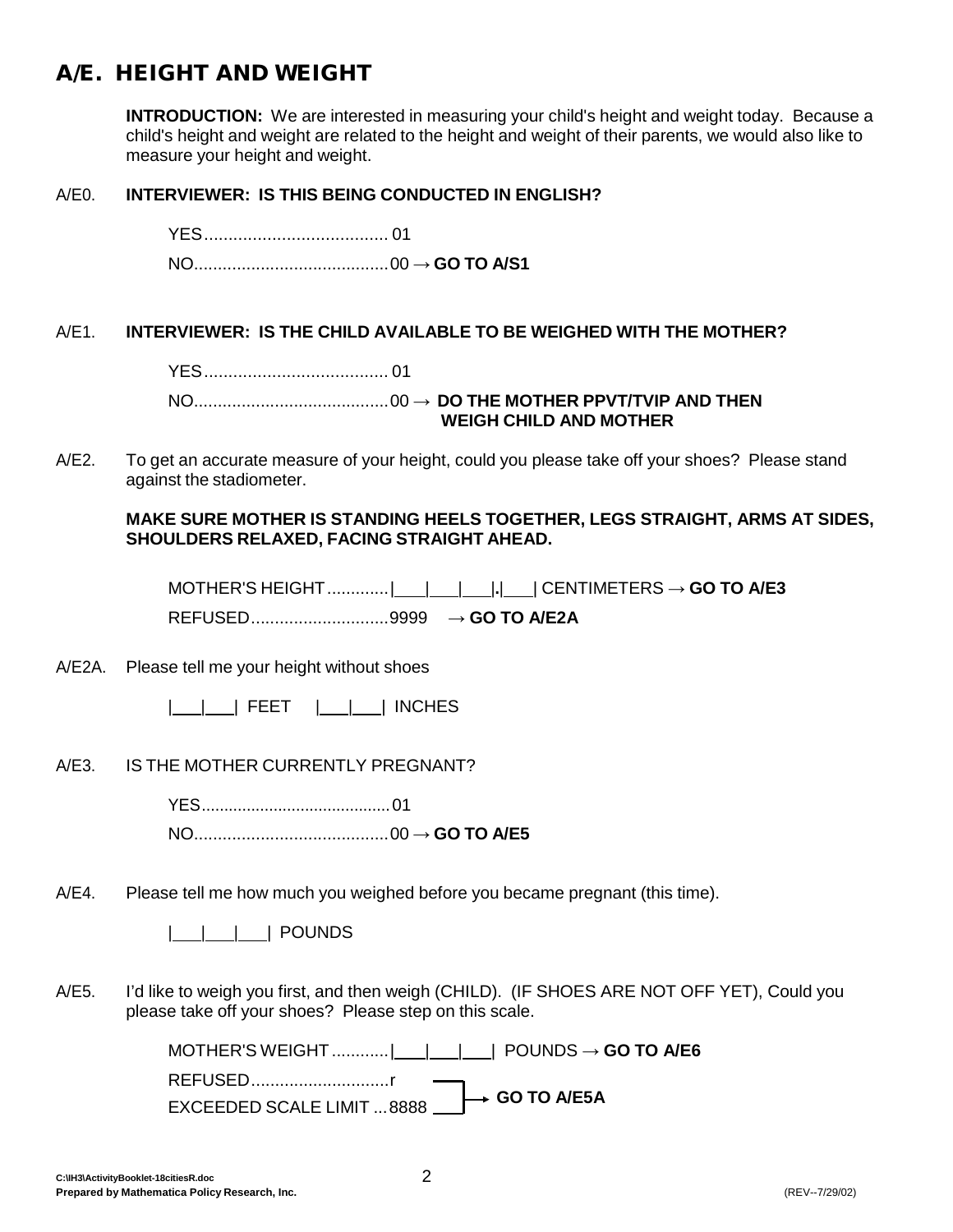## <span id="page-1-0"></span>A/E. HEIGHT AND WEIGHT

**INTRODUCTION:** We are interested in measuring your child's height and weight today. Because a child's height and weight are related to the height and weight of their parents, we would also like to measure your height and weight.

#### A/E0. **INTERVIEWER: IS THIS BEING CONDUCTED IN ENGLISH?**

YES...................................... 01 NO.........................................00 → **GO TO A/S1**

#### A/E1. **INTERVIEWER: IS THE CHILD AVAILABLE TO BE WEIGHED WITH THE MOTHER?**

YES...................................... 01

NO.........................................00 → **DO THE MOTHER PPVT/TVIP AND THEN WEIGH CHILD AND MOTHER**

A/E2. To get an accurate measure of your height, could you please take off your shoes? Please stand against the stadiometer.

#### **MAKE SURE MOTHER IS STANDING HEELS TOGETHER, LEGS STRAIGHT, ARMS AT SIDES, SHOULDERS RELAXED, FACING STRAIGHT AHEAD.**

MOTHER'S HEIGHT.............| | | |**.**| | CENTIMETERS **→ GO TO A/E3** REFUSED.............................9999 **→ GO TO A/E2A**

A/E2A. Please tell me your height without shoes

| | | FEET | | | INCHES

A/E3. IS THE MOTHER CURRENTLY PREGNANT?

YES..........................................01 NO.........................................00 → **GO TO A/E5**

A/E4. Please tell me how much you weighed before you became pregnant (this time).

| | | | POUNDS

A/E5. I'd like to weigh you first, and then weigh (CHILD). (IF SHOES ARE NOT OFF YET), Could you please take off your shoes? Please step on this scale.

> MOTHER'S WEIGHT............| | | | POUNDS **→ GO TO A/E6** REFUSED.............................r **EXCEEDED SCALE LIMIT ...8888 ■→→ GO TO A/E5A**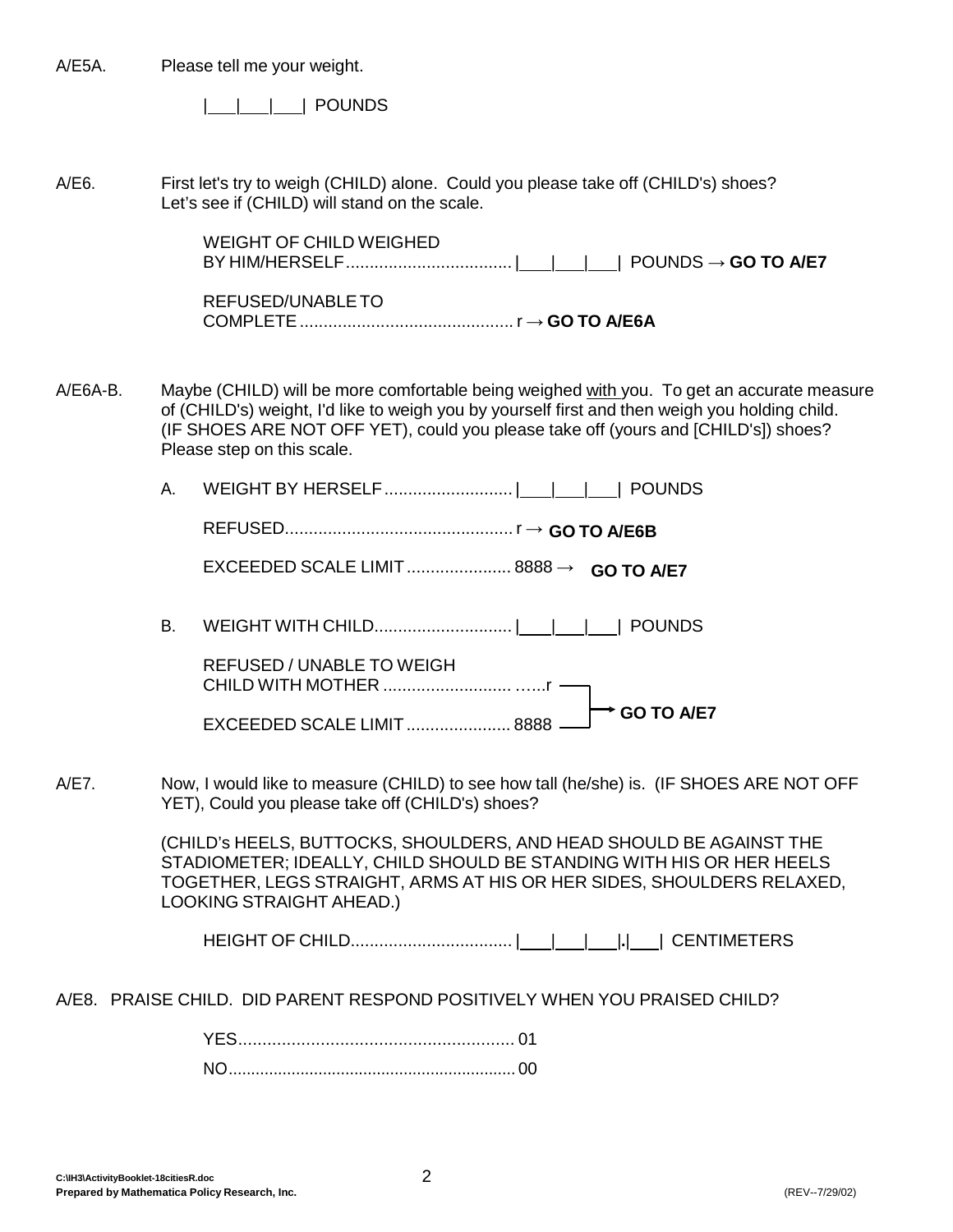| A/E5A.     |    | Please tell me your weight.                                                                                                                                                                                                                                                                                     |
|------------|----|-----------------------------------------------------------------------------------------------------------------------------------------------------------------------------------------------------------------------------------------------------------------------------------------------------------------|
|            |    | <b>POUNDS</b>                                                                                                                                                                                                                                                                                                   |
| A/E6.      |    | First let's try to weigh (CHILD) alone. Could you please take off (CHILD's) shoes?<br>Let's see if (CHILD) will stand on the scale.                                                                                                                                                                             |
|            |    | <b>WEIGHT OF CHILD WEIGHED</b>                                                                                                                                                                                                                                                                                  |
|            |    | REFUSED/UNABLE TO                                                                                                                                                                                                                                                                                               |
| $A/E6A-B.$ |    | Maybe (CHILD) will be more comfortable being weighed with you. To get an accurate measure<br>of (CHILD's) weight, I'd like to weigh you by yourself first and then weigh you holding child.<br>(IF SHOES ARE NOT OFF YET), could you please take off (yours and [CHILD's]) shoes?<br>Please step on this scale. |
|            | А. | POUNDS                                                                                                                                                                                                                                                                                                          |
|            |    |                                                                                                                                                                                                                                                                                                                 |
|            |    |                                                                                                                                                                                                                                                                                                                 |
|            | В. | <b>POUNDS</b>                                                                                                                                                                                                                                                                                                   |
|            |    | <b>REFUSED / UNABLE TO WEIGH</b>                                                                                                                                                                                                                                                                                |
|            |    | <b>GO TO A/E7</b><br>EXCEEDED SCALE LIMIT 8888                                                                                                                                                                                                                                                                  |
| A/E7.      |    | Now, I would like to measure (CHILD) to see how tall (he/she) is. (IF SHOES ARE NOT OFF<br>YET), Could you please take off (CHILD's) shoes?                                                                                                                                                                     |
|            |    | (CHILD's HEELS, BUTTOCKS, SHOULDERS, AND HEAD SHOULD BE AGAINST THE<br>STADIOMETER; IDEALLY, CHILD SHOULD BE STANDING WITH HIS OR HER HEELS<br>TOGETHER, LEGS STRAIGHT, ARMS AT HIS OR HER SIDES, SHOULDERS RELAXED,<br><b>LOOKING STRAIGHT AHEAD.)</b>                                                         |
|            |    |                                                                                                                                                                                                                                                                                                                 |
|            |    | A/E8. PRAISE CHILD. DID PARENT RESPOND POSITIVELY WHEN YOU PRAISED CHILD?                                                                                                                                                                                                                                       |
|            |    |                                                                                                                                                                                                                                                                                                                 |
|            |    |                                                                                                                                                                                                                                                                                                                 |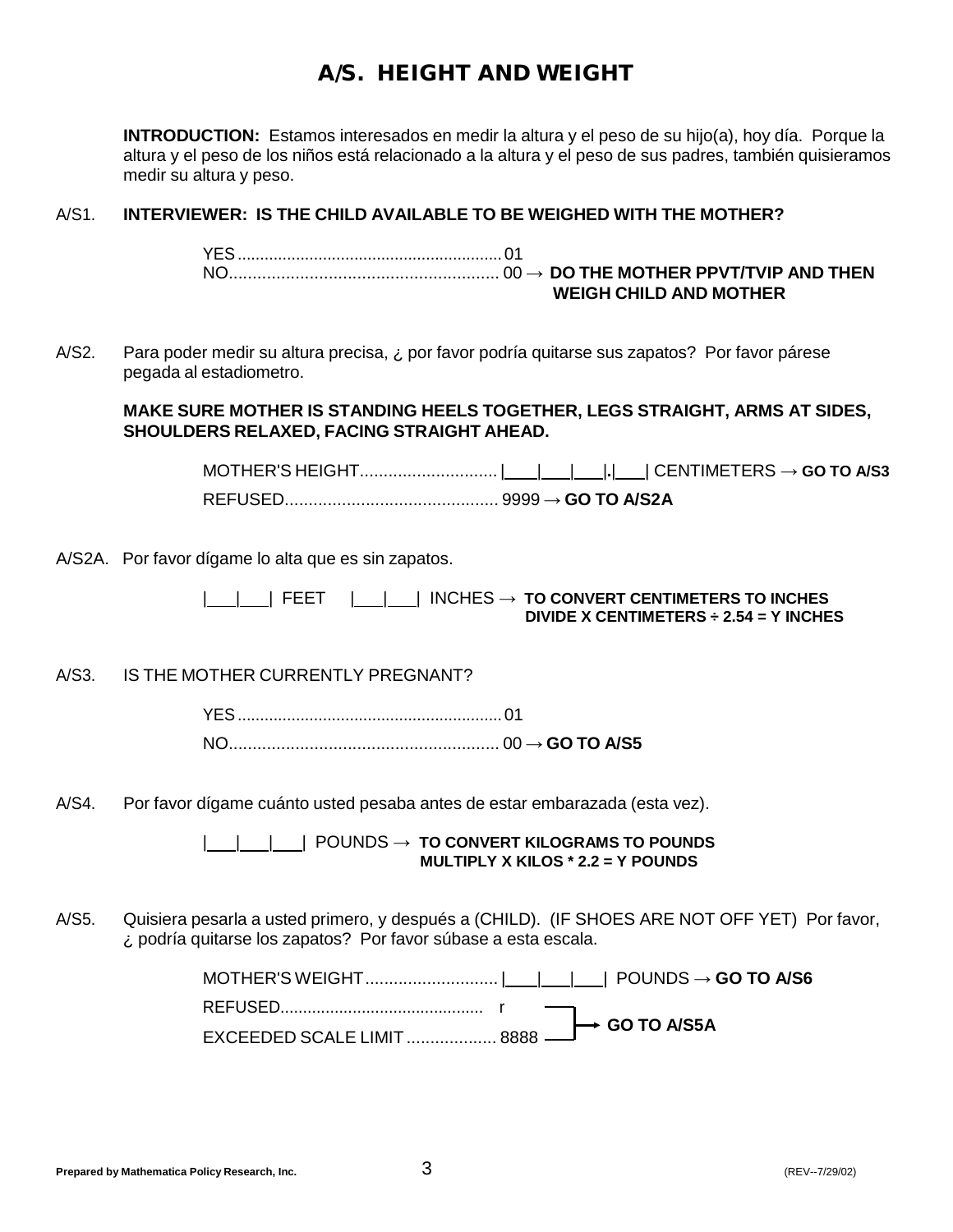## A/S. HEIGHT AND WEIGHT

**INTRODUCTION:** Estamos interesados en medir la altura y el peso de su hijo(a), hoy día. Porque la altura y el peso de los niños está relacionado a la altura y el peso de sus padres, también quisieramos medir su altura y peso.

#### A/S1. **INTERVIEWER: IS THE CHILD AVAILABLE TO BE WEIGHED WITH THE MOTHER?**

YES...........................................................01 NO......................................................... 00 → **DO THE MOTHER PPVT/TVIP AND THEN WEIGH CHILD AND MOTHER**

A/S2. Para poder medir su altura precisa, ¿ por favor podría quitarse sus zapatos? Por favor párese pegada al estadiometro.

#### **MAKE SURE MOTHER IS STANDING HEELS TOGETHER, LEGS STRAIGHT, ARMS AT SIDES, SHOULDERS RELAXED, FACING STRAIGHT AHEAD.**

MOTHER'S HEIGHT............................. | | | |**.**| | CENTIMETERS **→ GO TO A/S3** REFUSED............................................. 9999 **→ GO TO A/S2A**

A/S2A. Por favor dígame lo alta que es sin zapatos.

| | | FEET | | | INCHES **→ TO CONVERT CENTIMETERS TO INCHES DIVIDE X CENTIMETERS ÷ 2.54 = Y INCHES**

A/S3. IS THE MOTHER CURRENTLY PREGNANT?

YES...........................................................01 NO......................................................... 00 → **GO TO A/S5**

A/S4. Por favor dígame cuánto usted pesaba antes de estar embarazada (esta vez).

| | | | POUNDS **→ TO CONVERT KILOGRAMS TO POUNDS MULTIPLY X KILOS \* 2.2 = Y POUNDS**

A/S5. Quisiera pesarla a usted primero, y después a (CHILD). (IF SHOES ARE NOT OFF YET) Por favor, ¿ podría quitarse los zapatos? Por favor súbase a esta escala.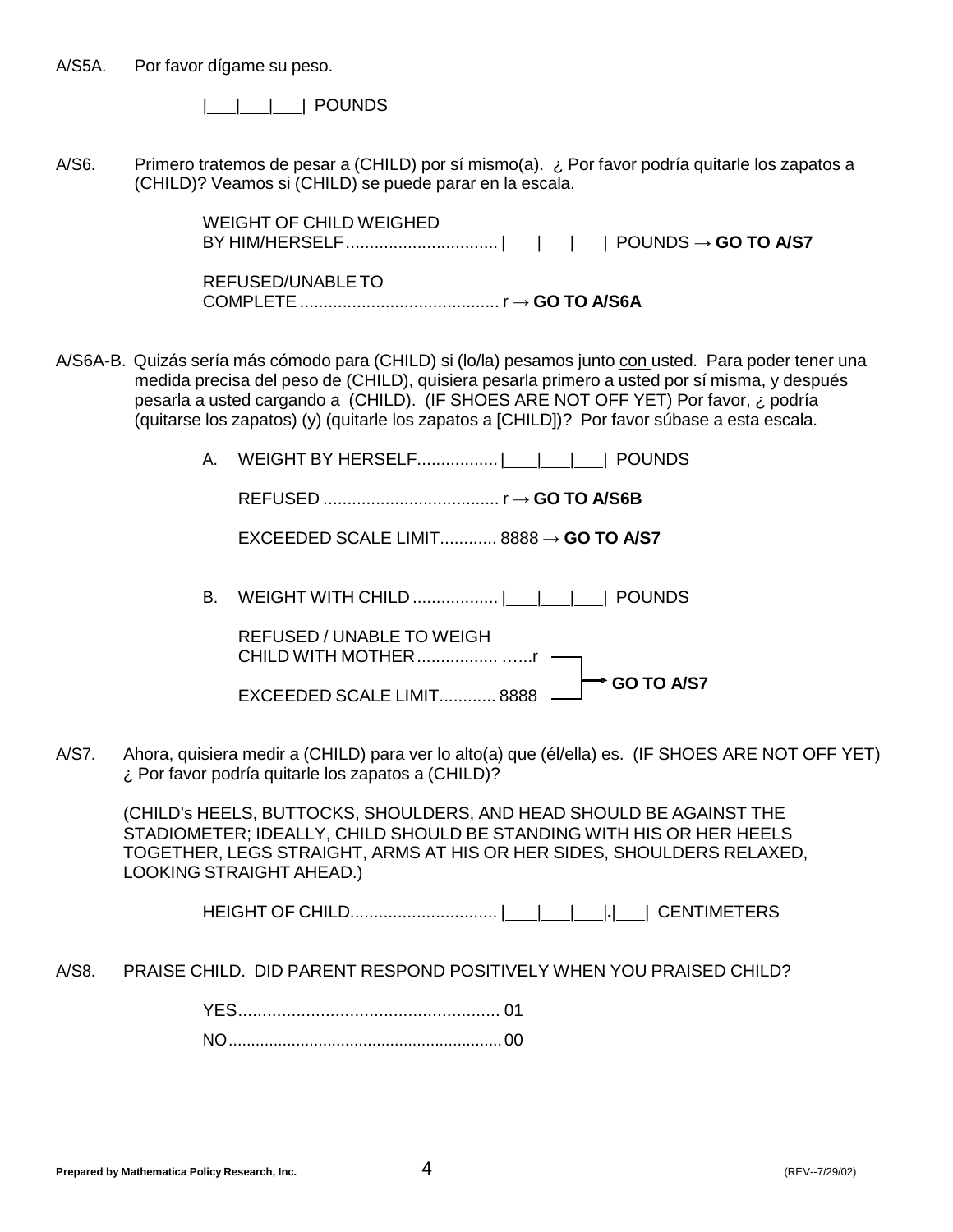A/S5A. Por favor dígame su peso.

| | | | POUNDS

A/S6. Primero tratemos de pesar a (CHILD) por sí mismo(a). ¿ Por favor podría quitarle los zapatos a (CHILD)? Veamos si (CHILD) se puede parar en la escala.

> WEIGHT OF CHILD WEIGHED BY HIM/HERSELF................................ | | | | POUNDS **→ GO TO A/S7**

REFUSED/UNABLETO COMPLETE.......................................... r **→ GO TO A/S6A**

- A/S6A-B. Quizás sería más cómodo para (CHILD) si (lo/la) pesamos junto con usted. Para poder tener una medida precisa del peso de (CHILD), quisiera pesarla primero a usted por sí misma, y después pesarla a usted cargando a (CHILD). (IF SHOES ARE NOT OFF YET) Por favor, ¿ podría (quitarse los zapatos) (y) (quitarle los zapatos a [CHILD])? Por favor súbase a esta escala.
	- A. WEIGHT BY HERSELF..................| | | | POUNDS

REFUSED ..................................... r **→ GO TO A/S6B**

EXCEEDED SCALE LIMIT............ 8888 **→ GO TO A/S7**

B. WEIGHT WITH CHILD .................. | | | | POUNDS

REFUSED / UNABLE TO WEIGH CHILD WITH MOTHER................................

**EXCEEDED SCALE LIMIT............ 8888 └ GO TO A/S7** 

A/S7. Ahora, quisiera medir a (CHILD) para ver lo alto(a) que (él/ella) es. (IF SHOES ARE NOT OFF YET) ¿ Por favor podría quitarle los zapatos a (CHILD)?

(CHILD's HEELS, BUTTOCKS, SHOULDERS, AND HEAD SHOULD BE AGAINST THE STADIOMETER; IDEALLY, CHILD SHOULD BE STANDING WITH HIS OR HER HEELS TOGETHER, LEGS STRAIGHT, ARMS AT HIS OR HER SIDES, SHOULDERS RELAXED, LOOKING STRAIGHT AHEAD.)

HEIGHT OF CHILD............................... | | | |**.**| | CENTIMETERS

A/S8. PRAISE CHILD. DID PARENT RESPOND POSITIVELY WHEN YOU PRAISED CHILD?

YES...................................................... 01 NO.............................................................00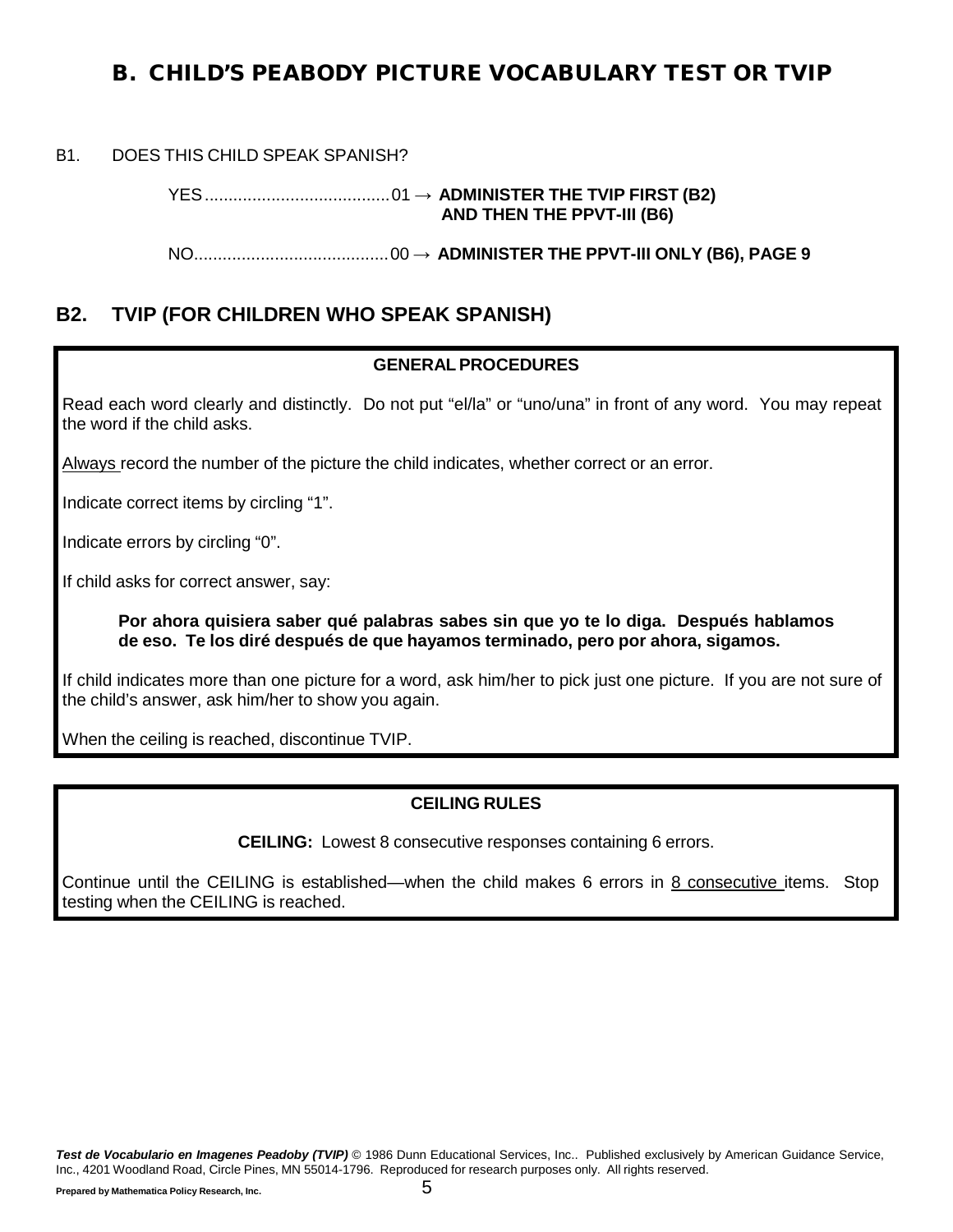## <span id="page-5-0"></span>B. CHILD'S PEABODY PICTURE VOCABULARY TEST OR TVIP

B1. DOES THIS CHILD SPEAK SPANISH?

YES.......................................01 → **ADMINISTER THE TVIP FIRST (B2) AND THEN THE PPVT-III (B6)**

NO.........................................00 → **ADMINISTER THE PPVT-III ONLY (B6), PAGE [9](#page-9-0)**

## **B2. TVIP (FOR CHILDREN WHO SPEAK SPANISH)**

#### **GENERALPROCEDURES**

Read each word clearly and distinctly. Do not put "el/la" or "uno/una" in front of any word. You may repeat the word if the child asks.

Always record the number of the picture the child indicates, whether correct or an error.

Indicate correct items by circling "1".

Indicate errors by circling "0".

If child asks for correct answer, say:

**Por ahora quisiera saber qué palabras sabes sin que yo te lo diga. Después hablamos de eso. Te los diré después de que hayamos terminado, pero por ahora, sigamos.**

If child indicates more than one picture for a word, ask him/her to pick just one picture. If you are not sure of the child's answer, ask him/her to show you again.

When the ceiling is reached, discontinue TVIP.

#### **CEILING RULES**

**CEILING:** Lowest 8 consecutive responses containing 6 errors.

Continue until the CEILING is established—when the child makes 6 errors in 8 consecutive items. Stop testing when the CEILING is reached.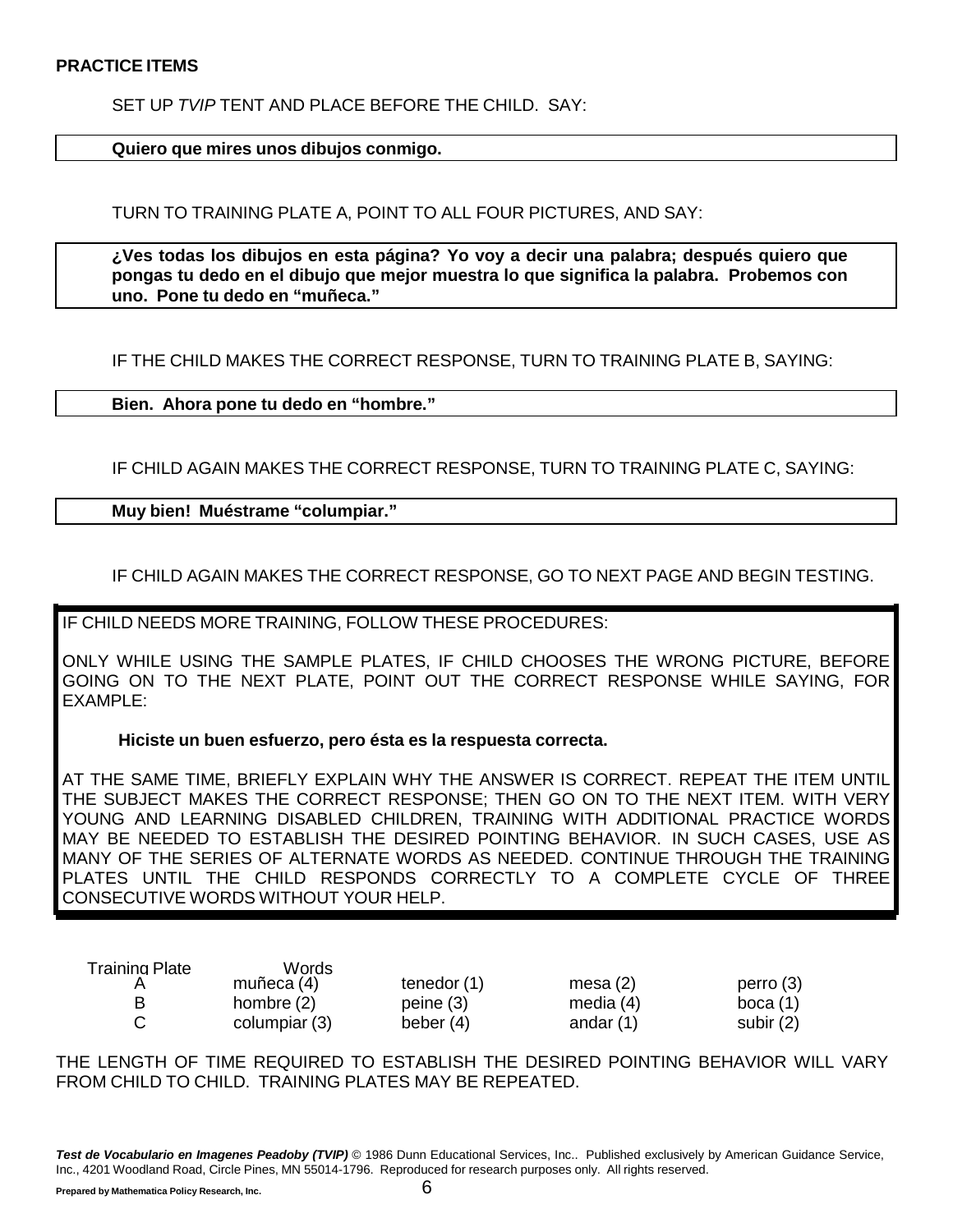SET UP *TVIP* TENT AND PLACE BEFORE THE CHILD. SAY:

**Quiero que mires unos dibujos conmigo.**

TURN TO TRAINING PLATE A, POINT TO ALL FOUR PICTURES, AND SAY:

**¿Ves todas los dibujos en esta página? Yo voy a decir una palabra; después quiero que pongas tu dedo en el dibujo que mejor muestra lo que significa la palabra. Probemos con uno. Pone tu dedo en "muñeca."**

IF THE CHILD MAKES THE CORRECT RESPONSE, TURN TO TRAINING PLATE B, SAYING:

**Bien. Ahora pone tu dedo en "hombre."**

IF CHILD AGAIN MAKES THE CORRECT RESPONSE, TURN TO TRAINING PLATE C, SAYING:

**Muy bien! Muéstrame "columpiar."**

IF CHILD AGAIN MAKES THE CORRECT RESPONSE, GO TO NEXT PAGE AND BEGIN TESTING.

IF CHILD NEEDS MORE TRAINING, FOLLOW THESE PROCEDURES:

ONLY WHILE USING THE SAMPLE PLATES, IF CHILD CHOOSES THE WRONG PICTURE, BEFORE GOING ON TO THE NEXT PLATE, POINT OUT THE CORRECT RESPONSE WHILE SAYING, FOR EXAMPLE:

**Hiciste un buen esfuerzo, pero ésta es la respuesta correcta.**

AT THE SAME TIME, BRIEFLY EXPLAIN WHY THE ANSWER IS CORRECT. REPEAT THE ITEM UNTIL THE SUBJECT MAKES THE CORRECT RESPONSE; THEN GO ON TO THE NEXT ITEM. WITH VERY YOUNG AND LEARNING DISABLED CHILDREN, TRAINING WITH ADDITIONAL PRACTICE WORDS MAY BE NEEDED TO ESTABLISH THE DESIRED POINTING BEHAVIOR. IN SUCH CASES, USE AS MANY OF THE SERIES OF ALTERNATE WORDS AS NEEDED. CONTINUE THROUGH THE TRAINING PLATES UNTIL THE CHILD RESPONDS CORRECTLY TO A COMPLETE CYCLE OF THREE CONSECUTIVE WORDS WITHOUT YOUR HELP.

| Training Plate | Words         |               |             |             |
|----------------|---------------|---------------|-------------|-------------|
|                | muñeca (4)    | tenedor $(1)$ | mesa $(2)$  | perro(3)    |
| В              | hombre $(2)$  | peine(3)      | media $(4)$ | boca $(1)$  |
|                | columpiar (3) | beber $(4)$   | andar $(1)$ | subir $(2)$ |

THE LENGTH OF TIME REQUIRED TO ESTABLISH THE DESIRED POINTING BEHAVIOR WILL VARY FROM CHILD TO CHILD. TRAINING PLATES MAY BE REPEATED.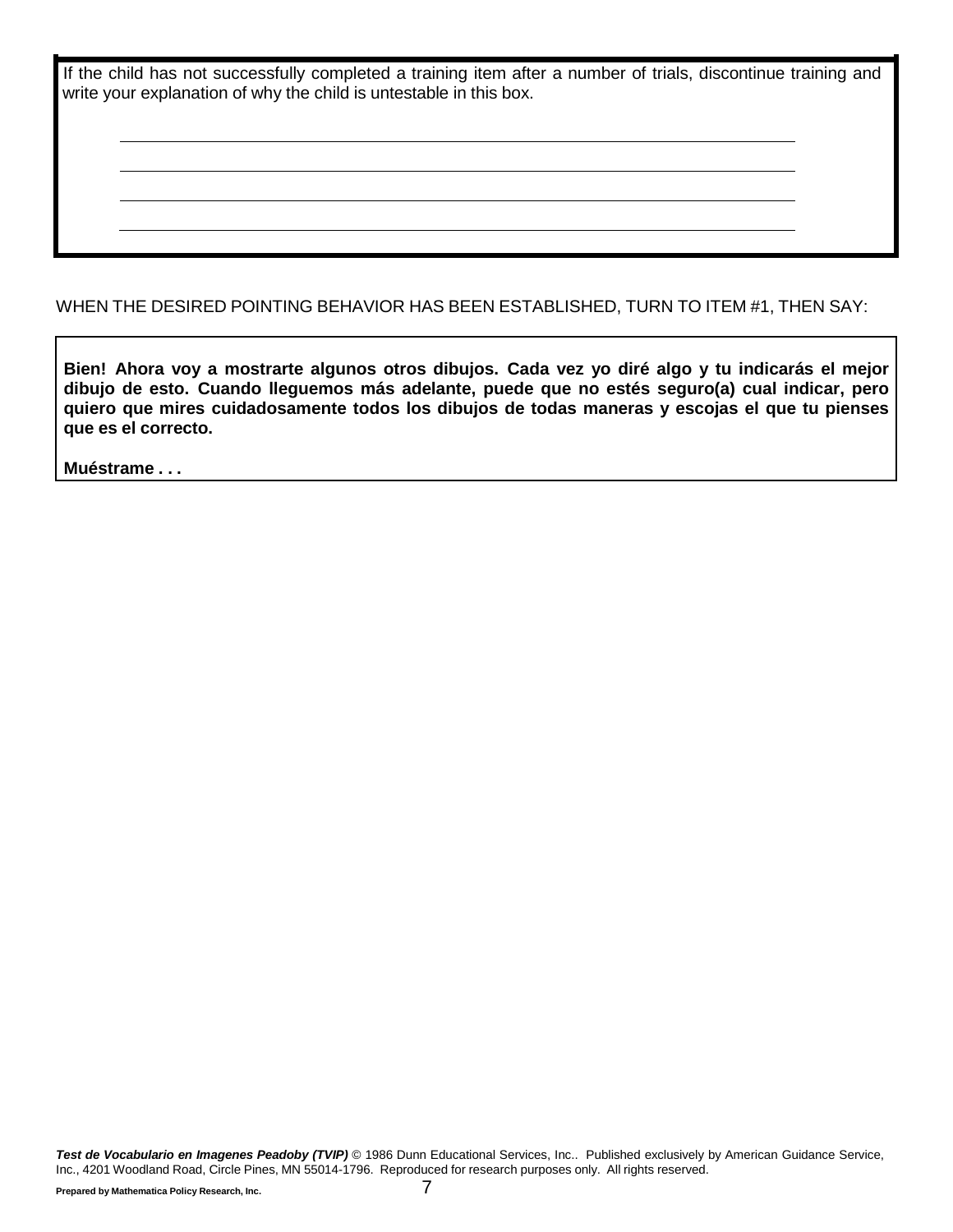| If the child has not successfully completed a training item after a number of trials, discontinue training and |  |  |  |  |
|----------------------------------------------------------------------------------------------------------------|--|--|--|--|
| write your explanation of why the child is untestable in this box.                                             |  |  |  |  |

WHEN THE DESIRED POINTING BEHAVIOR HAS BEEN ESTABLISHED, TURN TO ITEM #1, THEN SAY:

**Bien! Ahora voy a mostrarte algunos otros dibujos. Cada vez yo diré algo y tu indicarás el mejor dibujo de esto. Cuando lleguemos más adelante, puede que no estés seguro(a) cual indicar, pero quiero que mires cuidadosamente todos los dibujos de todas maneras y escojas el que tu pienses que es el correcto.**

**Muéstrame . . .**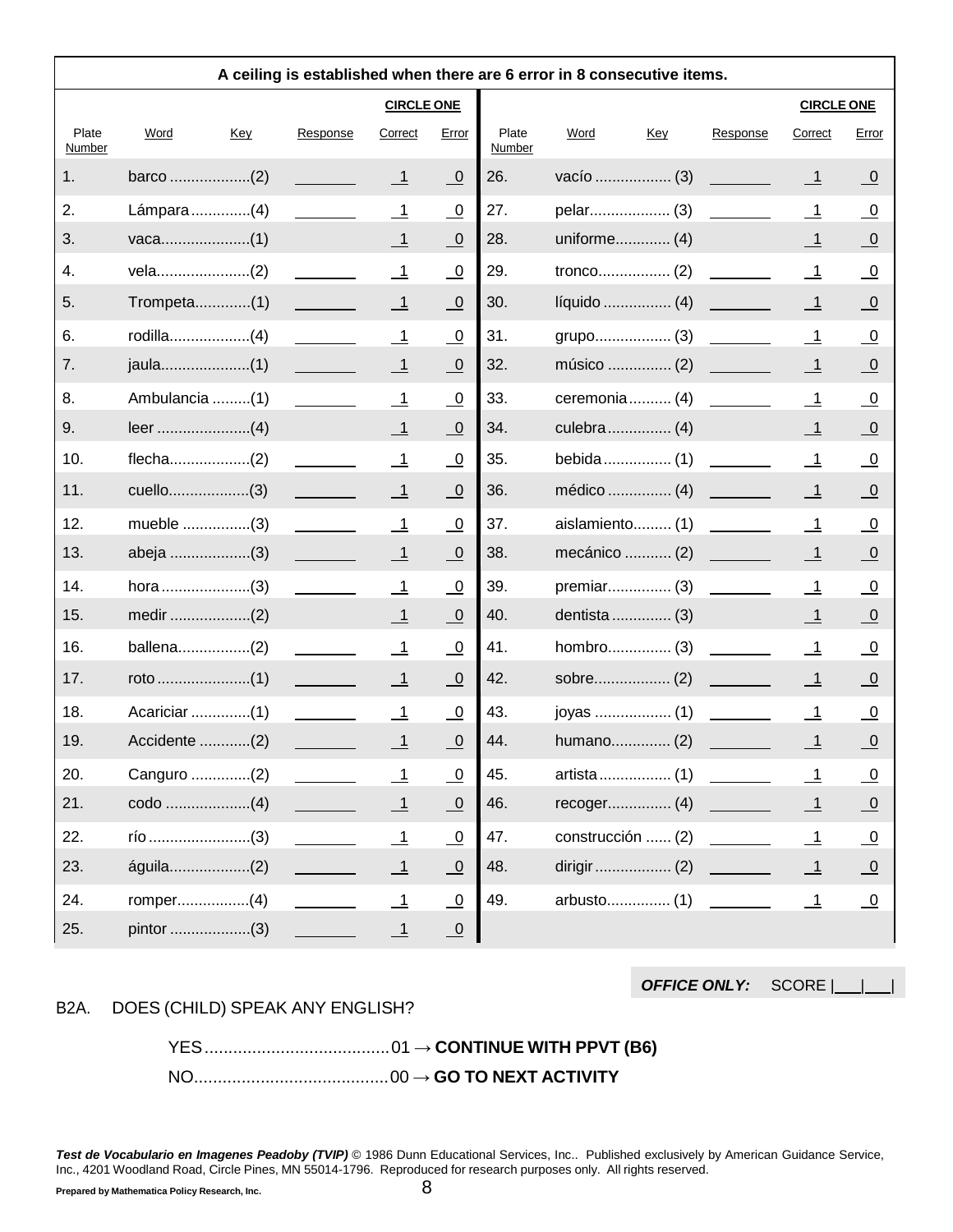|                 |                |                                |                           |                         |                 | A ceiling is established when there are 6 error in 8 consecutive items. |     |          |                          |                         |
|-----------------|----------------|--------------------------------|---------------------------|-------------------------|-----------------|-------------------------------------------------------------------------|-----|----------|--------------------------|-------------------------|
|                 |                |                                | <b>CIRCLE ONE</b>         |                         |                 |                                                                         |     |          | <b>CIRCLE ONE</b>        |                         |
| Plate<br>Number | Word<br>Key    | Response                       | Correct                   | Error                   | Plate<br>Number | Word                                                                    | Key | Response | Correct                  | Error                   |
| 1.              |                |                                | $\overline{1}$            | $\overline{\mathbf{0}}$ | 26.             |                                                                         |     |          | $\overline{\phantom{1}}$ | $\overline{0}$          |
| 2.              | Lámpara(4)     |                                | $\overline{1}$            | $\overline{\mathbf{0}}$ | 27.             |                                                                         |     |          | $\overline{\phantom{1}}$ | $\overline{0}$          |
| 3.              |                |                                | $\overline{1}$            | $\overline{\mathbf{0}}$ | 28.             | uniforme (4)                                                            |     |          | $\overline{\phantom{1}}$ | $\overline{\mathbf{0}}$ |
| 4.              |                |                                | $\overline{\phantom{0}}$  | $\overline{0}$          | 29.             |                                                                         |     |          | $\overline{\phantom{0}}$ | $\overline{0}$          |
| 5.              |                |                                | $\overline{\phantom{0}}$  | $\overline{0}$          | 30.             |                                                                         |     |          | $\overline{\phantom{1}}$ | $\overline{0}$          |
| 6.              | $r$ odilla(4)  |                                | $\overline{\mathbf{1}}$   | $\overline{\mathbf{0}}$ | 31.             | grupo (3)                                                               |     |          | $\overline{\mathbf{1}}$  | $\overline{0}$          |
| 7.              |                |                                | $\overline{\phantom{0}1}$ | $\overline{\mathbf{0}}$ | 32.             | músico  (2)                                                             |     |          | $\overline{\phantom{1}}$ | $\overline{\mathbf{0}}$ |
| 8.              | Ambulancia (1) |                                | $\overline{\phantom{0}}$  | $\overline{0}$          | 33.             | ceremonia (4)                                                           |     |          | $\overline{\mathbf{1}}$  | $\overline{0}$          |
| 9.              |                |                                | $\overline{1}$            | $\overline{\Omega}$     | 34.             |                                                                         |     |          | $\overline{\phantom{1}}$ | $\overline{\mathbf{0}}$ |
| 10.             |                |                                | $\overline{\phantom{0}}$  | $\overline{\mathbf{0}}$ | 35.             | bebida (1)                                                              |     |          | $\overline{\mathbf{1}}$  | $\overline{0}$          |
| 11.             | cuello(3)      |                                | $\overline{\phantom{0}}$  | $\overline{0}$          | 36.             | médico  (4)                                                             |     |          | $\overline{\phantom{1}}$ | $\overline{0}$          |
| 12.             | mueble (3)     |                                | $\overline{1}$            | $\overline{\mathbf{0}}$ | 37.             | aislamiento (1)                                                         |     |          | $\overline{1}$           | $\overline{0}$          |
| 13.             | abeja (3)      |                                | $\overline{\phantom{1}}$  | $\overline{0}$          | 38.             | mecánico  (2)                                                           |     |          | $\overline{\phantom{1}}$ | $\overline{0}$          |
| 14.             |                |                                | $\overline{1}$            | $\overline{\mathbf{0}}$ | 39.             | premiar (3)                                                             |     |          | $\overline{\phantom{1}}$ | $\overline{0}$          |
| 15.             |                |                                | $\overline{\phantom{0}}$  | $\overline{0}$          | 40.             | dentista  (3)                                                           |     |          | $\overline{\phantom{1}}$ | $\overline{\mathbf{0}}$ |
| 16.             | ballena(2)     |                                | $\mathbf{\underline{1}}$  | $\overline{0}$          | 41.             |                                                                         |     |          | $\overline{\mathbf{1}}$  | <u>_0</u>               |
| 17.             |                |                                | $\overline{1}$            | $\overline{\mathbf{0}}$ | 42.             |                                                                         |     |          | $\overline{1}$           | $\overline{0}$          |
| 18.             | Acariciar (1)  |                                | $\overline{\phantom{0}}$  | $\overline{0}$          | 43.             | joyas  (1)                                                              |     |          | $\overline{\phantom{1}}$ | $\overline{0}$          |
| 19.             | Accidente (2)  |                                | $\overline{1}$            | $\overline{0}$          | 44.             | humano (2)                                                              |     |          | $\overline{\phantom{1}}$ | $\overline{0}$          |
| 20.             | Canguro (2)    |                                | $\overline{\phantom{1}}$  | $\overline{0}$          | 45.             |                                                                         |     |          | $\overline{\phantom{0}}$ | $\overline{0}$          |
| 21.             |                |                                | $\overline{1}$            | $\underline{0}$         | 46.             |                                                                         |     |          | $\overline{1}$           | $\overline{\mathbf{0}}$ |
| 22.             |                |                                | $\overline{\mathbf{1}}$   | $\overline{0}$          | 47.             | construcción  (2)                                                       |     |          | $\overline{\mathbf{1}}$  | $\overline{0}$          |
| 23.             | águila(2)      | <u> 1999 - John Barnett, p</u> | $\overline{1}$            | $\underline{0}$         | 48.             |                                                                         |     |          | $\overline{\phantom{1}}$ | $\overline{\mathbf{0}}$ |
| 24.             |                |                                | $\overline{\phantom{0}}$  | $\overline{0}$          | 49.             |                                                                         |     |          | $\overline{\phantom{0}}$ | $\overline{\mathbf{0}}$ |
| 25.             |                |                                | $\overline{\phantom{1}}$  | $\overline{0}$          |                 |                                                                         |     |          |                          |                         |

*OFFICE ONLY:* SCORE | |

B2A. DOES (CHILD) SPEAK ANY ENGLISH?

YES.......................................01 → **CONTINUE WITH PPVT (B6)** NO.........................................00 → **GO TO NEXT ACTIVITY**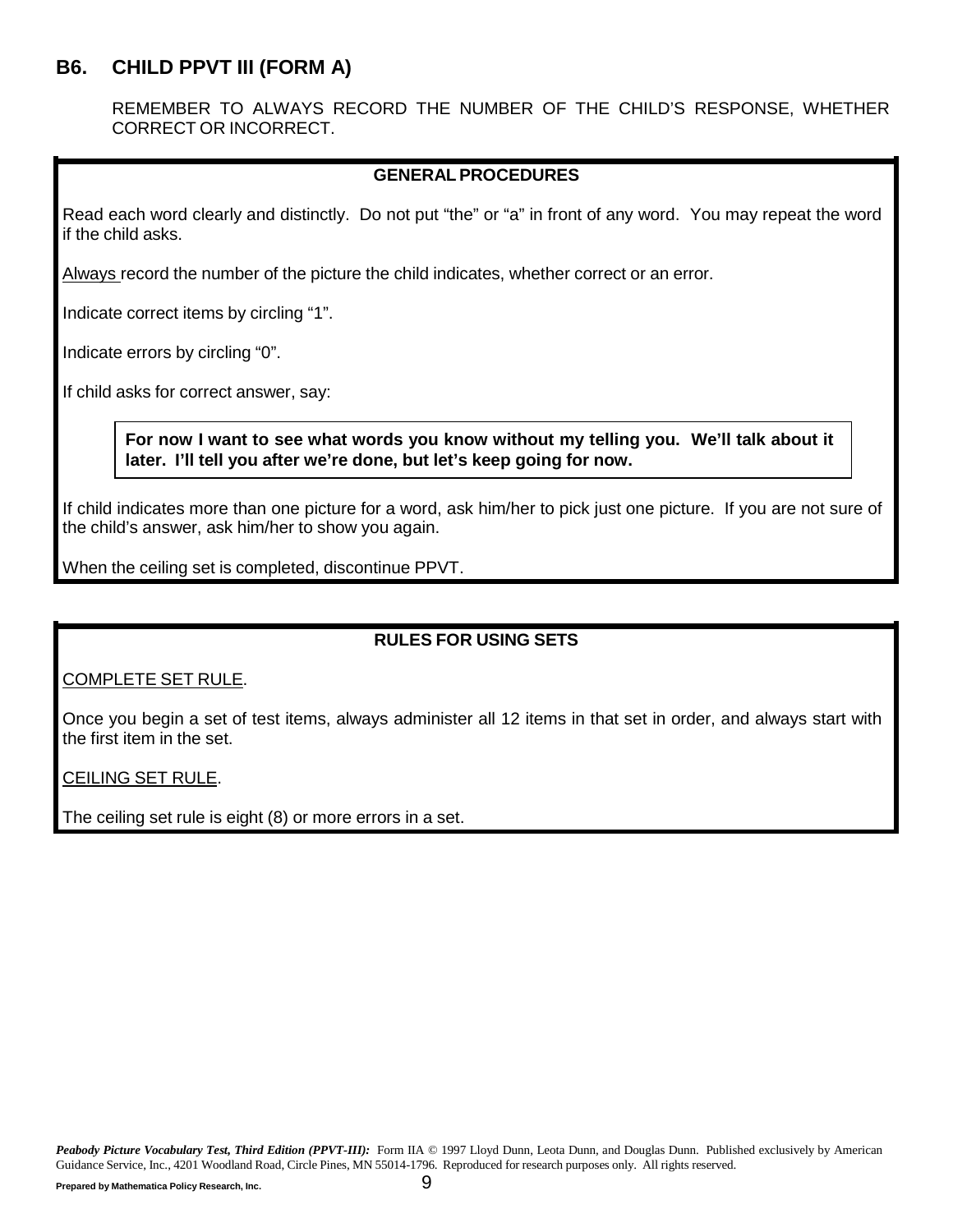## <span id="page-9-0"></span>**B6. CHILD PPVT III (FORM A)**

REMEMBER TO ALWAYS RECORD THE NUMBER OF THE CHILD'S RESPONSE, WHETHER CORRECT OR INCORRECT.

#### **GENERALPROCEDURES**

Read each word clearly and distinctly. Do not put "the" or "a" in front of any word. You may repeat the word if the child asks.

Always record the number of the picture the child indicates, whether correct or an error.

Indicate correct items by circling "1".

Indicate errors by circling "0".

If child asks for correct answer, say:

#### **For now I want to see what words you know without my telling you. We'll talk about it later. I'll tell you after we're done, but let's keep going for now.**

If child indicates more than one picture for a word, ask him/her to pick just one picture. If you are not sure of the child's answer, ask him/her to show you again.

When the ceiling set is completed, discontinue PPVT.

#### **RULES FOR USING SETS**

COMPLETE SET RULE.

Once you begin a set of test items, always administer all 12 items in that set in order, and always start with the first item in the set.

CEILING SET RULE.

The ceiling set rule is eight (8) or more errors in a set.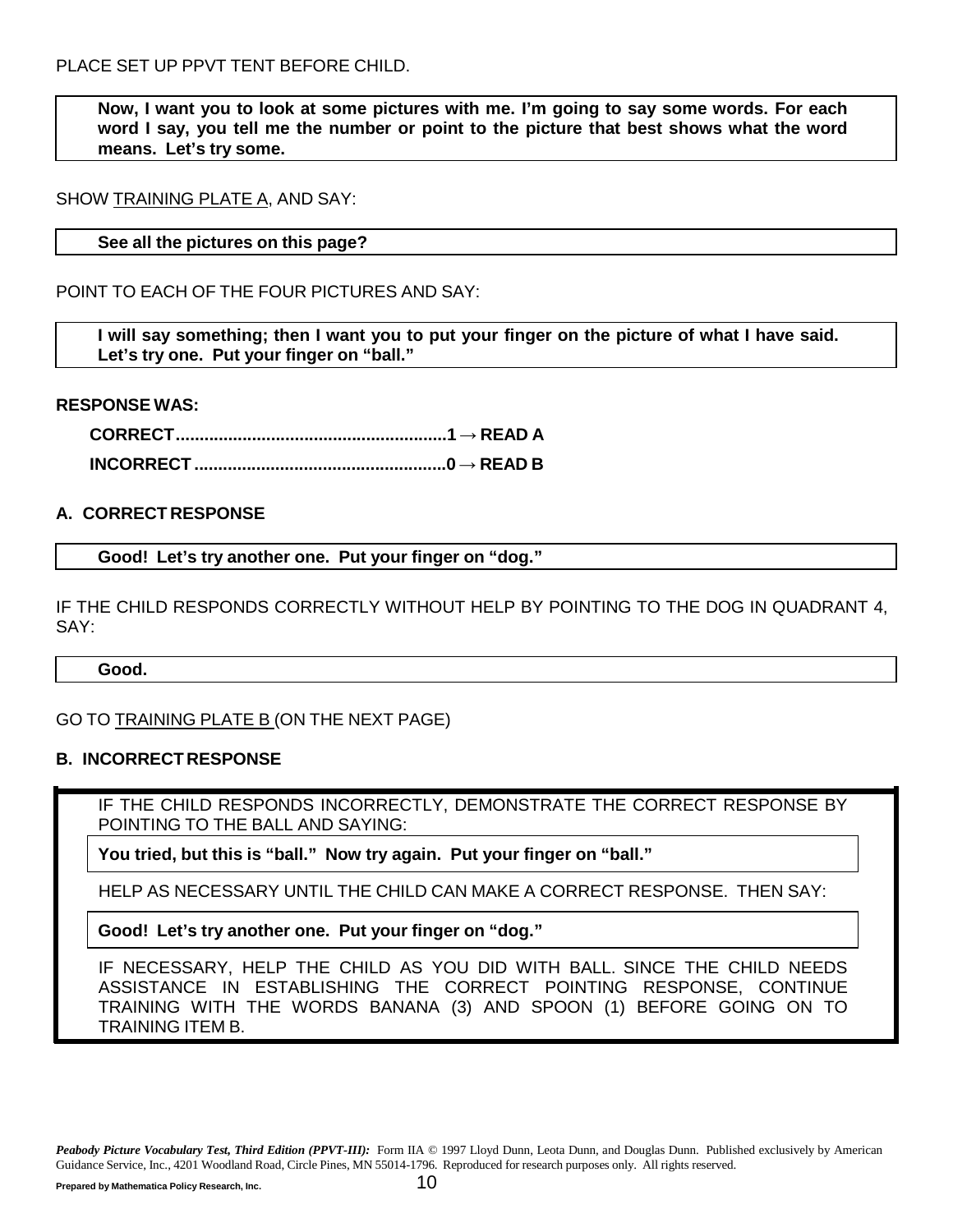**Now, I want you to look at some pictures with me. I'm going to say some words. For each word I say, you tell me the number or point to the picture that best shows what the word means. Let's try some.**

#### SHOW TRAINING PLATE A, AND SAY:

#### **See all the pictures on this page?**

POINT TO EACH OF THE FOUR PICTURES AND SAY:

I will say something; then I want you to put your finger on the picture of what I have said. **Let's try one. Put your finger on "ball."**

#### **RESPONSE WAS:**

**CORRECT.........................................................1 → READ A INCORRECT .....................................................0 → READ B**

#### **A. CORRECT RESPONSE**

**Good! Let's try another one. Put your finger on "dog."**

IF THE CHILD RESPONDS CORRECTLY WITHOUT HELP BY POINTING TO THE DOG IN QUADRANT 4, SAY:

**Good.**

GO TO TRAINING PLATE B (ON THE NEXT PAGE)

#### **B. INCORRECT RESPONSE**

IF THE CHILD RESPONDS INCORRECTLY, DEMONSTRATE THE CORRECT RESPONSE BY POINTING TO THE BALL AND SAYING:

**You tried, but this is "ball." Now try again. Put your finger on "ball."**

HELP AS NECESSARY UNTIL THE CHILD CAN MAKE A CORRECT RESPONSE. THEN SAY:

**Good! Let's try another one. Put your finger on "dog."**

IF NECESSARY, HELP THE CHILD AS YOU DID WITH BALL. SINCE THE CHILD NEEDS ASSISTANCE IN ESTABLISHING THE CORRECT POINTING RESPONSE, CONTINUE TRAINING WITH THE WORDS BANANA (3) AND SPOON (1) BEFORE GOING ON TO TRAINING ITEM B.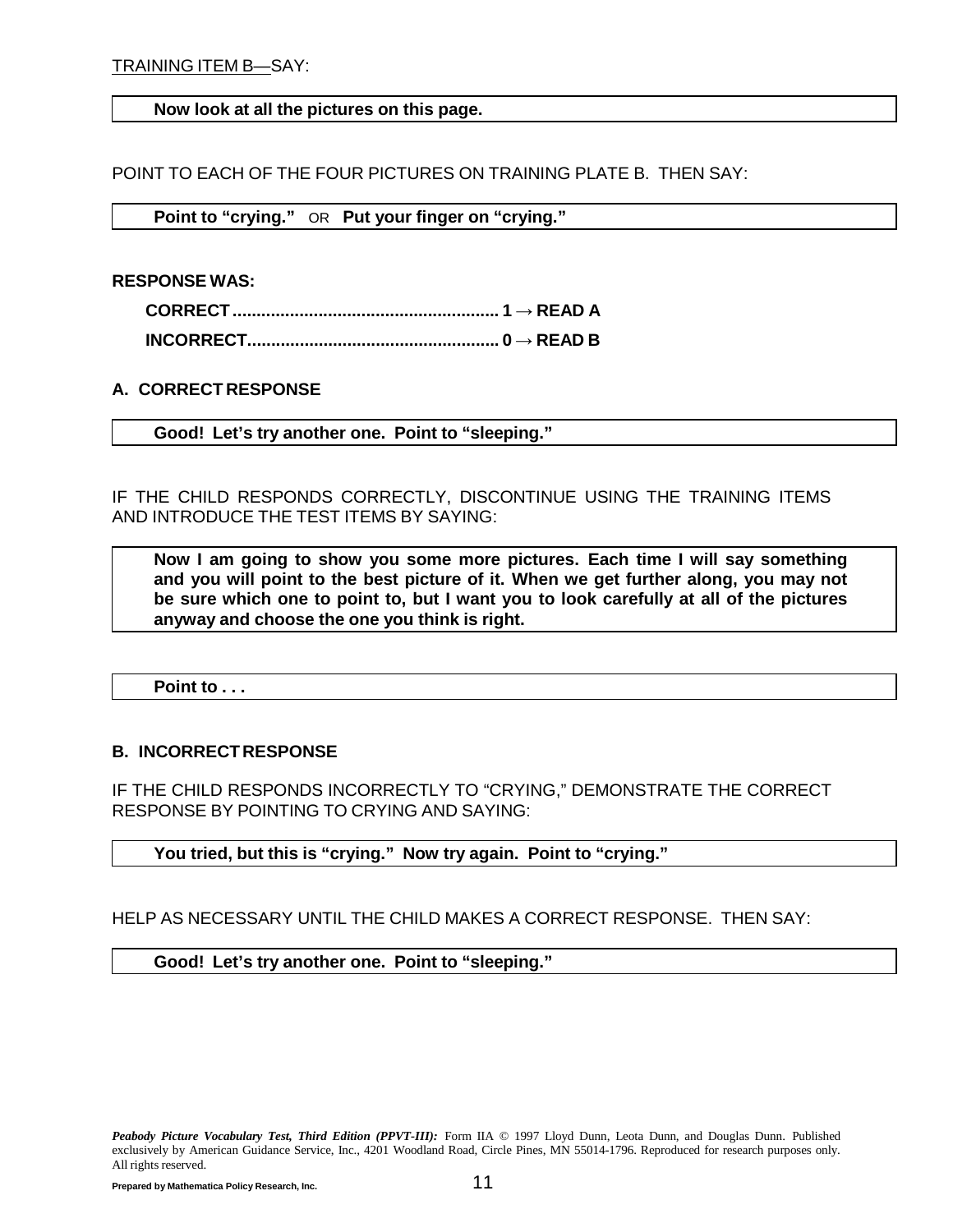#### **Now look at all the pictures on this page.**

POINT TO EACH OF THE FOUR PICTURES ON TRAINING PLATE B. THEN SAY:

**Point to "crying."** OR **Put your finger on "crying."**

**RESPONSE WAS:**

**A. CORRECT RESPONSE**

**Good! Let's try another one. Point to "sleeping."**

IF THE CHILD RESPONDS CORRECTLY, DISCONTINUE USING THE TRAINING ITEMS AND INTRODUCE THE TEST ITEMS BY SAYING:

**Now I am going to show you some more pictures. Each time I will say something and you will point to the best picture of it. When we get further along, you may not be sure which one to point to, but I want you to look carefully at all of the pictures anyway and choose the one you think is right.**

**Point to . . .**

#### **B. INCORRECT RESPONSE**

IF THE CHILD RESPONDS INCORRECTLY TO "CRYING," DEMONSTRATE THE CORRECT RESPONSE BY POINTING TO CRYING AND SAYING:

#### **You tried, but this is "crying." Now try again. Point to "crying."**

HELP AS NECESSARY UNTIL THE CHILD MAKES A CORRECT RESPONSE. THEN SAY:

**Good! Let's try another one. Point to "sleeping."**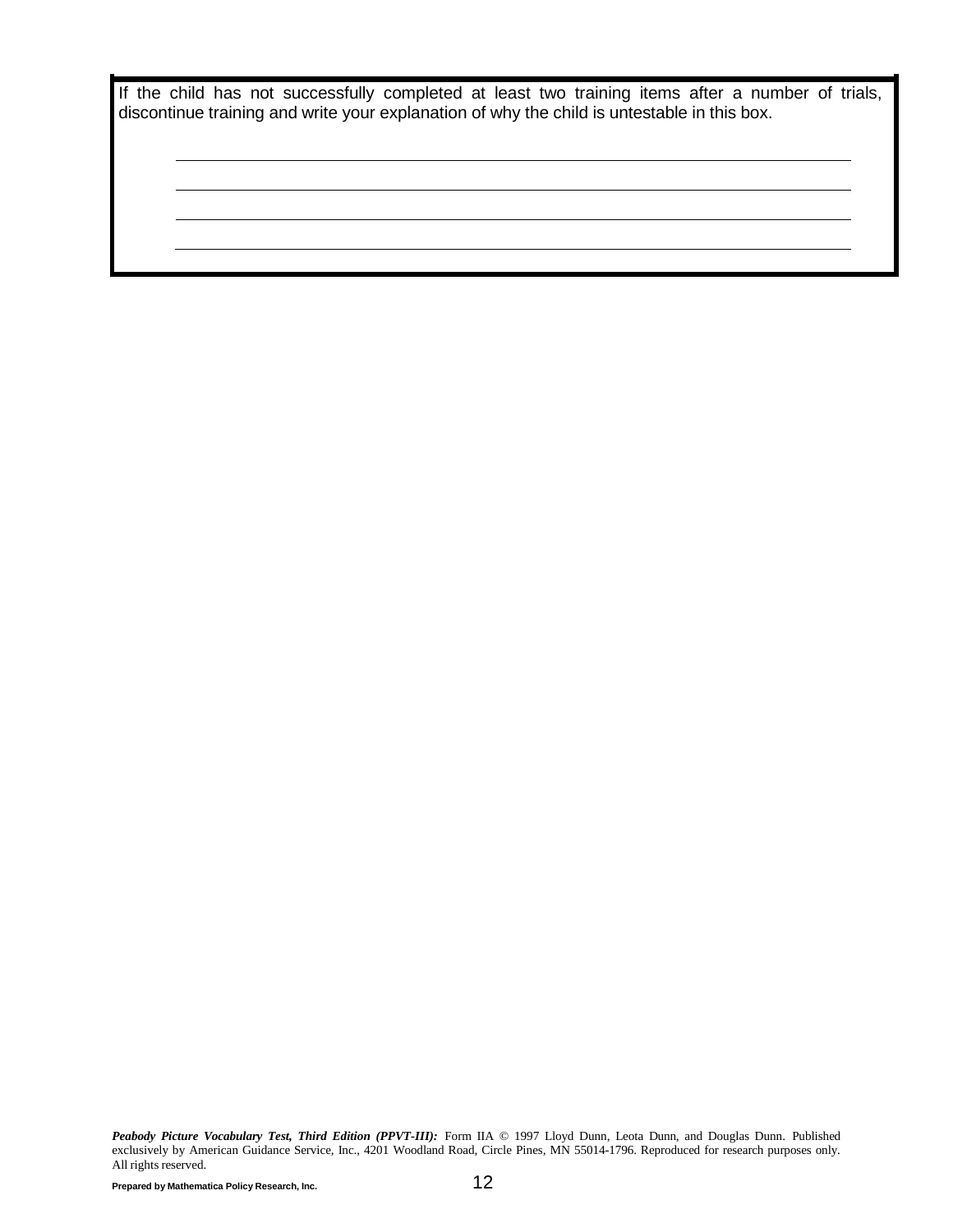|  |  | If the child has not successfully completed at least two training items after a number of trials, |  |  |  |  |  |  |
|--|--|---------------------------------------------------------------------------------------------------|--|--|--|--|--|--|
|  |  | discontinue training and write your explanation of why the child is untestable in this box.       |  |  |  |  |  |  |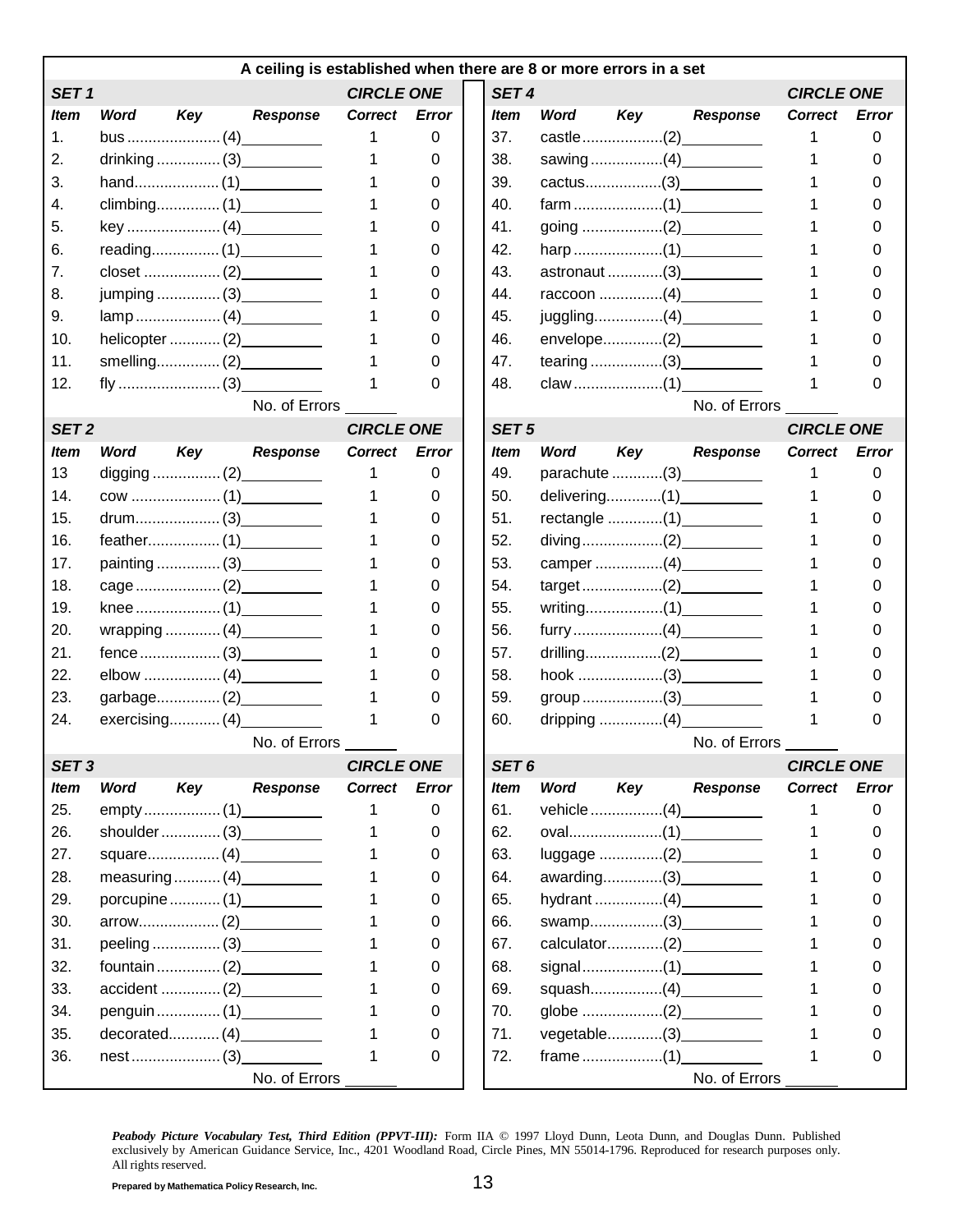|                  |             |     | A ceiling is established when there are 8 or more errors in a set |                   |              |                  |             |     |                           |                   |              |
|------------------|-------------|-----|-------------------------------------------------------------------|-------------------|--------------|------------------|-------------|-----|---------------------------|-------------------|--------------|
| SET <sub>1</sub> |             |     |                                                                   | <b>CIRCLE ONE</b> |              | SET <sub>4</sub> |             |     |                           | <b>CIRCLE ONE</b> |              |
| <i>Item</i>      | Word        | Key | <b>Response</b>                                                   | <b>Correct</b>    | <b>Error</b> | <i>Item</i>      | <b>Word</b> | Key | <b>Response</b>           | <b>Correct</b>    | Error        |
| 1.               |             |     |                                                                   |                   | 0            | 37.              |             |     |                           |                   | 0            |
| 2.               |             |     |                                                                   |                   | 0            | 38.              |             |     |                           |                   | 0            |
| 3.               |             |     |                                                                   |                   | 0            | 39.              |             |     |                           |                   |              |
| 4.               |             |     |                                                                   |                   | 0            | 40.              |             |     |                           |                   |              |
| 5.               |             |     |                                                                   |                   | 0            | 41.              |             |     |                           |                   |              |
| 6.               |             |     |                                                                   |                   | 0            | 42.              |             |     |                           |                   |              |
| 7.               |             |     |                                                                   |                   | 0            | 43.              |             |     | astronaut (3)___________  |                   |              |
| 8.               |             |     | jumping  (3) __________                                           |                   | 0            | 44.              |             |     | raccoon (4)               |                   |              |
| 9.               |             |     |                                                                   |                   | 0            | 45.              |             |     | juggling(4)               |                   |              |
| 10.              |             |     |                                                                   |                   | 0            | 46.              |             |     |                           |                   |              |
| 11.              |             |     |                                                                   |                   | 0            | 47.              |             |     |                           |                   | O            |
| 12.              |             |     |                                                                   |                   | 0            | 48.              |             |     |                           |                   | 0            |
|                  |             |     | No. of Errors                                                     |                   |              |                  |             |     | No. of Errors             |                   |              |
| SET <sub>2</sub> |             |     |                                                                   | <b>CIRCLE ONE</b> |              | SET <sub>5</sub> |             |     |                           | <b>CIRCLE ONE</b> |              |
| <b>Item</b>      | <b>Word</b> | Key | <b>Response</b>                                                   | Correct           | <b>Error</b> | <b>Item</b>      | Word        | Key | <b>Response</b>           | <b>Correct</b>    | Error        |
| 13               |             |     |                                                                   |                   | 0            | 49.              |             |     | parachute (3) __________  |                   | 0            |
| 14.              |             |     |                                                                   |                   | 0            | 50.              |             |     |                           |                   | 0            |
| 15.              |             |     |                                                                   |                   | 0            | 51.              |             |     | rectangle (1) ___________ |                   |              |
| 16.              |             |     |                                                                   |                   | 0            | 52.              |             |     |                           |                   |              |
| 17.              |             |     | painting  (3)                                                     |                   | 0            | 53.              |             |     | camper (4)                |                   |              |
| 18.              |             |     |                                                                   |                   | 0            | 54.              |             |     |                           |                   |              |
| 19.              |             |     |                                                                   |                   | 0            | 55.              |             |     |                           |                   |              |
| 20.              |             |     |                                                                   |                   | 0            | 56.              |             |     |                           |                   |              |
| 21.              |             |     | $fence  \dots (3)$                                                |                   | 0            | 57.              |             |     |                           |                   |              |
| 22.              |             |     |                                                                   |                   | 0            | 58.              |             |     |                           |                   |              |
| 23.              |             |     | garbage(2)                                                        |                   | 0            | 59.              |             |     |                           |                   | 0            |
| 24.              |             |     |                                                                   |                   | 0            | 60.              |             |     |                           |                   | 0            |
|                  |             |     | No. of Errors                                                     |                   |              |                  |             |     | No. of Errors             |                   |              |
| SET <sub>3</sub> |             |     |                                                                   | <b>CIRCLE ONE</b> |              | SET 6            |             |     |                           | <b>CIRCLE ONE</b> |              |
| <b>Item</b>      | <b>Word</b> | Key | <b>Response</b>                                                   | <b>Correct</b>    | <b>Error</b> | <b>Item</b>      | Word        | Key | <b>Response</b>           | <b>Correct</b>    | <b>Error</b> |
| 25.              |             |     |                                                                   |                   | 0            | 61.              |             |     | vehicle(4)                | 1                 | 0            |
| 26.              |             |     | shoulder  (3) ___________                                         |                   | 0            | 62.              |             |     |                           |                   | 0            |
| 27.              |             |     |                                                                   |                   | 0            | 63.              |             |     | luggage (2)               |                   | 0            |
| 28.              |             |     | measuring (4) __________                                          |                   | 0            | 64.              |             |     | awarding(3) ___________   |                   | 0            |
| 29.              |             |     | porcupine  (1) ___________                                        |                   | 0            | 65.              |             |     | hydrant (4)               |                   | 0            |
| 30.              |             |     |                                                                   |                   | 0            | 66.              |             |     | swamp(3)                  | 1                 | 0            |
| 31.              |             |     |                                                                   |                   | 0            | 67.              |             |     | calculator(2)             |                   | 0            |
| 32.              |             |     | fountain(2)                                                       |                   | 0            | 68.              |             |     |                           | 1                 | 0            |
| 33.              |             |     |                                                                   |                   | 0            | 69.              |             |     | squash(4)                 | 1                 | 0            |
| 34.              |             |     | penguin  (1)                                                      |                   | 0            | 70.              |             |     |                           |                   | 0            |
| 35.              |             |     | decorated(4)                                                      |                   | 0            | 71.              |             |     | vegetable(3)              | 1                 | O            |
| 36.              |             |     |                                                                   |                   | 0            | 72.              |             |     |                           |                   | 0            |
|                  |             |     | No. of Errors                                                     |                   |              |                  |             |     | No. of Errors             |                   |              |
|                  |             |     |                                                                   |                   |              |                  |             |     |                           |                   |              |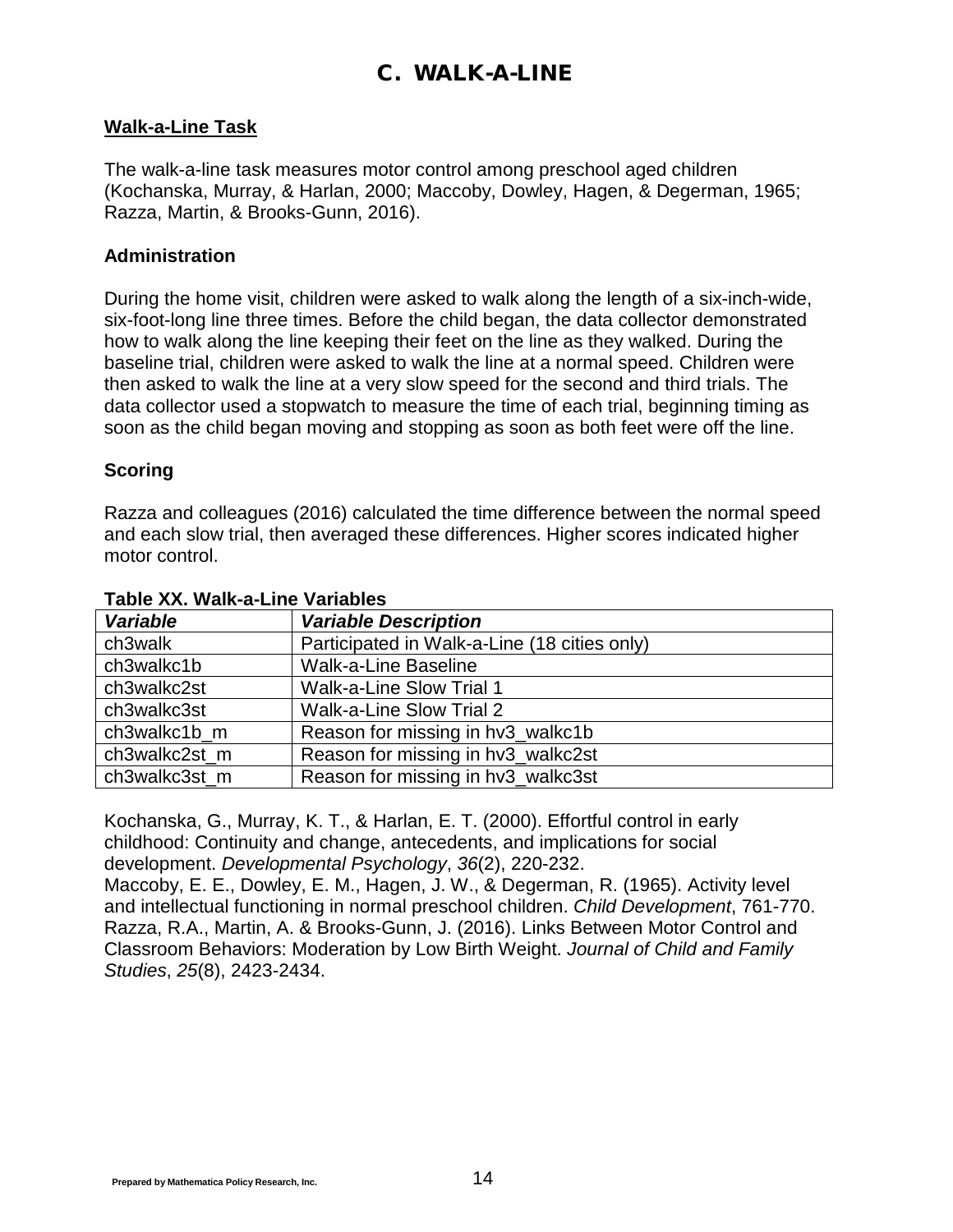## C. WALK-A-LINE

#### <span id="page-14-0"></span>**Walk-a-Line Task**

The walk-a-line task measures motor control among preschool aged children (Kochanska, Murray, & Harlan, 2000; Maccoby, Dowley, Hagen, & Degerman, 1965; Razza, Martin, & Brooks-Gunn, 2016).

#### **Administration**

During the home visit, children were asked to walk along the length of a six-inch-wide, six-foot-long line three times. Before the child began, the data collector demonstrated how to walk along the line keeping their feet on the line as they walked. During the baseline trial, children were asked to walk the line at a normal speed. Children were then asked to walk the line at a very slow speed for the second and third trials. The data collector used a stopwatch to measure the time of each trial, beginning timing as soon as the child began moving and stopping as soon as both feet were off the line.

#### **Scoring**

Razza and colleagues (2016) calculated the time difference between the normal speed and each slow trial, then averaged these differences. Higher scores indicated higher motor control.

| <b>Variable</b> | <b>Variable Description</b>                  |
|-----------------|----------------------------------------------|
| ch3walk         | Participated in Walk-a-Line (18 cities only) |
| ch3walkc1b      | <b>Walk-a-Line Baseline</b>                  |
| ch3walkc2st     | Walk-a-Line Slow Trial 1                     |
| ch3walkc3st     | Walk-a-Line Slow Trial 2                     |
| ch3walkc1b m    | Reason for missing in hv3_walkc1b            |
| ch3walkc2st m   | Reason for missing in hv3_walkc2st           |
| ch3walkc3st m   | Reason for missing in hv3_walkc3st           |

#### **Table XX. Walk-a-Line Variables**

Kochanska, G., Murray, K. T., & Harlan, E. T. (2000). Effortful control in early childhood: Continuity and change, antecedents, and implications for social development. *Developmental Psychology*, *36*(2), 220-232.

Maccoby, E. E., Dowley, E. M., Hagen, J. W., & Degerman, R. (1965). Activity level and intellectual functioning in normal preschool children. *Child Development*, 761-770. Razza, R.A., Martin, A. & Brooks-Gunn, J. (2016). Links Between Motor Control and Classroom Behaviors: Moderation by Low Birth Weight. *Journal of Child and Family Studies*, *25*(8), 2423-2434.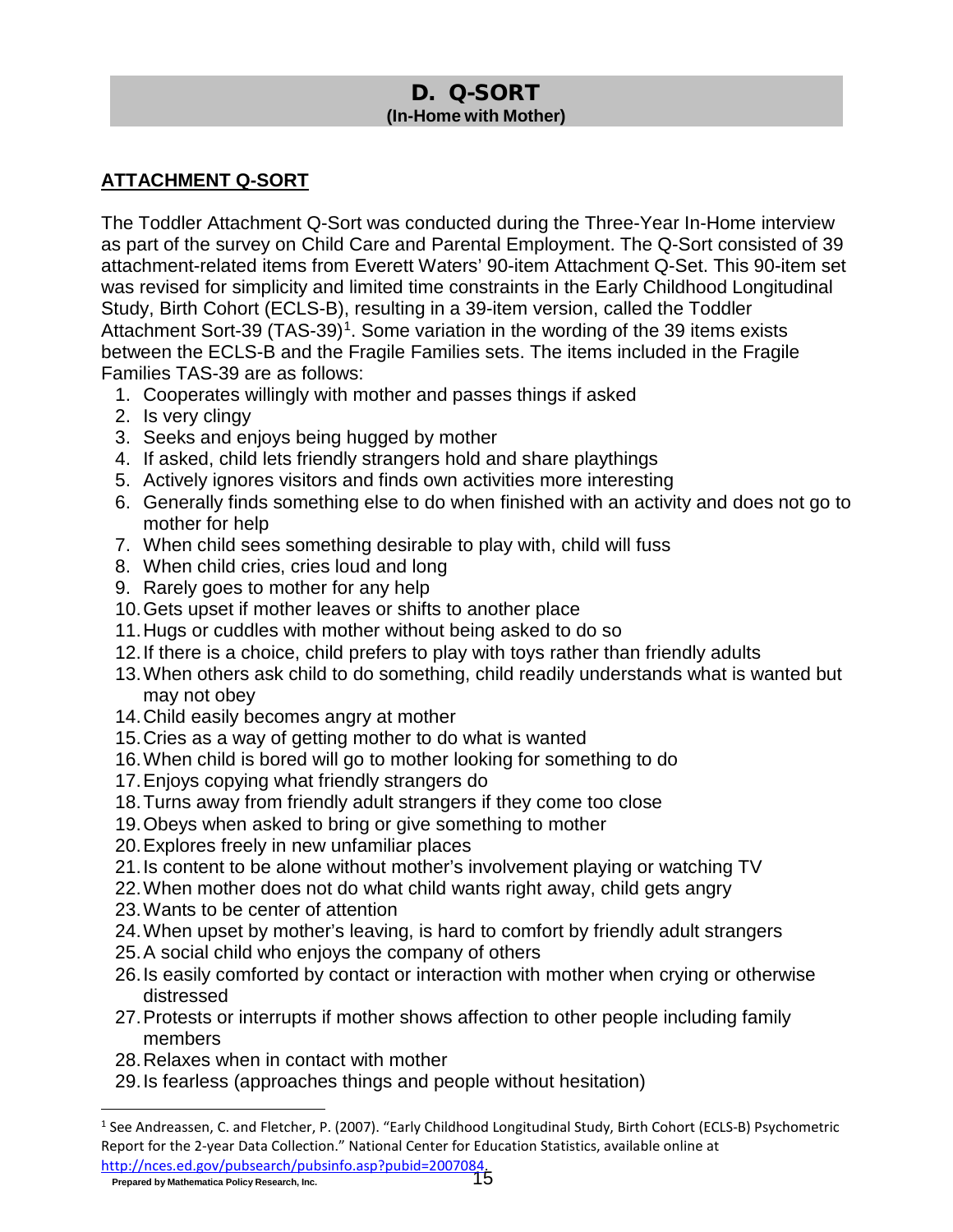### D. Q-SORT **(In-Home with Mother)**

### <span id="page-15-0"></span>**ATTACHMENT Q-SORT**

The Toddler Attachment Q-Sort was conducted during the Three-Year In-Home interview as part of the survey on Child Care and Parental Employment. The Q-Sort consisted of 39 attachment-related items from Everett Waters' 90-item Attachment Q-Set. This 90-item set was revised for simplicity and limited time constraints in the Early Childhood Longitudinal Study, Birth Cohort (ECLS-B), resulting in a 39-item version, called the Toddler Attachment Sort-39 (TAS-39)<sup>1</sup>. Some variation in the wording of the 39 items exists between the ECLS-B and the Fragile Families sets. The items included in the Fragile Families TAS-39 are as follows:

- 1. Cooperates willingly with mother and passes things if asked
- 2. Is very clingy
- 3. Seeks and enjoys being hugged by mother
- 4. If asked, child lets friendly strangers hold and share playthings
- 5. Actively ignores visitors and finds own activities more interesting
- 6. Generally finds something else to do when finished with an activity and does not go to mother for help
- 7. When child sees something desirable to play with, child will fuss
- 8. When child cries, cries loud and long
- 9. Rarely goes to mother for any help
- 10.Gets upset if mother leaves or shifts to another place
- 11.Hugs or cuddles with mother without being asked to do so
- 12.If there is a choice, child prefers to play with toys rather than friendly adults
- 13.When others ask child to do something, child readily understands what is wanted but may not obey
- 14.Child easily becomes angry at mother
- 15.Cries as a way of getting mother to do what is wanted
- 16.When child is bored will go to mother looking for something to do
- 17.Enjoys copying what friendly strangers do
- 18.Turns away from friendly adult strangers if they come too close
- 19.Obeys when asked to bring or give something to mother
- 20.Explores freely in new unfamiliar places
- 21.Is content to be alone without mother's involvement playing or watching TV
- 22.When mother does not do what child wants right away, child gets angry
- 23.Wants to be center of attention
- 24.When upset by mother's leaving, is hard to comfort by friendly adult strangers
- 25.A social child who enjoys the company of others
- 26.Is easily comforted by contact or interaction with mother when crying or otherwise distressed
- 27.Protests or interrupts if mother shows affection to other people including family members
- 28.Relaxes when in contact with mother
- 29.Is fearless (approaches things and people without hesitation)

<span id="page-15-1"></span><sup>&</sup>lt;sup>1</sup> See Andreassen, C. and Fletcher, P. (2007). "Early Childhood Longitudinal Study, Birth Cohort (ECLS-B) Psychometric Report for the 2-year Data Collection." National Center for Education Statistics, available online at [http://nces.ed.gov/pubsearch/pubsinfo.asp?pubid=2007084.](http://nces.ed.gov/pubsearch/pubsinfo.asp?pubid=2007084)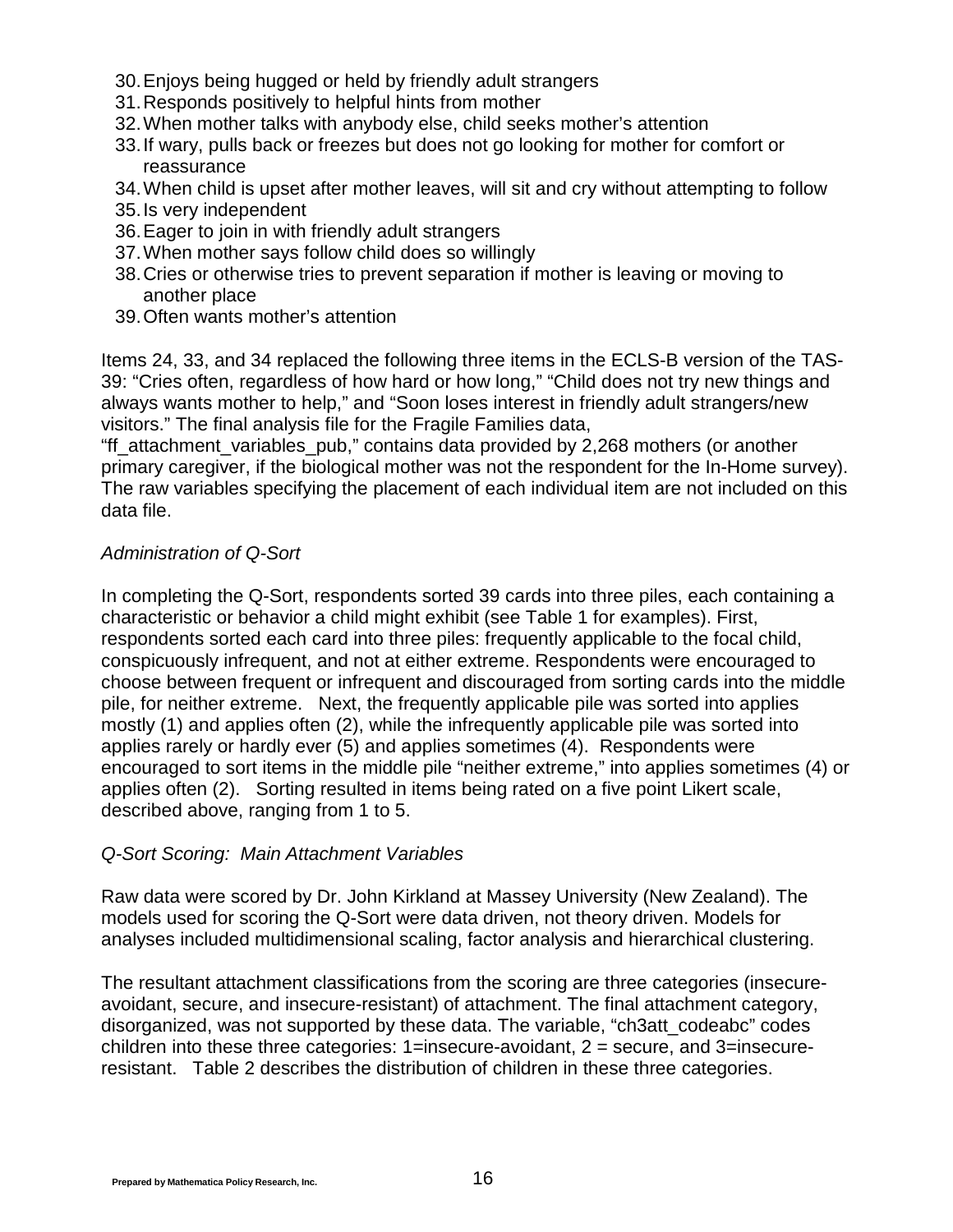- 30.Enjoys being hugged or held by friendly adult strangers
- 31.Responds positively to helpful hints from mother
- 32.When mother talks with anybody else, child seeks mother's attention
- 33.If wary, pulls back or freezes but does not go looking for mother for comfort or reassurance
- 34.When child is upset after mother leaves, will sit and cry without attempting to follow
- 35.Is very independent
- 36.Eager to join in with friendly adult strangers
- 37.When mother says follow child does so willingly
- 38.Cries or otherwise tries to prevent separation if mother is leaving or moving to another place
- 39.Often wants mother's attention

Items 24, 33, and 34 replaced the following three items in the ECLS-B version of the TAS-39: "Cries often, regardless of how hard or how long," "Child does not try new things and always wants mother to help," and "Soon loses interest in friendly adult strangers/new visitors." The final analysis file for the Fragile Families data,

"ff\_attachment\_variables\_pub," contains data provided by 2,268 mothers (or another primary caregiver, if the biological mother was not the respondent for the In-Home survey). The raw variables specifying the placement of each individual item are not included on this data file.

#### *Administration of Q-Sort*

In completing the Q-Sort, respondents sorted 39 cards into three piles, each containing a characteristic or behavior a child might exhibit (see Table 1 for examples). First, respondents sorted each card into three piles: frequently applicable to the focal child, conspicuously infrequent, and not at either extreme. Respondents were encouraged to choose between frequent or infrequent and discouraged from sorting cards into the middle pile, for neither extreme. Next, the frequently applicable pile was sorted into applies mostly (1) and applies often (2), while the infrequently applicable pile was sorted into applies rarely or hardly ever (5) and applies sometimes (4). Respondents were encouraged to sort items in the middle pile "neither extreme," into applies sometimes (4) or applies often (2). Sorting resulted in items being rated on a five point Likert scale, described above, ranging from 1 to 5.

#### *Q-Sort Scoring: Main Attachment Variables*

Raw data were scored by Dr. John Kirkland at Massey University (New Zealand). The models used for scoring the Q-Sort were data driven, not theory driven. Models for analyses included multidimensional scaling, factor analysis and hierarchical clustering.

The resultant attachment classifications from the scoring are three categories (insecureavoidant, secure, and insecure-resistant) of attachment. The final attachment category, disorganized, was not supported by these data. The variable, "ch3att\_codeabc" codes children into these three categories: 1=insecure-avoidant, 2 = secure, and 3=insecureresistant. Table 2 describes the distribution of children in these three categories.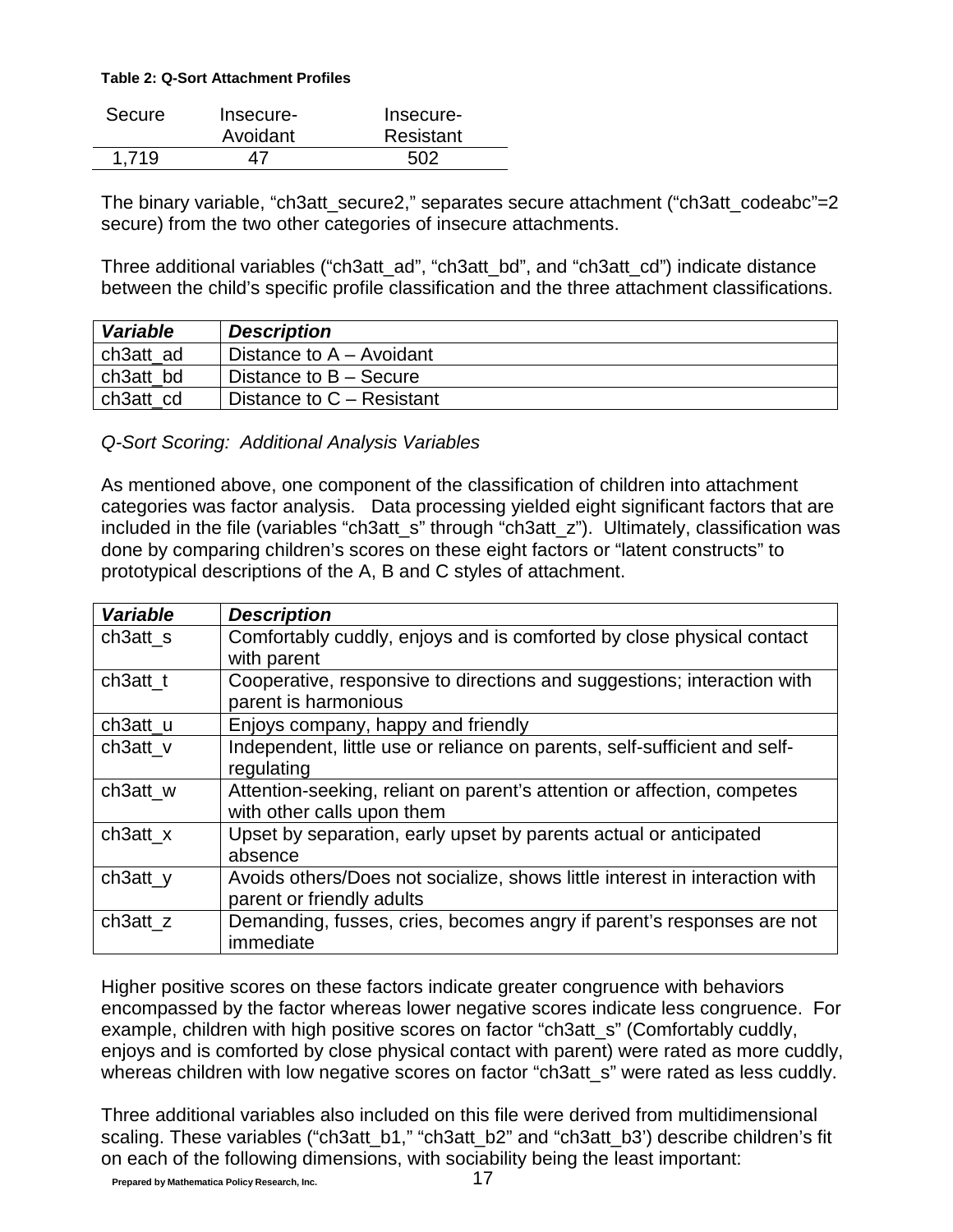#### **Table 2: Q-Sort Attachment Profiles**

| Secure | Insecure- | Insecure- |
|--------|-----------|-----------|
|        | Avoidant  | Resistant |
| 1,719  |           | 502       |

The binary variable, "ch3att\_secure2," separates secure attachment ("ch3att\_codeabc"=2 secure) from the two other categories of insecure attachments.

Three additional variables ("ch3att\_ad", "ch3att\_bd", and "ch3att\_cd") indicate distance between the child's specific profile classification and the three attachment classifications.

| <b>Variable</b> | <b>Description</b>        |
|-----------------|---------------------------|
| ch3att ad       | Distance to A – Avoidant  |
| ch3att bd       | Distance to B – Secure    |
| ch3att cd       | Distance to C - Resistant |

*Q-Sort Scoring: Additional Analysis Variables*

As mentioned above, one component of the classification of children into attachment categories was factor analysis. Data processing yielded eight significant factors that are included in the file (variables "ch3att\_s" through "ch3att\_z"). Ultimately, classification was done by comparing children's scores on these eight factors or "latent constructs" to prototypical descriptions of the A, B and C styles of attachment.

| <b>Variable</b> | <b>Description</b>                                                          |
|-----------------|-----------------------------------------------------------------------------|
| ch3att_s        | Comfortably cuddly, enjoys and is comforted by close physical contact       |
|                 | with parent                                                                 |
| $ch3att_t$      | Cooperative, responsive to directions and suggestions; interaction with     |
|                 | parent is harmonious                                                        |
| ch3att_u        | Enjoys company, happy and friendly                                          |
| ch3att v        | Independent, little use or reliance on parents, self-sufficient and self-   |
|                 | regulating                                                                  |
| ch3att_w        | Attention-seeking, reliant on parent's attention or affection, competes     |
|                 | with other calls upon them                                                  |
| $ch3att_x$      | Upset by separation, early upset by parents actual or anticipated           |
|                 | absence                                                                     |
| ch3att_y        | Avoids others/Does not socialize, shows little interest in interaction with |
|                 | parent or friendly adults                                                   |
| ch3att z        | Demanding, fusses, cries, becomes angry if parent's responses are not       |
|                 | immediate                                                                   |

Higher positive scores on these factors indicate greater congruence with behaviors encompassed by the factor whereas lower negative scores indicate less congruence. For example, children with high positive scores on factor "ch3att s" (Comfortably cuddly, enjoys and is comforted by close physical contact with parent) were rated as more cuddly, whereas children with low negative scores on factor "ch3att s" were rated as less cuddly.

Three additional variables also included on this file were derived from multidimensional scaling. These variables ("ch3att\_b1," "ch3att\_b2" and "ch3att\_b3') describe children's fit on each of the following dimensions, with sociability being the least important: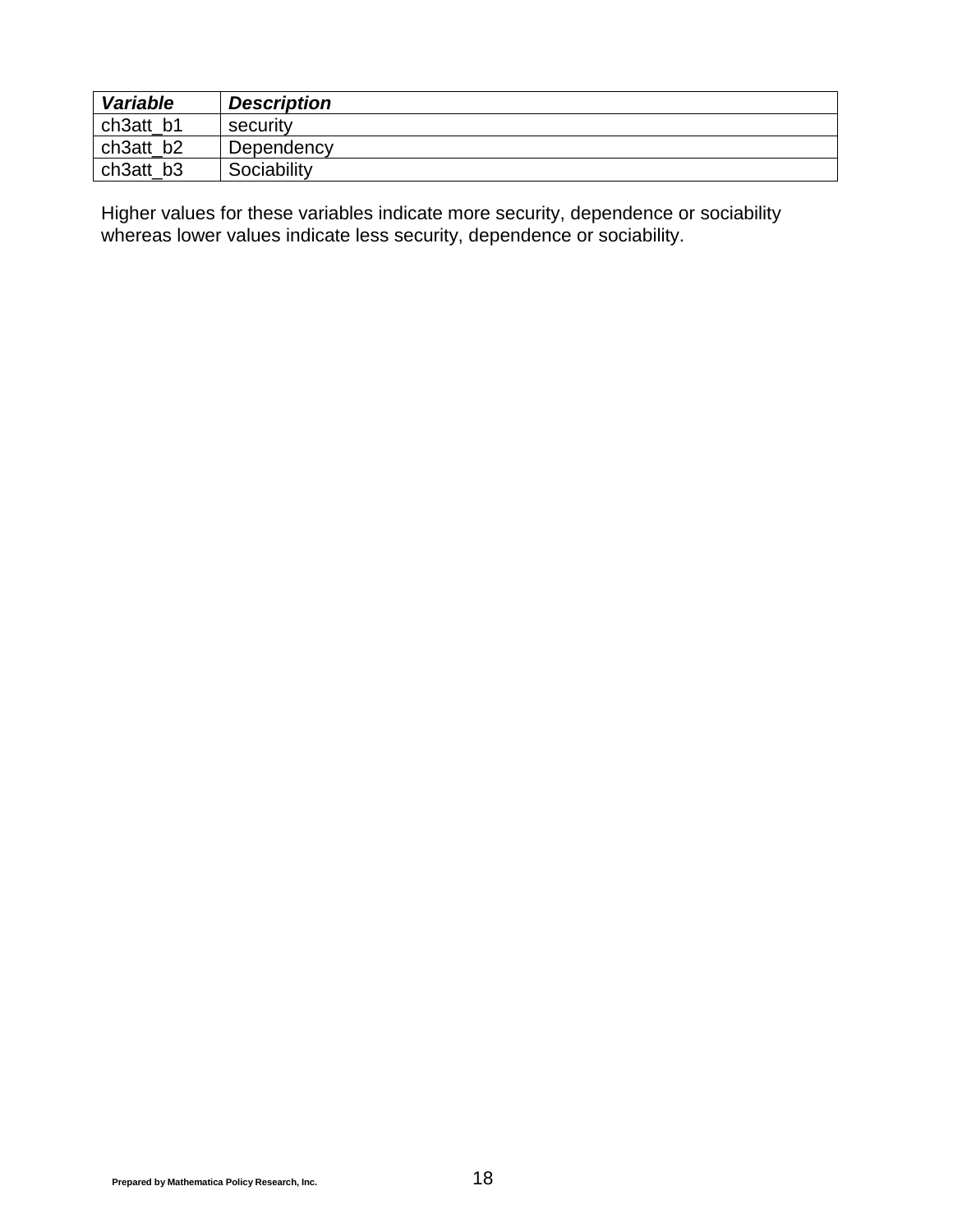| <b>Variable</b> | <b>Description</b> |
|-----------------|--------------------|
| ch3att b1       | security           |
| ch3att b2       | Dependency         |
| ch3att_b3       | Sociability        |

Higher values for these variables indicate more security, dependence or sociability whereas lower values indicate less security, dependence or sociability.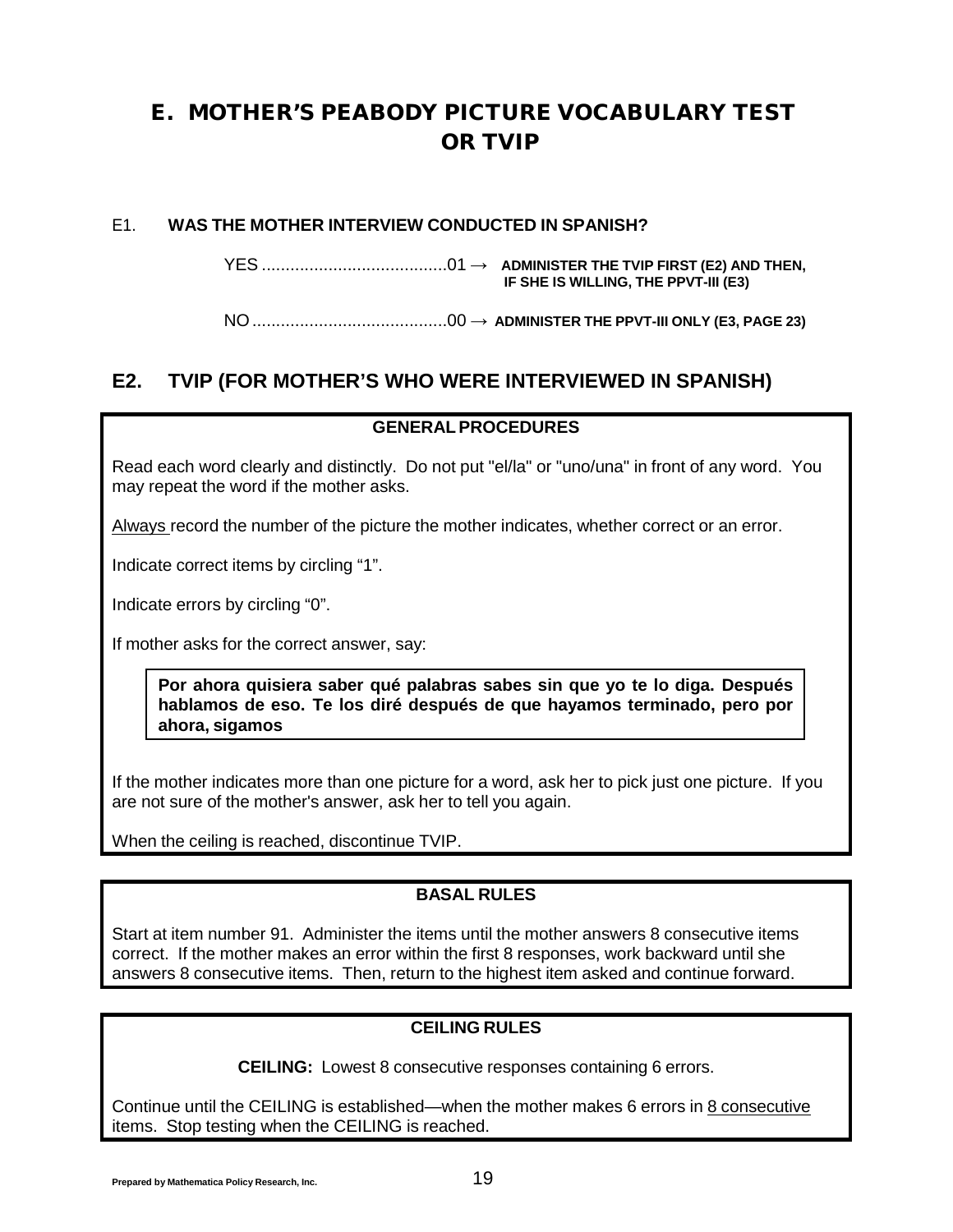## <span id="page-19-0"></span>E. MOTHER'S PEABODY PICTURE VOCABULARY TEST OR TVIP

#### E1. **WAS THE MOTHER INTERVIEW CONDUCTED IN SPANISH?**

YES .......................................01 → **ADMINISTER THE TVIP FIRST (E2) AND THEN, IF SHE IS WILLING, THE PPVT-III (E3)**

NO.........................................00 → **ADMINISTER THE PPVT-III ONLY (E3, PAGE [23\)](#page-26-0)**

## **E2. TVIP (FOR MOTHER'S WHO WERE INTERVIEWED IN SPANISH)**

#### **GENERALPROCEDURES**

Read each word clearly and distinctly. Do not put "el/la" or "uno/una" in front of any word. You may repeat the word if the mother asks.

Always record the number of the picture the mother indicates, whether correct or an error.

Indicate correct items by circling "1".

Indicate errors by circling "0".

If mother asks for the correct answer, say:

**Por ahora quisiera saber qué palabras sabes sin que yo te lo diga. Después hablamos de eso. Te los diré después de que hayamos terminado, pero por ahora, sigamos**

If the mother indicates more than one picture for a word, ask her to pick just one picture. If you are not sure of the mother's answer, ask her to tell you again.

When the ceiling is reached, discontinue TVIP.

#### **BASAL RULES**

Start at item number 91. Administer the items until the mother answers 8 consecutive items correct. If the mother makes an error within the first 8 responses, work backward until she answers 8 consecutive items. Then, return to the highest item asked and continue forward.

#### **CEILING RULES**

**CEILING:** Lowest 8 consecutive responses containing 6 errors.

Continue until the CEILING is established—when the mother makes 6 errors in 8 consecutive items. Stop testing when the CEILING is reached.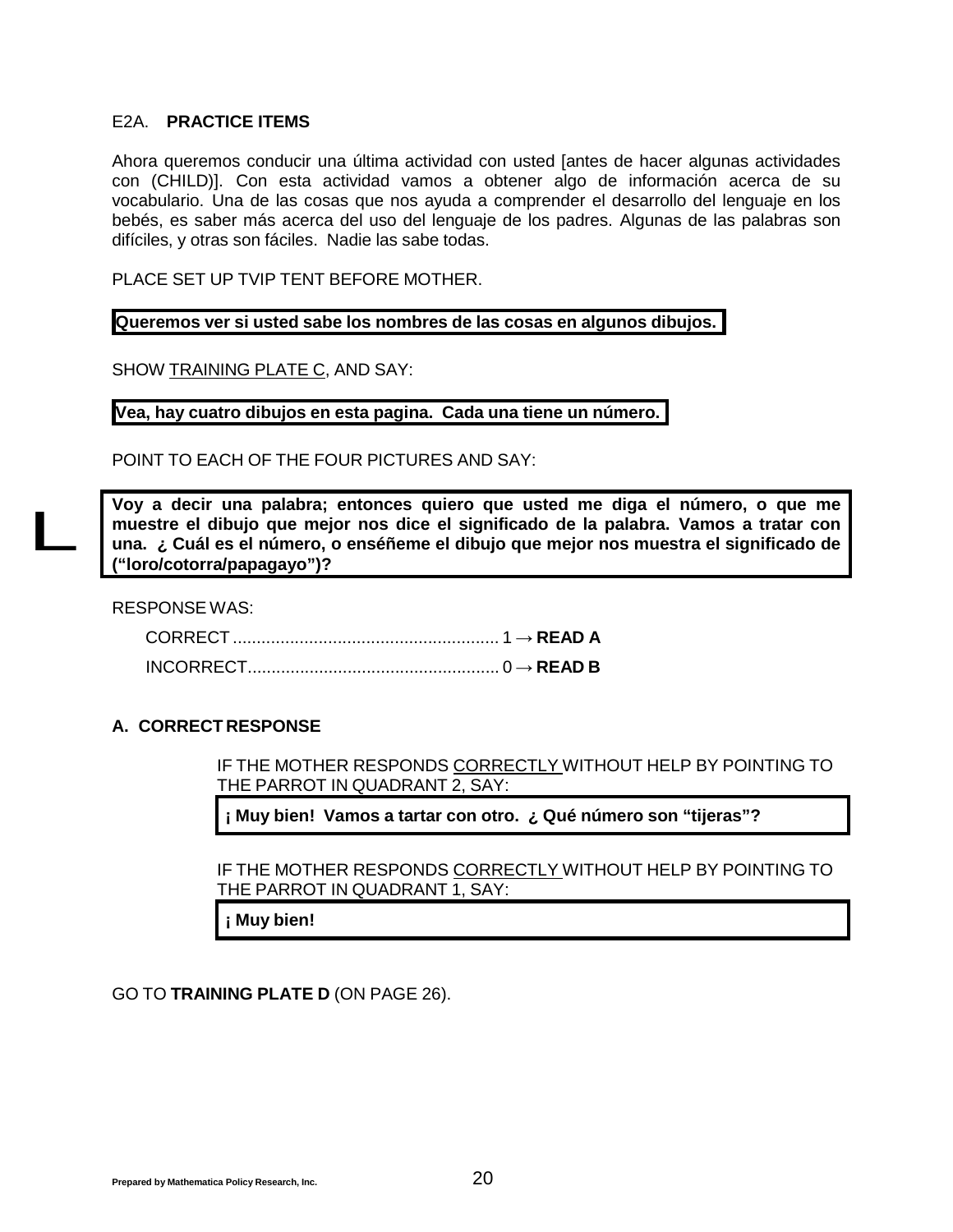#### E2A. **PRACTICE ITEMS**

Ahora queremos conducir una última actividad con usted [antes de hacer algunas actividades con (CHILD)]. Con esta actividad vamos a obtener algo de información acerca de su vocabulario. Una de las cosas que nos ayuda a comprender el desarrollo del lenguaje en los bebés, es saber más acerca del uso del lenguaje de los padres. Algunas de las palabras son difíciles, y otras son fáciles. Nadie las sabe todas.

PLACE SET UP TVIP TENT BEFORE MOTHER.

**Queremos ver si usted sabe los nombres de las cosas en algunos dibujos.**

SHOW TRAINING PLATE C, AND SAY:

**Vea, hay cuatro dibujos en esta pagina. Cada una tiene un número.**

POINT TO EACH OF THE FOUR PICTURES AND SAY:

**Voy a decir una palabra; entonces quiero que usted me diga el número, o que me muestre el dibujo que mejor nos dice el significado de la palabra. Vamos a tratar con una. ¿ Cuál es el número, o enséñeme el dibujo que mejor nos muestra el significado de ("loro/cotorra/papagayo")?**

RESPONSE WAS:

L

#### **A. CORRECT RESPONSE**

IF THE MOTHER RESPONDS CORRECTLY WITHOUT HELP BY POINTING TO THE PARROT IN QUADRANT 2, SAY:

**¡ Muy bien! Vamos a tartar con otro. ¿ Qué número son "tijeras"?**

IF THE MOTHER RESPONDS CORRECTLY WITHOUT HELP BY POINTING TO THE PARROT IN QUADRANT 1, SAY:

**¡ Muy bien!**

GO TO **TRAINING PLATE D** (ON PAGE [26\).](#page-29-0)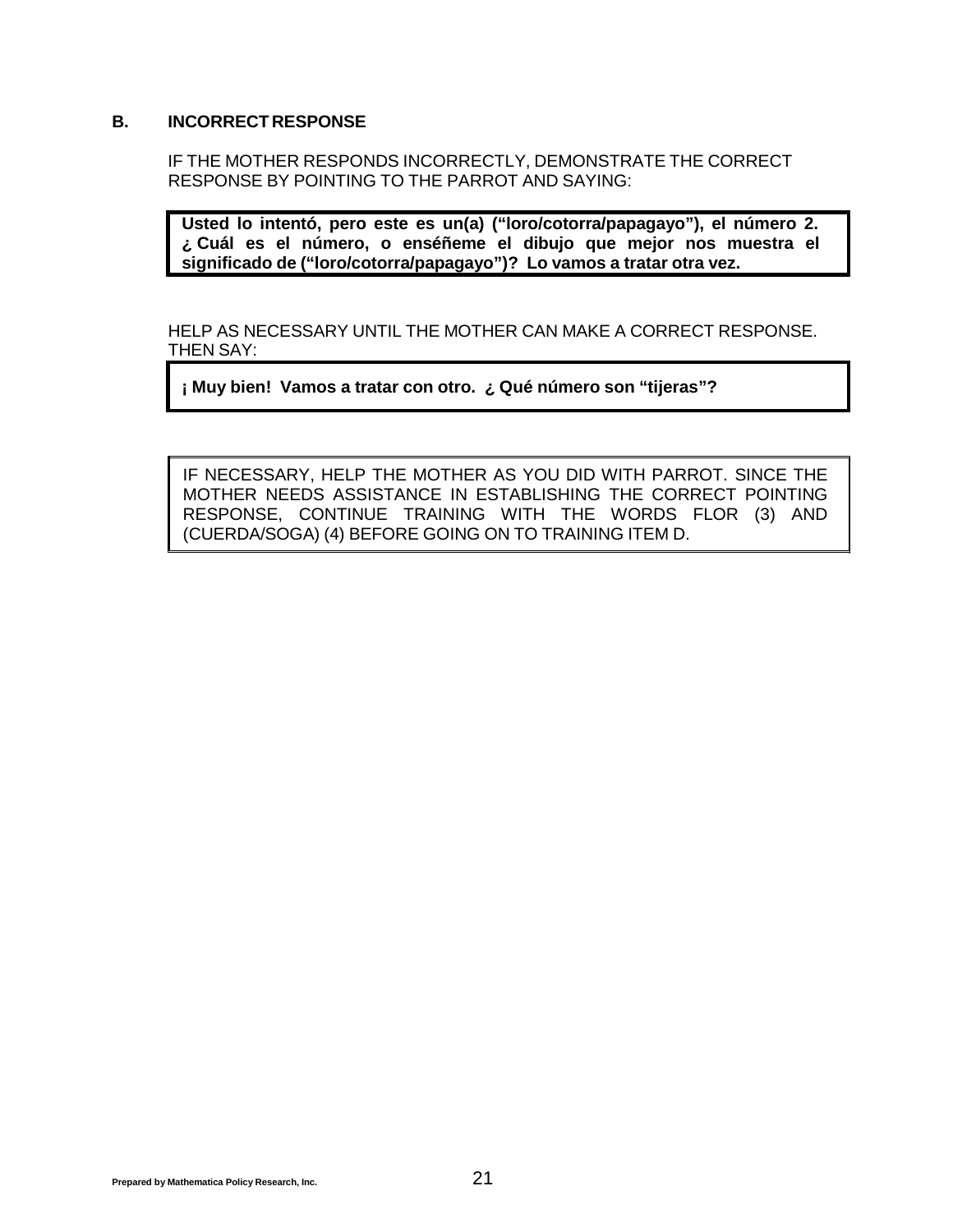#### **B. INCORRECT RESPONSE**

IF THE MOTHER RESPONDS INCORRECTLY, DEMONSTRATE THE CORRECT RESPONSE BY POINTING TO THE PARROT AND SAYING:

**Usted lo intentó, pero este es un(a) ("loro/cotorra/papagayo"), el número 2. ¿ Cuál es el número, o enséñeme el dibujo que mejor nos muestra el significado de ("loro/cotorra/papagayo")? Lo vamos a tratar otra vez.**

HELP AS NECESSARY UNTIL THE MOTHER CAN MAKE A CORRECT RESPONSE. THEN SAY:

**¡ Muy bien! Vamos a tratar con otro. ¿ Qué número son "tijeras"?**

IF NECESSARY, HELP THE MOTHER AS YOU DID WITH PARROT. SINCE THE MOTHER NEEDS ASSISTANCE IN ESTABLISHING THE CORRECT POINTING RESPONSE, CONTINUE TRAINING WITH THE WORDS FLOR (3) AND (CUERDA/SOGA) (4) BEFORE GOING ON TO TRAINING ITEM D.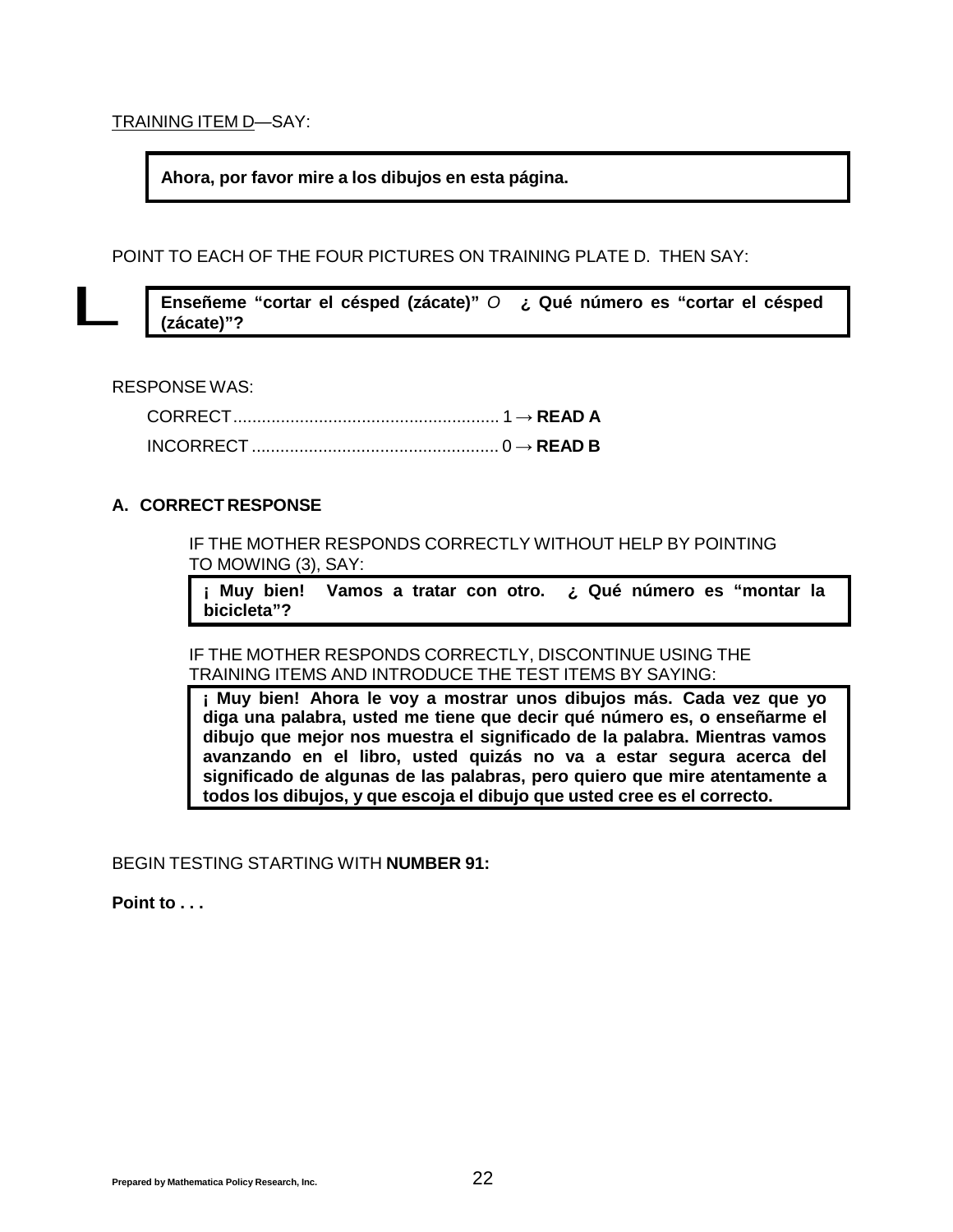TRAINING ITEM D—SAY:

**Ahora, por favor mire a los dibujos en esta página.**

POINT TO EACH OF THE FOUR PICTURES ON TRAINING PLATE D. THEN SAY:  $\overline{L}$ 

**Enseñeme "cortar el césped (zácate)"** *O* **¿ Qué número es "cortar el césped (zácate)"?**

RESPONSE WAS:

#### **A. CORRECT RESPONSE**

IF THE MOTHER RESPONDS CORRECTLY WITHOUT HELP BY POINTING TO MOWING (3), SAY:

**¡ Muy bien! Vamos a tratar con otro. ¿ Qué número es "montar la bicicleta"?**

IF THE MOTHER RESPONDS CORRECTLY, DISCONTINUE USING THE TRAINING ITEMS AND INTRODUCE THE TEST ITEMS BY SAYING:

**¡ Muy bien! Ahora le voy a mostrar unos dibujos más. Cada vez que yo diga una palabra, usted me tiene que decir qué número es, o enseñarme el dibujo que mejor nos muestra el significado de la palabra. Mientras vamos avanzando en el libro, usted quizás no va a estar segura acerca del significado de algunas de las palabras, pero quiero que mire atentamente a todos los dibujos, y que escoja el dibujo que usted cree es el correcto.**

BEGIN TESTING STARTING WITH **NUMBER 91:**

**Point to . . .**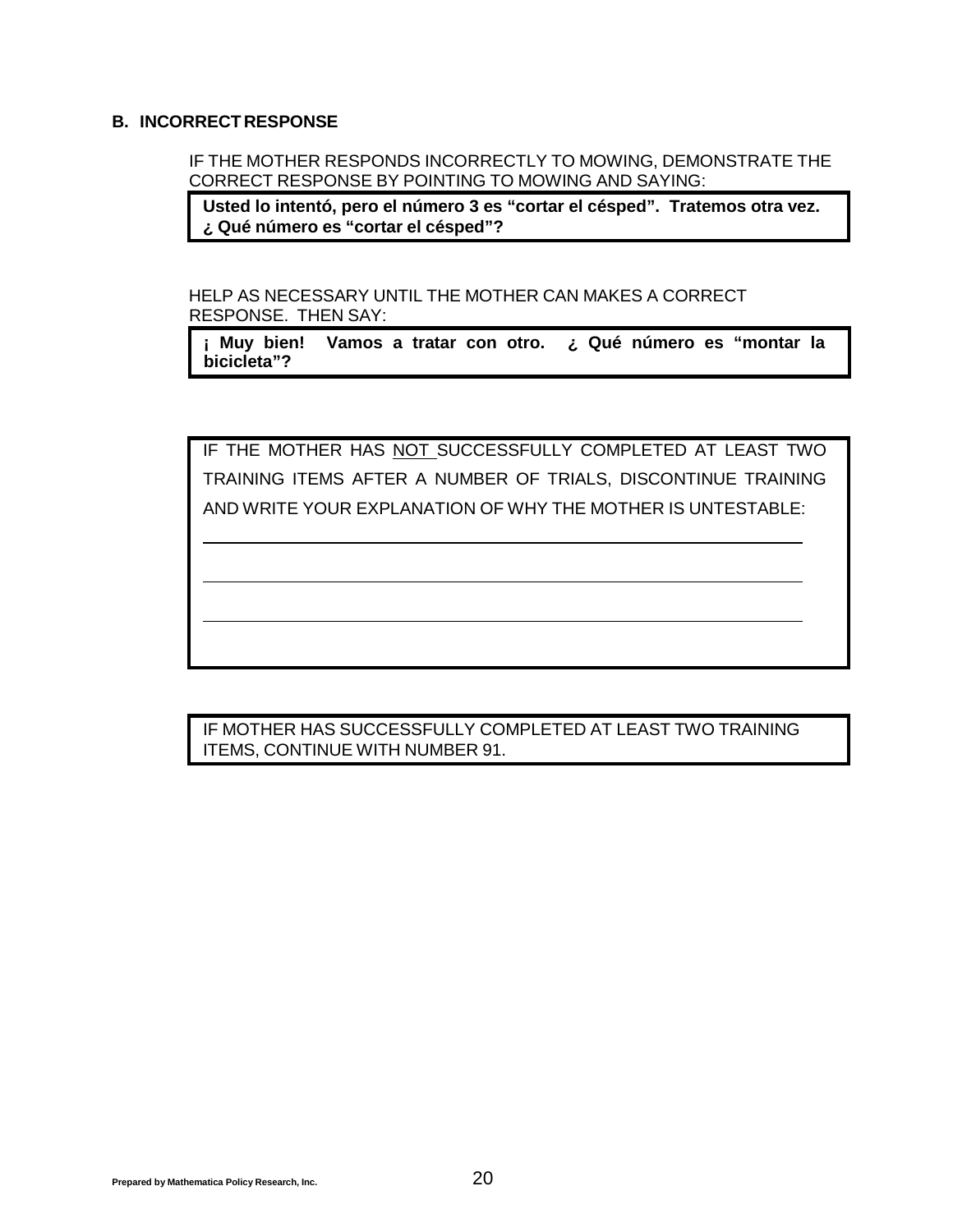#### **B. INCORRECT RESPONSE**

IF THE MOTHER RESPONDS INCORRECTLY TO MOWING, DEMONSTRATE THE CORRECT RESPONSE BY POINTING TO MOWING AND SAYING:

**Usted lo intentó, pero el número 3 es "cortar el césped". Tratemos otra vez. ¿ Qué número es "cortar el césped"?**

HELP AS NECESSARY UNTIL THE MOTHER CAN MAKES A CORRECT RESPONSE. THEN SAY:

**¡ Muy bien! Vamos a tratar con otro. ¿ Qué número es "montar la bicicleta"?**

IF THE MOTHER HAS NOT SUCCESSFULLY COMPLETED AT LEAST TWO TRAINING ITEMS AFTER A NUMBER OF TRIALS, DISCONTINUE TRAINING AND WRITE YOUR EXPLANATION OF WHY THE MOTHER IS UNTESTABLE:

IF MOTHER HAS SUCCESSFULLY COMPLETED AT LEAST TWO TRAINING ITEMS, CONTINUE WITH NUMBER 91.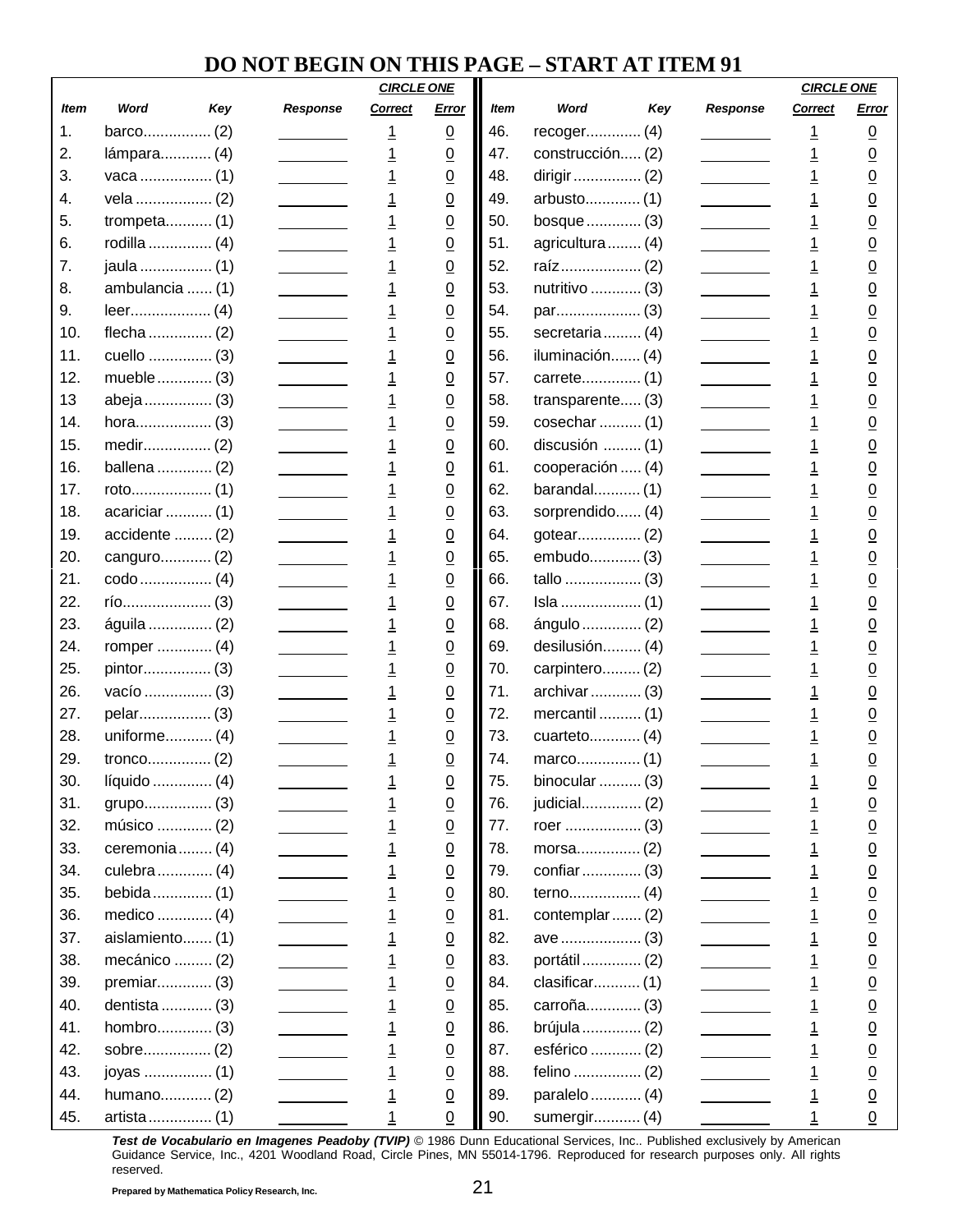## **DO NOT BEGIN ON THIS PAGE – START AT ITEM 91**

|             |                 |     |                                                    | <b>CIRCLE ONE</b> |                 |             |                  |     |                                                    | <b>CIRCLE ONE</b> |                 |
|-------------|-----------------|-----|----------------------------------------------------|-------------------|-----------------|-------------|------------------|-----|----------------------------------------------------|-------------------|-----------------|
| <b>Item</b> | Word            | Key | Response                                           | Correct           | Error           | <b>Item</b> | Word             | Key | <b>Response</b>                                    | <b>Correct</b>    | Error           |
| 1.          |                 |     |                                                    | <u>1</u>          | $\underline{0}$ | 46.         | recoger (4)      |     |                                                    | <u> 1</u>         | <u>0</u>        |
| 2.          | lámpara (4)     |     |                                                    | $\overline{1}$    | $\underline{0}$ | 47.         | construcción (2) |     |                                                    | <u> 1</u>         | <u>0</u>        |
| 3.          |                 |     |                                                    | $\overline{1}$    | $\underline{0}$ | 48.         |                  |     |                                                    |                   | <u>0</u>        |
| 4.          | vela  (2)       |     |                                                    | $\overline{1}$    | $\overline{0}$  | 49.         | arbusto (1)      |     |                                                    | $\overline{1}$    | $\overline{0}$  |
| 5.          | trompeta $(1)$  |     |                                                    | $\overline{1}$    | $\overline{0}$  | 50.         | bosque  (3)      |     |                                                    | $\overline{1}$    | $\overline{0}$  |
| 6.          | rodilla  (4)    |     |                                                    | $\overline{1}$    | $\underline{0}$ | 51.         | agricultura (4)  |     |                                                    | <u>1</u>          | <u>0</u>        |
| 7.          | jaula  (1)      |     |                                                    | $\overline{1}$    | $\underline{0}$ | 52.         |                  |     |                                                    | $\overline{1}$    | $\overline{0}$  |
| 8.          | ambulancia  (1) |     |                                                    | $\overline{1}$    | $\underline{0}$ | 53.         | nutritivo  (3)   |     |                                                    | <u>1</u>          | <u>0</u>        |
| 9.          |                 |     |                                                    | $\overline{1}$    | $\overline{0}$  | 54.         |                  |     |                                                    | $\overline{1}$    | $\overline{0}$  |
| 10.         | flecha  (2)     |     |                                                    | $\overline{1}$    | $\underline{0}$ | 55.         | secretaria (4)   |     |                                                    | $\overline{1}$    | $\overline{0}$  |
| 11.         | cuello  (3)     |     |                                                    | $\overline{1}$    | $\overline{0}$  | 56.         | iluminación (4)  |     |                                                    | <u>1</u>          | $\overline{0}$  |
| 12.         | mueble (3)      |     |                                                    | $\overline{1}$    | $\underline{0}$ | 57.         |                  |     |                                                    | $\overline{1}$    | $\overline{0}$  |
| 13          | abeja  (3)      |     |                                                    | $\overline{1}$    | $\underline{0}$ | 58.         | transparente (3) |     |                                                    | <u>1</u>          | <u>0</u>        |
| 14.         |                 |     |                                                    | $\overline{1}$    | $\overline{0}$  | 59.         | cosechar  (1)    |     | <u> 1990 - John Barnett, f</u>                     | $\overline{1}$    | $\overline{0}$  |
| 15.         |                 |     |                                                    | $\overline{1}$    | $\underline{0}$ | 60.         | discusión  (1)   |     |                                                    | $\overline{1}$    | $\overline{0}$  |
| 16.         | ballena  (2)    |     |                                                    | $\overline{1}$    | $\overline{0}$  | 61.         | cooperación  (4) |     |                                                    | <u>1</u>          | $\overline{0}$  |
| 17.         |                 |     |                                                    | $\overline{1}$    | $\underline{0}$ | 62.         | barandal (1)     |     |                                                    | $\overline{1}$    | $\overline{0}$  |
| 18.         | acariciar  (1)  |     |                                                    | $\overline{1}$    | $\underline{0}$ | 63.         | sorprendido (4)  |     |                                                    | <u>1</u>          | <u>0</u>        |
| 19.         | accidente  (2)  |     |                                                    | $\overline{1}$    | $\overline{0}$  | 64.         |                  |     | <u> 1989 - John Barnett, amerikansk fotograf (</u> | $\overline{1}$    | $\overline{0}$  |
| 20.         | canguro (2)     |     |                                                    | $\overline{1}$    | $\underline{0}$ | 65.         | embudo (3)       |     |                                                    | $\overline{1}$    | $\overline{0}$  |
| 21.         |                 |     |                                                    | $\overline{1}$    | $\overline{0}$  | 66.         |                  |     |                                                    | <u>1</u>          | $\overline{0}$  |
| 22.         |                 |     |                                                    | $\overline{1}$    | $\underline{0}$ | 67.         |                  |     |                                                    | $\overline{1}$    | <u>0</u>        |
| 23.         | águila  (2)     |     |                                                    | $\overline{1}$    | $\underline{0}$ | 68.         | ángulo  (2)      |     |                                                    | <u>1</u>          | <u>0</u>        |
| 24.         | romper  (4)     |     |                                                    | $\overline{1}$    | $\overline{0}$  | 69.         | desilusión (4)   |     | <u> 1990 - Johann Barnett, f</u>                   | $\overline{1}$    | $\overline{0}$  |
| 25.         | pintor (3)      |     |                                                    | $\overline{1}$    | $\underline{0}$ | 70.         | carpintero (2)   |     |                                                    | $\overline{1}$    | $\overline{0}$  |
| 26.         | vacío  (3)      |     |                                                    | $\overline{1}$    | $\overline{0}$  | 71.         | archivar  (3)    |     |                                                    | <u>1</u>          | $\overline{0}$  |
| 27.         | pelar (3)       |     |                                                    | $\overline{1}$    | $\underline{0}$ | 72.         | mercantil  (1)   |     |                                                    | <u> 1</u>         | <u>0</u>        |
| 28.         | uniforme (4)    |     |                                                    | $\overline{1}$    | $\underline{0}$ | 73.         | cuarteto (4)     |     |                                                    | <u>1</u>          | <u>0</u>        |
| 29.         |                 |     |                                                    | <u>1</u>          | $\overline{0}$  | 74.         |                  |     |                                                    | <u>1</u>          | $\overline{0}$  |
| 30.         | líquido  (4)    |     |                                                    |                   | $\overline{0}$  | 75.         | binocular $(3)$  |     |                                                    |                   | $\overline{0}$  |
| 31.         | grupo (3)       |     |                                                    | $\overline{1}$    | $\underline{0}$ | 76.         | judicial (2)     |     |                                                    | $\overline{1}$    | $\overline{0}$  |
| 32.         | músico  (2)     |     |                                                    | $\overline{1}$    | $\underline{0}$ | 77.         |                  |     |                                                    | $\overline{1}$    | $\underline{0}$ |
| 33.         | ceremonia (4)   |     |                                                    | $\overline{1}$    | $\underline{0}$ | 78.         | morsa(2)         |     | $\mathcal{L} = \{ \mathcal{L} \}$                  | $\overline{1}$    | $\underline{0}$ |
| 34.         | culebra  (4)    |     | <u> 1999 - Johann Barnett, f</u>                   | $\overline{1}$    | $\underline{0}$ | 79.         | confiar  (3)     |     | <u> 1989 - Johann Barnett, f</u>                   | $\overline{1}$    | $\underline{0}$ |
| 35.         | bebida (1)      |     |                                                    | $\frac{1}{1}$     | $\underline{0}$ | 80.         |                  |     |                                                    | $\overline{1}$    | $\underline{0}$ |
| 36.         | medico  (4)     |     |                                                    |                   | $\underline{0}$ | 81.         | contemplar (2)   |     | $\overline{\phantom{a}}$                           | $\overline{1}$    | $\underline{0}$ |
| 37.         | aislamiento (1) |     | <u> 1990 - Jan Barnett, p</u>                      | $\overline{1}$    | $\underline{0}$ | 82.         | ave  (3)         |     |                                                    | $\overline{1}$    | $\underline{0}$ |
| 38.         | mecánico  (2)   |     |                                                    | $\overline{1}$    | $\underline{0}$ | 83.         | portátil  (2)    |     | <u>and the state</u>                               | $\overline{1}$    | $\underline{0}$ |
| 39.         | premiar (3)     |     |                                                    | $\overline{1}$    | $\underline{0}$ | 84.         | clasificar (1)   |     | $\overline{\phantom{a}}$                           | $\overline{1}$    | $\underline{0}$ |
| 40.         | dentista  (3)   |     |                                                    | $\frac{1}{1}$     | $\underline{0}$ | 85.         | carroña (3)      |     | $\mathcal{L}(\mathcal{L}(\mathcal{L}))$            | $\overline{1}$    | $\underline{0}$ |
| 41.         | hombro (3)      |     |                                                    |                   | $\underline{0}$ | 86.         | brújula  (2)     |     |                                                    | $\overline{1}$    | $\overline{0}$  |
| 42.         | sobre (2)       |     | <u> 1999 - Johann Barnett, f</u>                   | $\overline{1}$    | $\underline{0}$ | 87.         | esférico  (2)    |     |                                                    | $\overline{1}$    | $\underline{0}$ |
| 43.         | joyas  (1)      |     | $\overline{\phantom{a}}$                           | $\overline{1}$    | $\underline{0}$ | 88.         |                  |     | <u>and the state</u>                               | $\overline{1}$    | $\underline{0}$ |
| 44.         | humano (2)      |     | <u> 1999 - John Barnett, amerikansk fotograf (</u> | $\overline{1}$    | $\underline{0}$ | 89.         | paralelo  (4)    |     | $\overline{\phantom{a}}$                           | $\overline{1}$    | $\underline{0}$ |
| 45.         |                 |     |                                                    | 1                 | $\overline{0}$  | 90.         | sumergir (4)     |     |                                                    |                   | $\pmb{0}$       |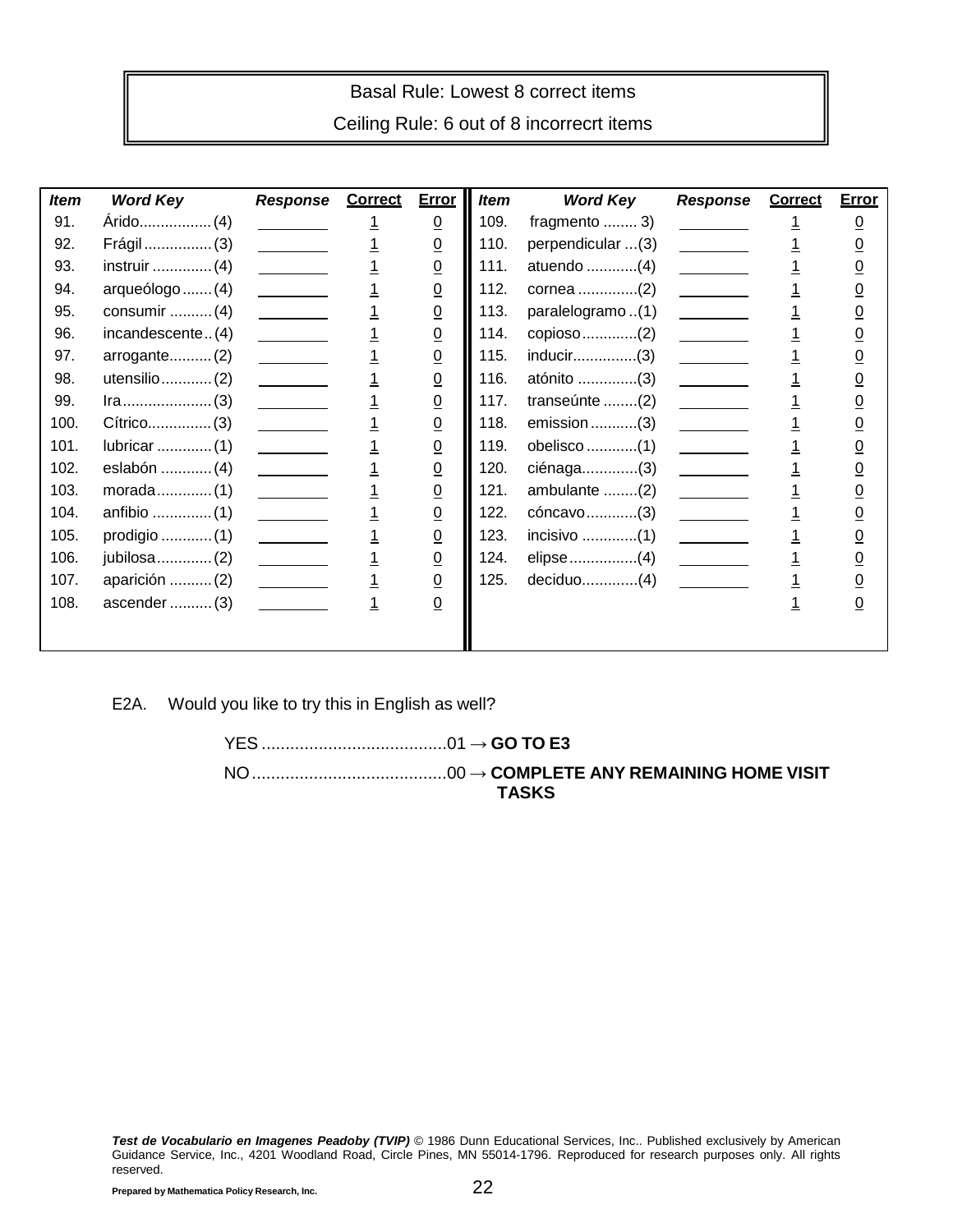### Basal Rule: Lowest 8 correct items

Ceiling Rule: 6 out of 8 incorrecrt items

| <b>Item</b> | <b>Word Key</b>  | <b>Response Correct</b>                                                                                                                                                                                                                                                                                                                                                                                                                               | <b>Error</b>    | <b>Item</b> | <b>Word Key</b>   | <b>Response</b>                                                                                                                                                                                                                                                                                                                                                                                                                                       | <b>Correct</b> | <b>Error</b>   |
|-------------|------------------|-------------------------------------------------------------------------------------------------------------------------------------------------------------------------------------------------------------------------------------------------------------------------------------------------------------------------------------------------------------------------------------------------------------------------------------------------------|-----------------|-------------|-------------------|-------------------------------------------------------------------------------------------------------------------------------------------------------------------------------------------------------------------------------------------------------------------------------------------------------------------------------------------------------------------------------------------------------------------------------------------------------|----------------|----------------|
| 91.         |                  |                                                                                                                                                                                                                                                                                                                                                                                                                                                       | $\underline{0}$ | 109.        | fragmento $3)$    |                                                                                                                                                                                                                                                                                                                                                                                                                                                       |                | <u>0</u>       |
| 92.         | Frágil  (3)      |                                                                                                                                                                                                                                                                                                                                                                                                                                                       | $\underline{0}$ | 110.        | perpendicular (3) | <u>and the state</u>                                                                                                                                                                                                                                                                                                                                                                                                                                  |                | <u>0</u>       |
| 93.         | instruir $(4)$   | $\overline{\phantom{a}}$                                                                                                                                                                                                                                                                                                                                                                                                                              | $\underline{0}$ | 111.        | atuendo (4)       |                                                                                                                                                                                                                                                                                                                                                                                                                                                       |                | $\overline{0}$ |
| 94.         | arqueólogo  (4)  | $\frac{1}{2}$ . The set of $\mathcal{O}(\mathbb{R}^d)$                                                                                                                                                                                                                                                                                                                                                                                                | $\underline{0}$ | 112.        | cornea (2)        | $\overline{\phantom{a}}$                                                                                                                                                                                                                                                                                                                                                                                                                              |                | $\overline{0}$ |
| 95.         | consumir $(4)$   | $\mathcal{L}^{\text{max}}$ and $\mathcal{L}^{\text{max}}$                                                                                                                                                                                                                                                                                                                                                                                             | $\underline{0}$ | 113.        | paralelogramo(1)  |                                                                                                                                                                                                                                                                                                                                                                                                                                                       |                | $\overline{0}$ |
| 96.         | incandescente(4) | $\overline{\phantom{a}}$                                                                                                                                                                                                                                                                                                                                                                                                                              | $\underline{0}$ | 114.        | copioso (2)       | $\sim$ $\sim$ $\sim$ $\sim$                                                                                                                                                                                                                                                                                                                                                                                                                           |                | $\overline{0}$ |
| 97.         | arrow(2)         |                                                                                                                                                                                                                                                                                                                                                                                                                                                       | $\underline{0}$ | 115.        |                   |                                                                                                                                                                                                                                                                                                                                                                                                                                                       |                | <u>0</u>       |
| 98.         | utensilio $(2)$  | $\begin{tabular}{ccccc} \multicolumn{2}{c }{\textbf{1} & \multicolumn{2}{c }{\textbf{2} & \multicolumn{2}{c }{\textbf{3} & \multicolumn{2}{c }{\textbf{4} & \multicolumn{2}{c }{\textbf{5} & \multicolumn{2}{c }{\textbf{6} & \multicolumn{2}{c }{\textbf{6} & \multicolumn{2}{c }{\textbf{6} & \multicolumn{2}{c }{\textbf{6} & \multicolumn{2}{c }{\textbf{6} & \multicolumn{2}{c }{\textbf{6} & \multicolumn{2}{c }{\textbf{6} & \multicolumn{2}{$ | $\underline{0}$ | 116.        | atónito (3)       | $\frac{1}{2}$                                                                                                                                                                                                                                                                                                                                                                                                                                         |                | <u>0</u>       |
| 99.         |                  | $\overline{\phantom{a}}$                                                                                                                                                                                                                                                                                                                                                                                                                              | $\underline{0}$ | 117.        | transeúnte (2)    |                                                                                                                                                                                                                                                                                                                                                                                                                                                       |                | $\overline{0}$ |
| 100.        |                  | $\overline{\phantom{a}}$                                                                                                                                                                                                                                                                                                                                                                                                                              | $\underline{0}$ | 118.        | $emission$ (3)    |                                                                                                                                                                                                                                                                                                                                                                                                                                                       |                | <u>0</u>       |
| 101.        |                  |                                                                                                                                                                                                                                                                                                                                                                                                                                                       | $\underline{0}$ | 119.        | obelisco (1)      | $\mathcal{L}^{\text{max}}$ and $\mathcal{L}^{\text{max}}$                                                                                                                                                                                                                                                                                                                                                                                             |                | <u>0</u>       |
| 102.        | eslabón  (4)     | $\overline{\phantom{a}}$                                                                                                                                                                                                                                                                                                                                                                                                                              | $\overline{0}$  | 120.        | ciénaga(3)        | <u> Communica</u>                                                                                                                                                                                                                                                                                                                                                                                                                                     |                | <u>0</u>       |
| 103.        |                  | $\overline{\phantom{a}}$                                                                                                                                                                                                                                                                                                                                                                                                                              | $\underline{0}$ | 121.        | ambulante (2)     |                                                                                                                                                                                                                                                                                                                                                                                                                                                       |                | <u>0</u>       |
| 104.        |                  | $\mathcal{L}^{\text{max}}$ and $\mathcal{L}^{\text{max}}$                                                                                                                                                                                                                                                                                                                                                                                             | $\underline{0}$ | 122.        | cóncavo(3)        | $\begin{tabular}{ccccc} \multicolumn{2}{c }{\textbf{1} & \multicolumn{2}{c }{\textbf{2} & \multicolumn{2}{c }{\textbf{3} & \multicolumn{2}{c }{\textbf{4} & \multicolumn{2}{c }{\textbf{5} & \multicolumn{2}{c }{\textbf{6} & \multicolumn{2}{c }{\textbf{6} & \multicolumn{2}{c }{\textbf{6} & \multicolumn{2}{c }{\textbf{6} & \multicolumn{2}{c }{\textbf{6} & \multicolumn{2}{c }{\textbf{6} & \multicolumn{2}{c }{\textbf{6} & \multicolumn{2}{$ |                | $\overline{0}$ |
| 105.        | prodigio (1)     | $\mathcal{L}^{\text{max}}$ and $\mathcal{L}^{\text{max}}$                                                                                                                                                                                                                                                                                                                                                                                             | $\underline{0}$ | 123.        | incisivo (1)      | $\mathcal{L}^{\text{max}}$ and $\mathcal{L}^{\text{max}}$                                                                                                                                                                                                                                                                                                                                                                                             |                | <u>0</u>       |
| 106.        | jubilosa  (2)    | $\overline{\phantom{a}}$                                                                                                                                                                                                                                                                                                                                                                                                                              | $\underline{0}$ | 124.        | elipse (4)        |                                                                                                                                                                                                                                                                                                                                                                                                                                                       |                | <u>0</u>       |
| 107.        | aparición  (2)   |                                                                                                                                                                                                                                                                                                                                                                                                                                                       | $\underline{0}$ | 125.        |                   | $\mathcal{L}^{\text{max}}$ and $\mathcal{L}^{\text{max}}$                                                                                                                                                                                                                                                                                                                                                                                             |                | <u>0</u>       |
| 108.        | ascender $(3)$   |                                                                                                                                                                                                                                                                                                                                                                                                                                                       | $\underline{0}$ |             |                   |                                                                                                                                                                                                                                                                                                                                                                                                                                                       |                | <u>0</u>       |
|             |                  |                                                                                                                                                                                                                                                                                                                                                                                                                                                       |                 |             |                   |                                                                                                                                                                                                                                                                                                                                                                                                                                                       |                |                |
|             |                  |                                                                                                                                                                                                                                                                                                                                                                                                                                                       |                 |             |                   |                                                                                                                                                                                                                                                                                                                                                                                                                                                       |                |                |

E2A. Would you like to try this in English as well?

YES .......................................01 → **GO TO E3** NO.........................................00 → **COMPLETE ANY REMAINING HOME VISIT TASKS**

*Test de Vocabulario en Imagenes Peadoby (TVIP)* © 1986 Dunn Educational Services, Inc.. Published exclusively by American Guidance Service, Inc., 4201 Woodland Road, Circle Pines, MN 55014-1796. Reproduced for research purposes only. All rights reserved.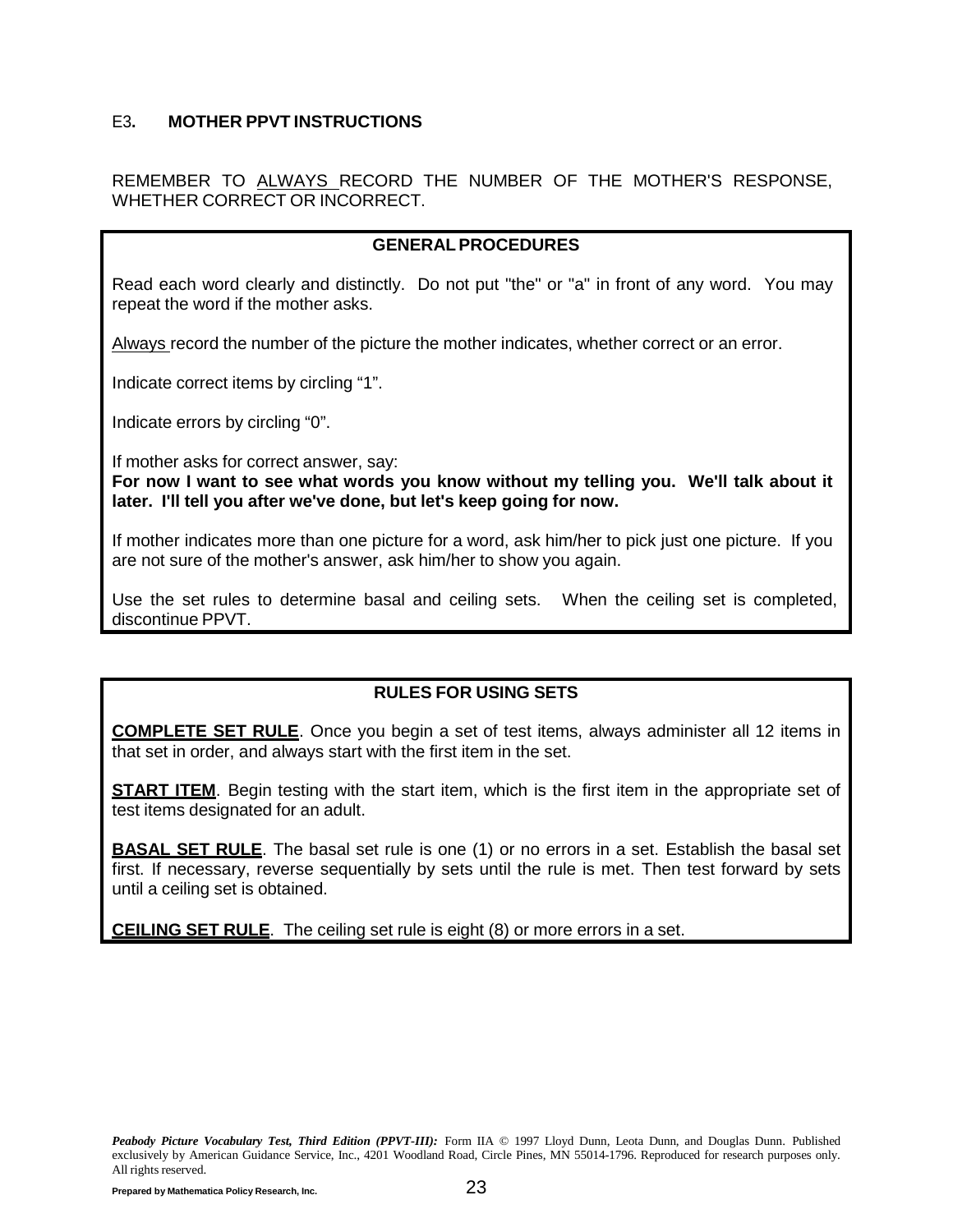#### <span id="page-26-0"></span>E3**. MOTHER PPVT INSTRUCTIONS**

REMEMBER TO ALWAYS RECORD THE NUMBER OF THE MOTHER'S RESPONSE, WHETHER CORRECT OR INCORRECT.

#### **GENERALPROCEDURES**

Read each word clearly and distinctly. Do not put "the" or "a" in front of any word. You may repeat the word if the mother asks.

Always record the number of the picture the mother indicates, whether correct or an error.

Indicate correct items by circling "1".

Indicate errors by circling "0".

If mother asks for correct answer, say:

**For now I want to see what words you know without my telling you. We'll talk about it later. I'll tell you after we've done, but let's keep going for now.**

If mother indicates more than one picture for a word, ask him/her to pick just one picture. If you are not sure of the mother's answer, ask him/her to show you again.

Use the set rules to determine basal and ceiling sets. When the ceiling set is completed, discontinue PPVT.

#### **RULES FOR USING SETS**

**COMPLETE SET RULE**. Once you begin a set of test items, always administer all 12 items in that set in order, and always start with the first item in the set.

**START ITEM**. Begin testing with the start item, which is the first item in the appropriate set of test items designated for an adult.

**BASAL SET RULE**. The basal set rule is one (1) or no errors in a set. Establish the basal set first. If necessary, reverse sequentially by sets until the rule is met. Then test forward by sets until a ceiling set is obtained.

**CEILING SET RULE**. The ceiling set rule is eight (8) or more errors in a set.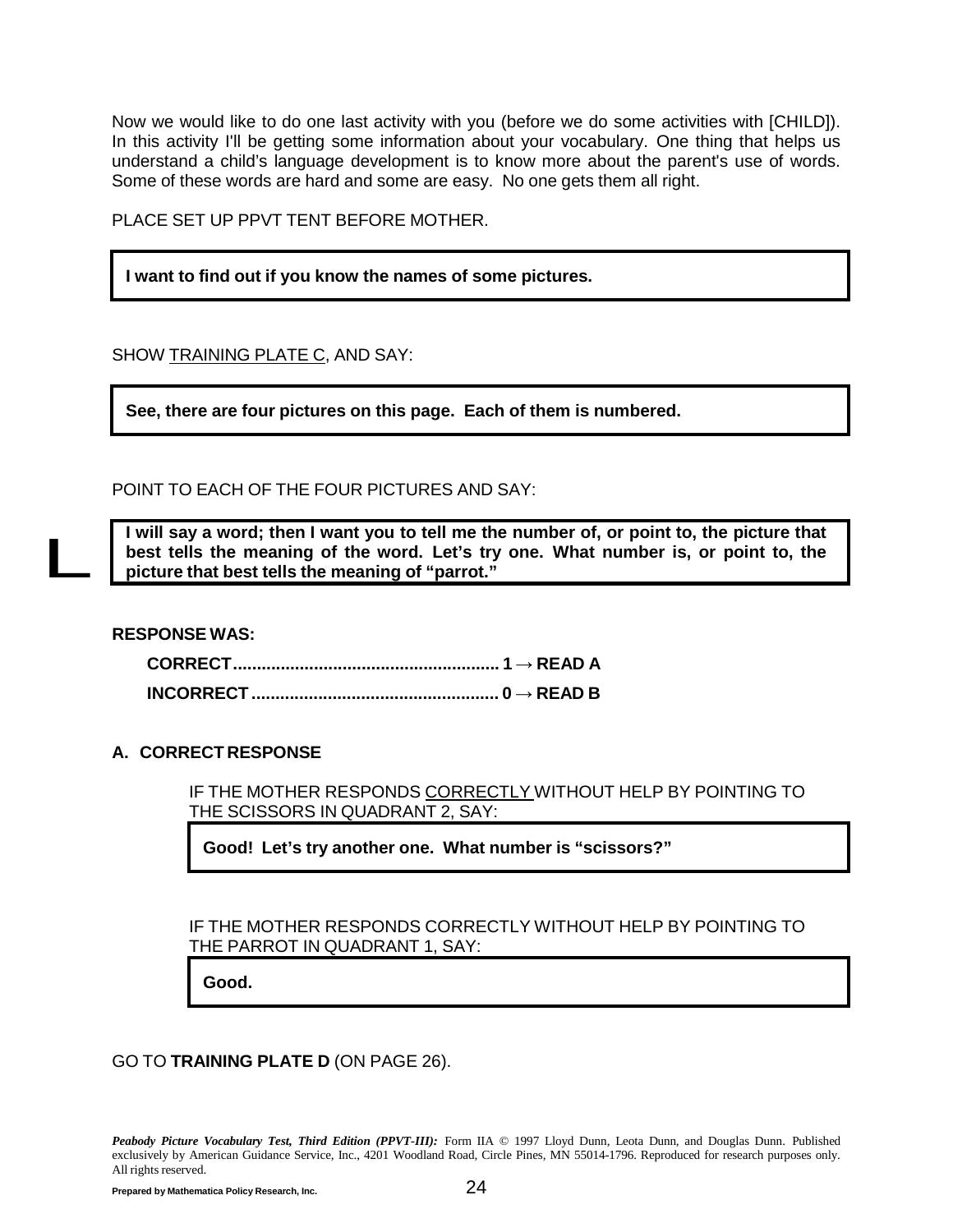Now we would like to do one last activity with you (before we do some activities with [CHILD]). In this activity I'll be getting some information about your vocabulary. One thing that helps us understand a child's language development is to know more about the parent's use of words. Some of these words are hard and some are easy. No one gets them all right.

PLACE SET UP PPVT TENT BEFORE MOTHER.

**I want to find out if you know the names of some pictures.**

SHOW TRAINING PLATE C, AND SAY:

**See, there are four pictures on this page. Each of them is numbered.**

POINT TO EACH OF THE FOUR PICTURES AND SAY:

I will say a word; then I want you to tell me the number of, or point to, the picture that **best tells the meaning of the word. Let's try one. What number is, or point to, the picture that best tells the meaning of "parrot."**

**RESPONSE WAS:**

L

**CORRECT........................................................ 1 → READ A INCORRECT.................................................... 0 → READ B**

#### **A. CORRECT RESPONSE**

IF THE MOTHER RESPONDS CORRECTLY WITHOUT HELP BY POINTING TO THE SCISSORS IN QUADRANT 2, SAY:

**Good! Let's try another one. What number is "scissors?"**

IF THE MOTHER RESPONDS CORRECTLY WITHOUT HELP BY POINTING TO THE PARROT IN QUADRANT 1, SAY:

**Good.**

GO TO **TRAINING PLATE D** (ON PAGE [26\).](#page-29-0)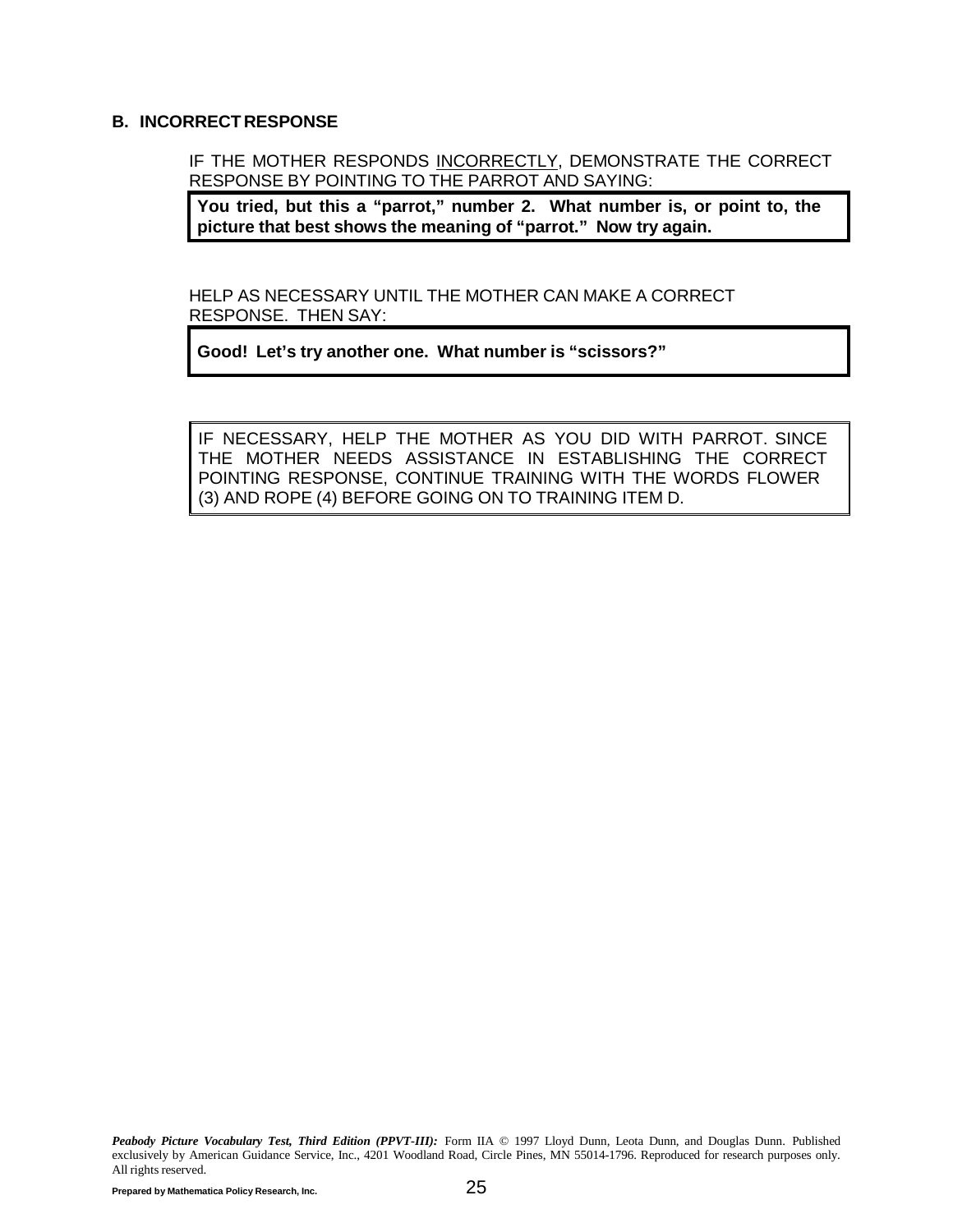#### **B. INCORRECT RESPONSE**

IF THE MOTHER RESPONDS INCORRECTLY, DEMONSTRATE THE CORRECT RESPONSE BY POINTING TO THE PARROT AND SAYING:

**You tried, but this a "parrot," number 2. What number is, or point to, the picture that best shows the meaning of "parrot." Now try again.**

HELP AS NECESSARY UNTIL THE MOTHER CAN MAKE A CORRECT RESPONSE. THEN SAY:

**Good! Let's try another one. What number is "scissors?"**

IF NECESSARY, HELP THE MOTHER AS YOU DID WITH PARROT. SINCE THE MOTHER NEEDS ASSISTANCE IN ESTABLISHING THE CORRECT POINTING RESPONSE, CONTINUE TRAINING WITH THE WORDS FLOWER (3) AND ROPE (4) BEFORE GOING ON TO TRAINING ITEM D.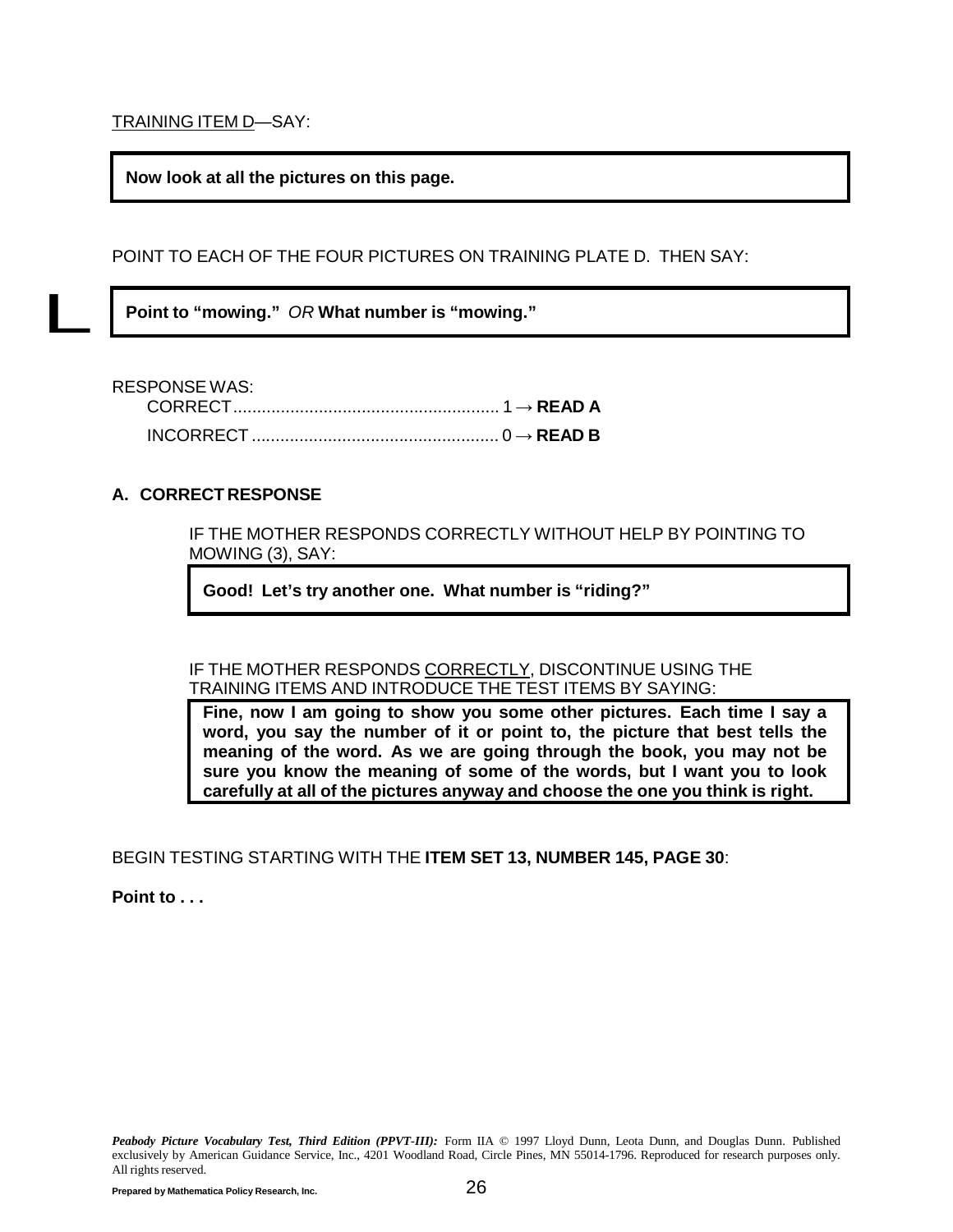<span id="page-29-0"></span>TRAINING ITEM D—SAY:

**Now look at all the pictures on this page.**

POINT TO EACH OF THE FOUR PICTURES ON TRAINING PLATE D. THEN SAY:

**Point to "mowing."** *OR* **What number is "mowing."**

RESPONSE WAS:

L

| . |  |
|---|--|
|   |  |

#### **A. CORRECT RESPONSE**

IF THE MOTHER RESPONDS CORRECTLY WITHOUT HELP BY POINTING TO MOWING (3), SAY:

**Good! Let's try another one. What number is "riding?"**

IF THE MOTHER RESPONDS CORRECTLY, DISCONTINUE USING THE TRAINING ITEMS AND INTRODUCE THE TEST ITEMS BY SAYING:

**Fine, now I am going to show you some other pictures. Each time I say a word, you say the number of it or point to, the picture that best tells the meaning of the word. As we are going through the book, you may not be sure you know the meaning of some of the words, but I want you to look carefully at all of the pictures anyway and choose the one you think is right.**

BEGIN TESTING STARTING WITH THE **ITEM SET 13, NUMBER 145, PAGE [30](#page-33-0)**:

**Point to . . .**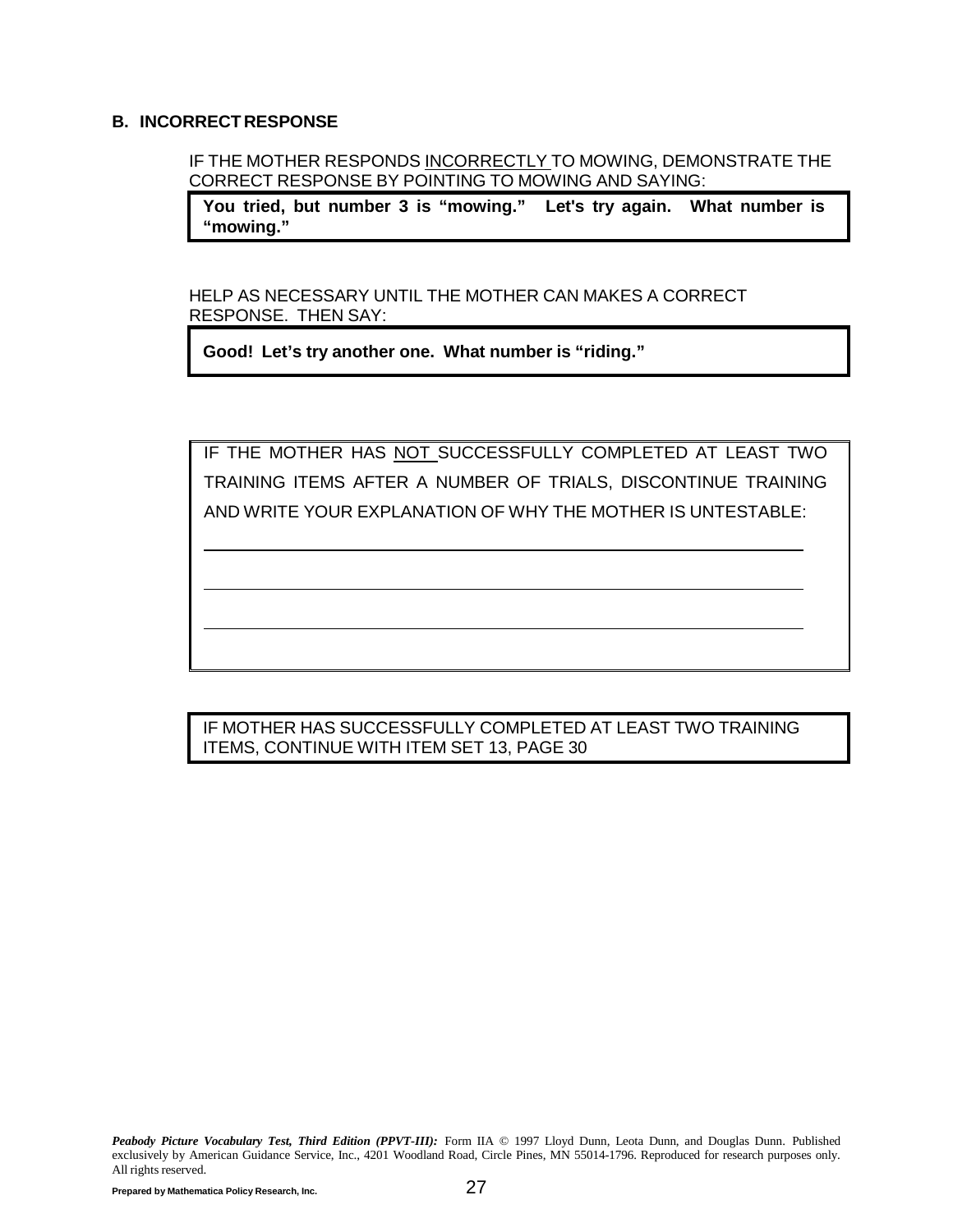#### **B. INCORRECT RESPONSE**

IF THE MOTHER RESPONDS INCORRECTLY TO MOWING, DEMONSTRATE THE CORRECT RESPONSE BY POINTING TO MOWING AND SAYING:

**You tried, but number 3 is "mowing." Let's try again. What number is "mowing."**

HELP AS NECESSARY UNTIL THE MOTHER CAN MAKES A CORRECT RESPONSE. THEN SAY:

**Good! Let's try another one. What number is "riding."**

IF THE MOTHER HAS NOT SUCCESSFULLY COMPLETED AT LEAST TWO TRAINING ITEMS AFTER A NUMBER OF TRIALS, DISCONTINUE TRAINING AND WRITE YOUR EXPLANATION OF WHY THE MOTHER IS UNTESTABLE:

IF MOTHER HAS SUCCESSFULLY COMPLETED AT LEAST TWO TRAINING ITEMS, CONTINUE WITH ITEM SET 13, PAGE [30](#page-33-0)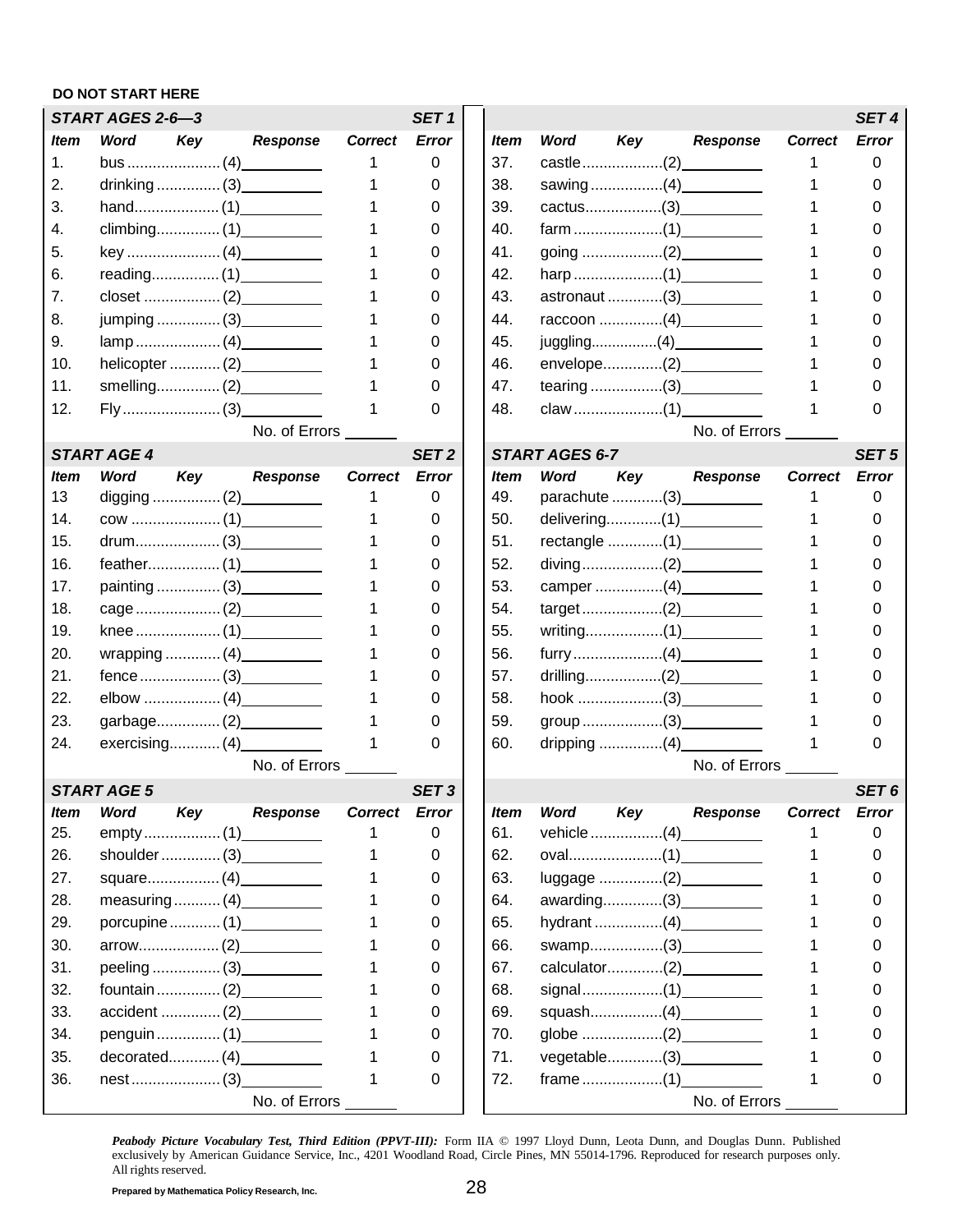#### **DO NOT START HERE**

|             | START AGES 2-6-3   |     |                           |                | SET <sub>1</sub> |             |                |             |                           |                | SET <sub>4</sub> |
|-------------|--------------------|-----|---------------------------|----------------|------------------|-------------|----------------|-------------|---------------------------|----------------|------------------|
| <i>Item</i> | Word               | Key | <b>Response</b>           | <b>Correct</b> | <b>Error</b>     | ltem        | Word           | Key         | <b>Response</b>           | <b>Correct</b> | Error            |
| 1.          |                    |     |                           | 1              | 0                | 37.         |                |             |                           |                | 0                |
| 2.          |                    |     |                           |                | 0                | 38.         |                |             |                           |                |                  |
| 3.          |                    |     |                           |                | 0                | 39.         |                |             | cactus(3)                 |                |                  |
| 4.          |                    |     |                           |                | 0                | 40.         |                |             |                           |                |                  |
| 5.          |                    |     |                           |                | 0                | 41.         |                |             |                           |                |                  |
| 6.          |                    |     |                           |                | 0                | 42.         |                |             |                           |                |                  |
| 7.          |                    |     |                           |                | 0                | 43.         |                |             | astronaut (3)             |                |                  |
| 8.          |                    |     | jumping  (3)              |                | 0                | 44.         |                |             | raccoon (4)               |                |                  |
| 9.          |                    |     |                           |                | 0                | 45.         |                |             |                           |                |                  |
| 10.         |                    |     |                           |                | 0                | 46.         |                |             | envelope(2)____________   |                |                  |
| 11.         |                    |     |                           |                | O                | 47.         |                |             |                           |                |                  |
| 12.         |                    |     |                           |                | 0                | 48.         |                |             |                           |                |                  |
|             |                    |     | No. of Errors             |                |                  |             |                |             | No. of Errors             |                |                  |
|             | <b>START AGE 4</b> |     |                           |                | SET <sub>2</sub> |             | START AGES 6-7 |             |                           |                | SET <sub>5</sub> |
| <i>Item</i> | Word               | Key | <b>Response</b>           | <b>Correct</b> | <b>Error</b>     | ltem        | <b>Word</b>    | Key         | <b>Response</b>           | <b>Correct</b> | <b>Error</b>     |
| 13          |                    |     |                           |                | 0                | 49.         |                |             | parachute (3) __________  |                | 0                |
| 14.         |                    |     |                           |                | 0                | 50.         |                |             | delivering(1) ___________ |                | 0                |
| 15.         |                    |     |                           |                | 0                | 51.         |                |             |                           |                |                  |
| 16.         |                    |     |                           |                | 0                | 52.         |                |             | diving(2)_____________    |                |                  |
| 17.         |                    |     | painting  (3) ___________ |                | 0                | 53.         |                |             |                           |                |                  |
| 18.         |                    |     |                           |                | 0                | 54.         |                |             |                           |                |                  |
| 19.         |                    |     |                           |                | 0                | 55.         |                |             |                           |                |                  |
| 20.         |                    |     |                           |                | 0                | 56.         |                |             |                           |                |                  |
| 21.         |                    |     | fence 13                  |                | 0                | 57.         |                |             | drilling(2)_____________  |                |                  |
| 22.         |                    |     |                           |                | 0                | 58.         |                |             |                           |                |                  |
| 23.         |                    |     |                           |                | 0                | 59.         |                |             |                           |                |                  |
| 24.         |                    |     |                           |                | 0                | 60.         |                |             |                           |                | O                |
|             |                    |     | No. of Errors ___         |                |                  |             |                |             | No. of Errors             |                |                  |
|             | <b>START AGE 5</b> |     |                           |                | SET <sub>3</sub> |             |                |             |                           |                | SET <sub>6</sub> |
| <b>Item</b> | Word               | Key | <b>Response</b>           | <b>Correct</b> | Error            | <b>Item</b> | <b>Word</b>    | Key         | <b>Response</b>           | <b>Correct</b> | <b>Error</b>     |
| 25.         |                    |     |                           |                | 0                | 61.         |                | vehicle (4) |                           |                | 0                |
| 26.         |                    |     | shoulder $(3)$            |                | 0                | 62.         |                |             |                           |                | 0                |
| 27.         |                    |     |                           |                | 0                | 63.         |                |             | luggage (2) ____________  |                | 0                |
| 28.         |                    |     | measuring $(4)$           |                | 0                | 64.         |                |             | awarding(3) ___________   |                |                  |
| 29.         |                    |     | porcupine (1)             |                | 0                | 65.         |                |             |                           |                |                  |
| 30.         |                    |     |                           |                | 0                | 66.         |                |             | swamp(3) ___________      |                |                  |
| 31.         |                    |     | peeling  (3) __________   |                | 0                | 67.         |                |             | calculator(2)____________ |                | 0                |
| 32.         |                    |     | fountain(2)               |                | 0                | 68.         |                |             |                           |                |                  |
| 33.         |                    |     |                           |                | 0                | 69.         |                |             | squash(4)                 |                |                  |
| 34.         |                    |     | penguin  (1) __________   |                | 0                | 70.         |                |             |                           |                |                  |
| 35.         |                    |     | decorated(4)              |                | 0                | 71.         |                |             |                           |                |                  |
| 36.         |                    |     |                           | 1              | 0                | 72.         |                |             |                           |                | 0                |
|             |                    |     | No. of Errors             |                |                  |             |                |             | No. of Errors             |                |                  |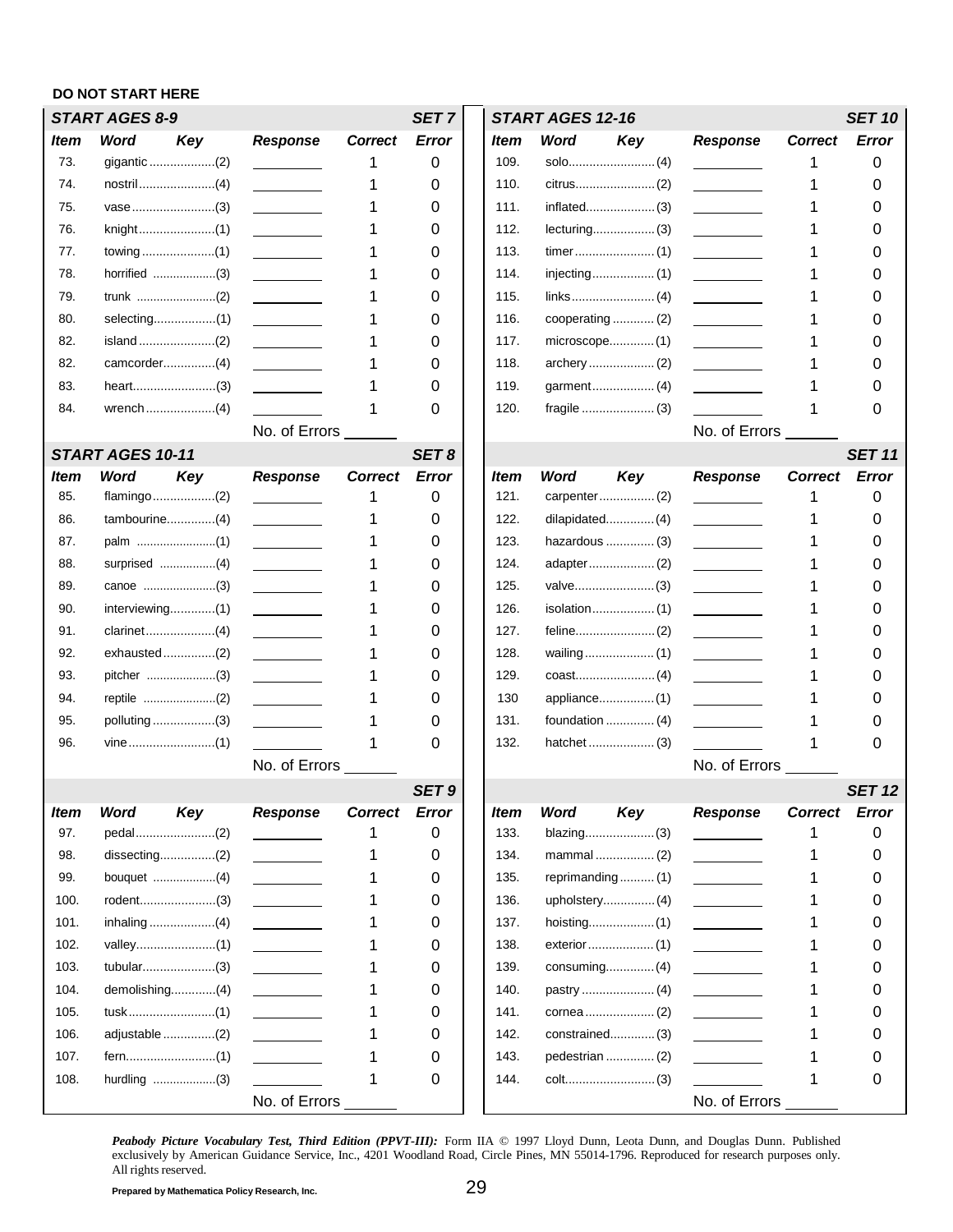#### **DO NOT START HERE** *START AGES 8-9 SET 7 START AGES 12-16 SET 10 Item* 73. 74. 75. 76. 77. 78. 79. 80. 82. 82. 83. 84. *Word Key* gigantic ...................(2) nostril......................(4) vase........................(3) knight......................(1) towing .....................(1) horrified ...................(3) trunk ........................(2) selecting..................(1) island ......................(2) camcorder...............(4) heart........................(3) wrench....................(4) *Response Correct Error* 1 0 1 0 1 0 1 0 1 0 1 0 1 0 1 0 1 0 1 0 1 0 1 0 No. of Errors *Item* 109. 110. 111. 112. 113. 114. 115. 116. 117. 118. 119. 120. *Word Key* solo.........................(4) citrus.......................(2) inflated....................(3) lecturing..................(3) timer.......................(1) injecting..................(1) links........................(4) cooperating ............ (2) microscope.............(1) archery ...................(2) garment..................(4) fragile .....................(3) *Response Correct Error* 1 0 1 0 1 0 1 0 1 0 1 0 1 0 1 0 1 0 1 0 1 0 1 0 No. of Errors *START AGES 10-11 SET 8 SET 11 Item Word Key Response Correct Error Item Word Key Response Correct Error* 85. flamingo.................(2) \_\_\_\_\_\_\_\_\_\_ 1 0 | 121. carpenter.................(2) \_\_\_\_\_\_\_\_\_ 1 0 86. tambourine..............(4) \_\_\_\_\_\_\_\_\_\_ 1 0 | 122. dilapidated................(4) \_\_\_\_\_\_\_\_ 1 0 87. palm ........................(1) 1 0 123. hazardous .............. (3) 1 0 88. surprised .................(4) \_\_\_\_\_\_\_\_\_\_\_\_ 1 0 | 124. adapter.................................(2) \_\_\_\_\_\_\_\_\_ 1 0 89. canoe ......................(3) 1 0 125. valve.......................(3) 1 0 90. interviewing.............(1) 1 1 0 1 126. isolation.........................(1) 1 0 91. clarinet..................(4) \_\_\_\_\_\_\_\_\_\_\_ 1 0 | 127. feline...........................(2) \_\_\_\_\_\_\_\_\_\_ 1 0 92. exhausted...............(2) \_\_\_\_\_\_\_\_\_\_ 1 0 ||128. wailing....................(1) 1 0 93. pitcher .....................(3) 1 0 129. coast.......................(4) 1 0 94. reptile ....................(2) 1 0 | 130 appliance.........................(1) 1 0 95. polluting .................(3) 1 0 1 31. foundation ......................... (4) 1 1 0 96. vine.....................(1) 1 0 1 32. hatchet .............................(3) 1 0 No. of Errors No. of Errors No. of Errors No. of Errors No. of Errors No. of Errors No. of Errors No. of Errors *SET 9 SET 12 Item Word Key Response Correct Error Item Word Key Response Correct Error* 97. pedal....................(2) 1 0 1 0 1 33. blazing....................(3) 1 0 98. dissecting................(2) 1 0 134. mammal ................. (2) 1 0 99. bouquet ..................(4) \_\_\_\_\_\_\_\_\_\_\_\_ 1 0 | 135. reprimanding...........(1) \_\_\_\_\_\_\_\_\_ 1 0 100. rodent......................(3) 1 0 136. upholstery...............(4) 1 0 101. inhaling ...................(4) 1 0 137. hoisting...................(1) 1 0 102. valley....................(1) 1 1 0 | 138. exterior....................(1) 1 0 103. tubular.....................(3) 1 0 139. consuming..............(4) 1 0 104. demolishing.............(4) 1 1 0 | 140. pastry ............................(4) 1 0 105. tusk.........................(1) 1 0 141. cornea....................(2) 1 0 106. adjustable ...............(2) 1 1 0 1 142. constrained..............(3) 1 0 107. fern..........................(1) 1 0 143. pedestrian .............. (2) 1 0 108. hurdling ..................(3) \_\_\_\_\_\_\_\_\_ 1 0 | | 144. colt...............................(3) \_\_\_\_\_\_\_\_ 1 0 No. of Errors **No. of Errors** No. of Errors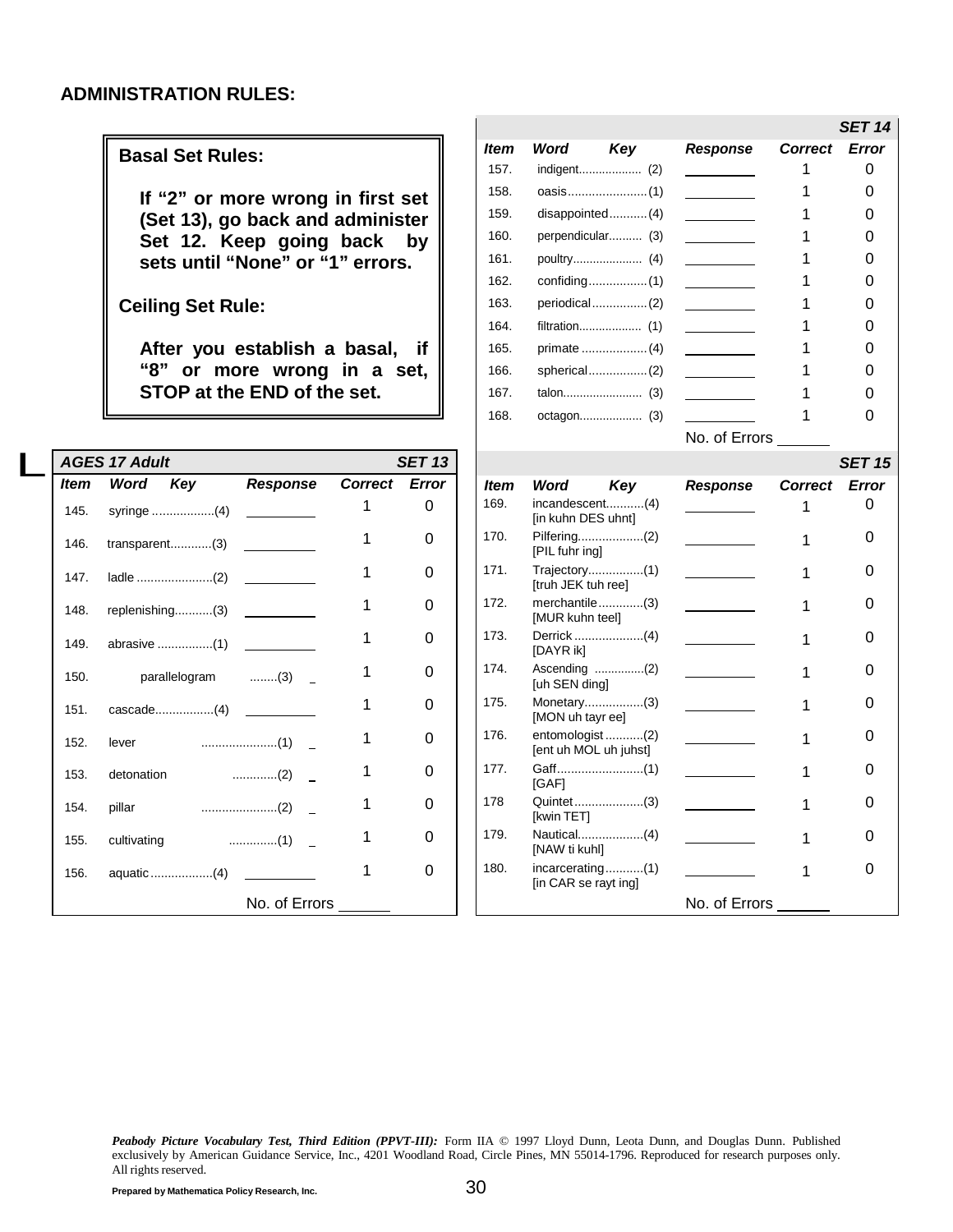#### <span id="page-33-0"></span>**ADMINISTRATION RULES:**

#### **Basal Set Rules:**

**If "2" or more wrong in first set (Set 13), go back and administer Set 12. Keep going back by sets until "None" or "1" errors.**

**Ceiling Set Rule:**

**After you establish a basal, if "8" or more wrong in a set, STOP at the END of the set.**

|      | <b>AGES 17 Adult</b>  |                                 |   | <b>SET 13</b> |
|------|-----------------------|---------------------------------|---|---------------|
| ltem |                       | Word Key Response Correct Error |   |               |
| 145. | syringe (4)           | <u> 1989 - Jan Jawa</u>         | 1 | 0             |
|      | 146. transparent(3)   |                                 | 1 | 0             |
| 147. |                       |                                 | 1 | 0             |
|      | 148. replenishing(3)  |                                 | 1 | 0             |
|      |                       |                                 | 1 | 0             |
| 150. | parallelogram   ……(3) |                                 | 1 | 0             |
| 151. |                       |                                 | 1 | 0             |
|      | 152. lever            |                                 | 1 | O             |
| 153. | detonation            |                                 | 1 | 0             |
| 154. | pillar                |                                 | 1 | O             |
| 155. |                       |                                 | 1 | 0             |
| 156. | aquatic (4)           |                                 | 1 | 0             |
|      |                       | No. of Errors                   |   |               |

|      |                                          |               |                | SET 14 |
|------|------------------------------------------|---------------|----------------|--------|
| ltem | Word<br>Key                              | Response      | <b>Correct</b> | Error  |
| 157. |                                          |               | 1              | 0      |
| 158. |                                          |               | 1              | 0      |
| 159. | $disappointed$ $(4)$                     |               | 1              | 0      |
| 160. | perpendicular (3)                        |               | 1              | 0      |
| 161. |                                          |               | 1              | 0      |
| 162. |                                          |               | 1              | 0      |
| 163. | periodical(2)                            |               | 1              | 0      |
| 164. |                                          |               | 1              | 0      |
| 165. |                                          |               | 1              | 0      |
| 166. | spherical(2)                             |               | 1              | 0      |
| 167. |                                          |               | 1              | 0      |
| 168. |                                          |               | 1              | 0      |
|      |                                          | No. of Errors |                |        |
|      |                                          |               |                | SET 15 |
| ltem | Key<br>Word                              | Response      | <b>Correct</b> | Error  |
| 169. | incandescent(4)<br>[in kuhn DES uhnt]    |               | 1              | 0      |
| 170. | Pilfering(2)<br>[PIL fuhr ing]           |               | 1              | 0      |
| 171. | Trajectory(1)<br>[truh JEK tuh ree]      |               | 1              | 0      |
| 172. | merchantile(3)<br>[MUR kuhn teel]        |               | 1              | 0      |
| 173. | Derrick (4)<br>[DAYR ik]                 |               | 1              | O      |
| 174. | [uh SEN ding]                            |               | 1              | 0      |
| 175. | Monetary(3)<br>[MON uh tayr ee]          |               | 1              | 0      |
| 176. | entomologist(2)<br>[ent uh MOL uh juhst] |               | 1              | 0      |
| 177. | <b>IGAFI</b>                             |               | 1              | O      |
| 178  | Quintet(3)<br>[kwin TET]                 |               | 1              | 0      |
| 179. | Nautical(4)<br>[NAW ti kuhl]             |               | 1              | 0      |
| 180. | incarcerating(1)<br>[in CAR se rayt ing] |               | 1              | 0      |
|      |                                          | No. of Errors |                |        |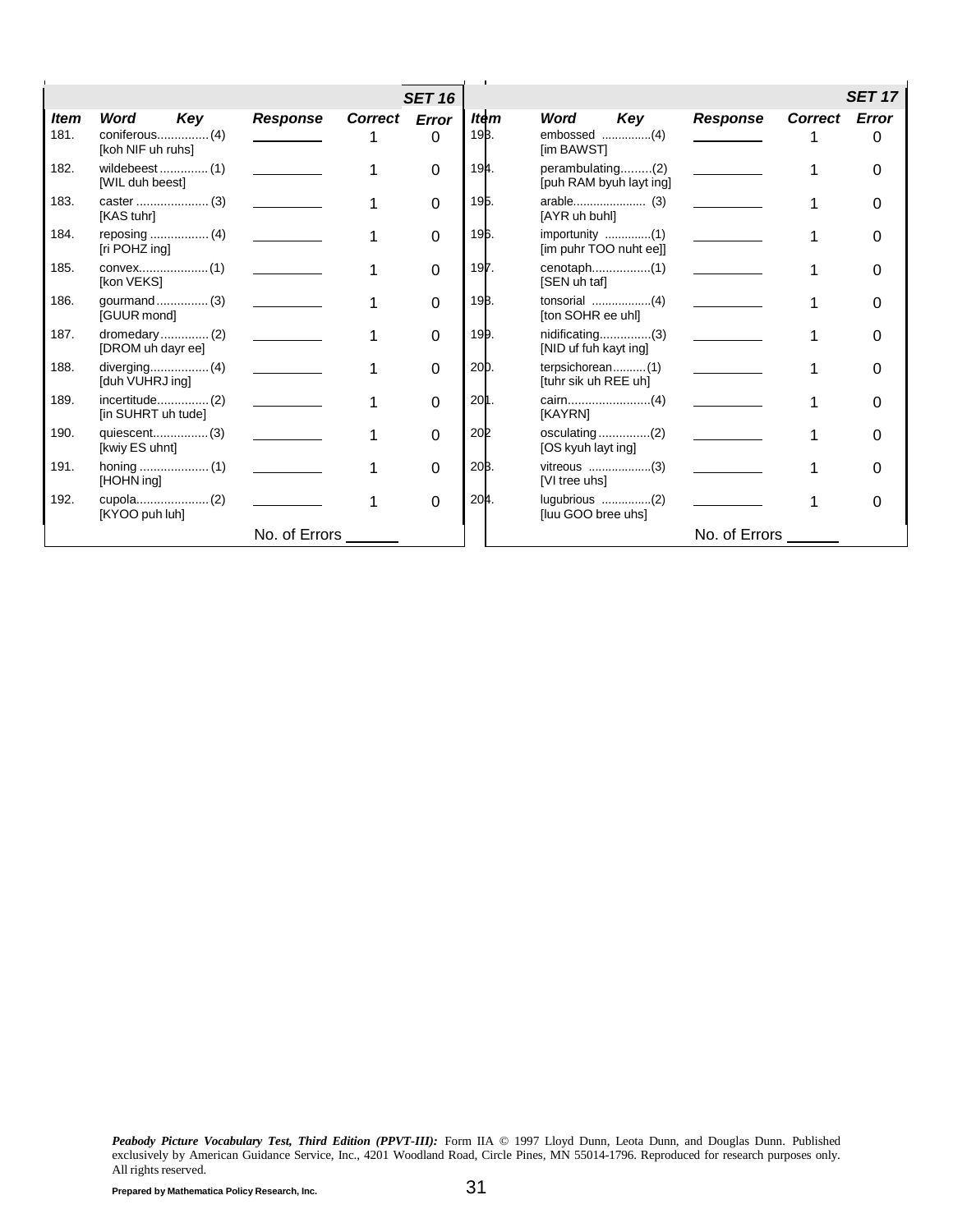|             |                    |                 |                | <b>SET 16</b> |                 |                                             |                 |                | <b>SET 17</b> |
|-------------|--------------------|-----------------|----------------|---------------|-----------------|---------------------------------------------|-----------------|----------------|---------------|
| <b>Item</b> | Word<br>Key        | <b>Response</b> | <b>Correct</b> | <b>Error</b>  | Item            | Word<br>Key                                 | <b>Response</b> | <b>Correct</b> | Error         |
| 181.        | [koh NIF uh ruhs]  |                 |                | 0             | 193.            | embossed (4)<br>[im BAWST]                  |                 |                |               |
| 182.        | [WIL duh beest]    |                 |                | 0             | 194.            | perambulating(2)<br>[puh RAM byuh layt ing] |                 |                |               |
| 183.        | [KAS tuhr]         |                 |                | 0             | 195.            | [AYR uh buhl]                               |                 |                |               |
| 184.        | [ri POHZ ing]      |                 |                | $\Omega$      | 196.            | importunity (1)<br>[im puhr TOO nuht ee]]   |                 |                |               |
| 185.        | [kon VEKS]         |                 |                | 0             | 197.            | [SEN uh taf]                                |                 |                |               |
| 186.        | [GUUR mond]        |                 |                | 0             | 19B.            | [ton SOHR ee uhl]                           |                 |                |               |
| 187.        | [DROM uh dayr ee]  |                 |                | 0             | 199.            | $n$ idificating(3)<br>[NID uf fuh kayt ing] |                 |                |               |
| 188.        | [duh VUHRJ ing]    |                 |                | 0             | 20 <sub>D</sub> | terpsichorean(1)<br>[tuhr sik uh REE uh]    |                 |                |               |
| 189.        | [in SUHRT uh tude] |                 |                | 0             | 20 <b>1</b> .   | [KAYRN]                                     |                 |                |               |
| 190.        | [kwiy ES uhnt]     |                 |                | 0             | <b>202</b>      | [OS kyuh layt ing]                          |                 |                |               |
| 191.        | [HOHN ing]         |                 |                | 0             | 20B.            | [VI tree uhs]                               |                 |                |               |
| 192.        | [KYOO puh luh]     |                 |                | 0             | 204.            | [luu GOO bree uhs]                          |                 |                |               |
|             |                    | No. of Errors   |                |               |                 |                                             | No. of Errors   |                |               |